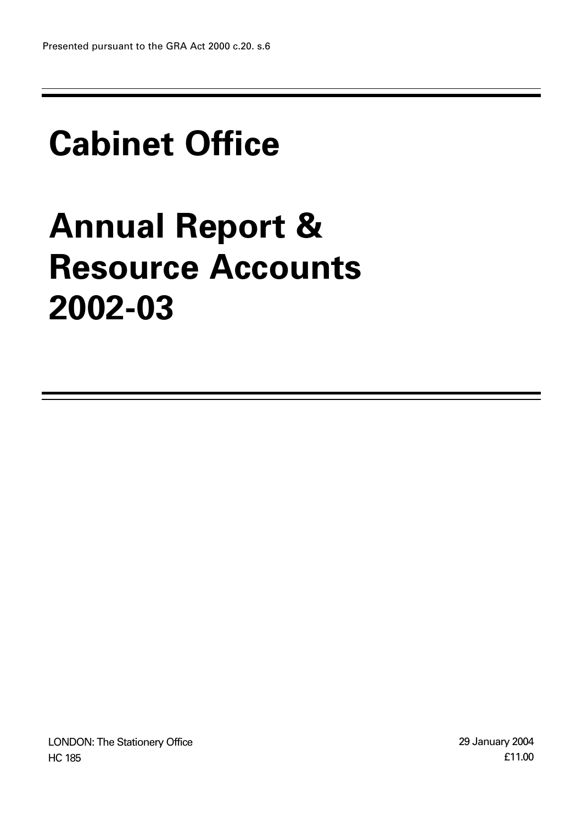# **Cabinet Office**

# **Annual Report & Resource Accounts 2002-03**

LONDON: The Stationery Office HC 185

29 January 2004 £11.00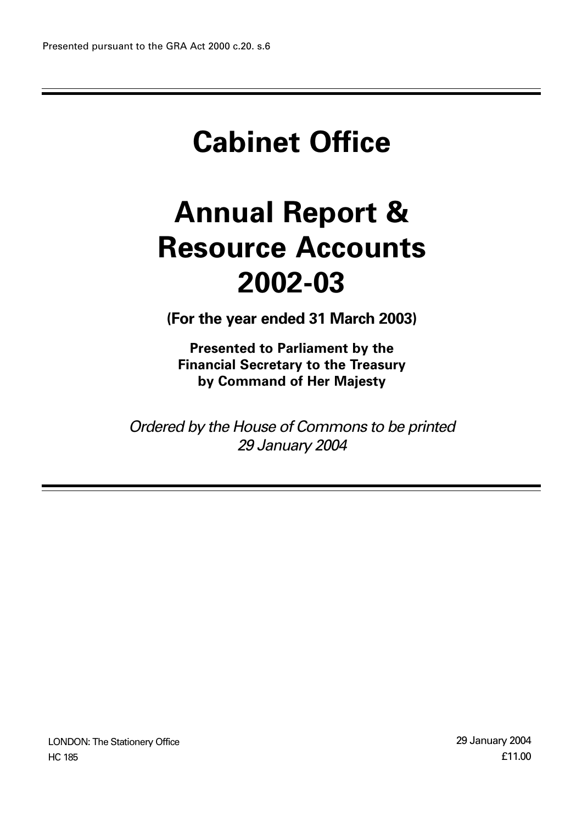# **Cabinet Office**

# **Annual Report & Resource Accounts 2002-03**

**(For the year ended 31 March 2003)**

**Presented to Parliament by the Financial Secretary to the Treasury by Command of Her Majesty**

*Ordered by the House of Commons to be printed 29 January 2004*

LONDON: The Stationery Office HC 185

29 January 2004 £11.00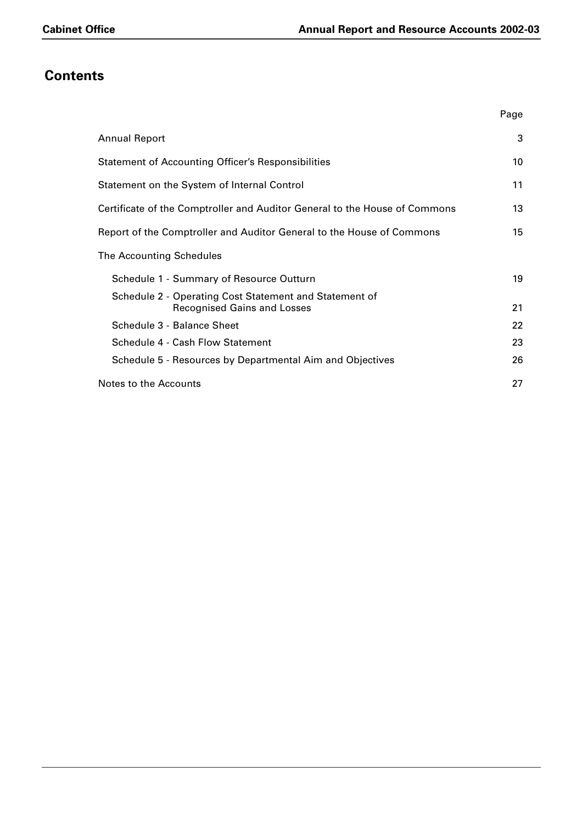# **Contents**

|                                                                                              | Page |
|----------------------------------------------------------------------------------------------|------|
| <b>Annual Report</b>                                                                         | 3    |
| <b>Statement of Accounting Officer's Responsibilities</b>                                    | 10   |
| Statement on the System of Internal Control                                                  | 11   |
| Certificate of the Comptroller and Auditor General to the House of Commons                   | 13   |
| Report of the Comptroller and Auditor General to the House of Commons                        | 15   |
| The Accounting Schedules                                                                     |      |
| Schedule 1 - Summary of Resource Outturn                                                     | 19   |
| Schedule 2 - Operating Cost Statement and Statement of<br><b>Recognised Gains and Losses</b> | 21   |
| Schedule 3 - Balance Sheet                                                                   | 22   |
| Schedule 4 - Cash Flow Statement                                                             | 23   |
| Schedule 5 - Resources by Departmental Aim and Objectives                                    | 26   |
| Notes to the Accounts                                                                        | 27   |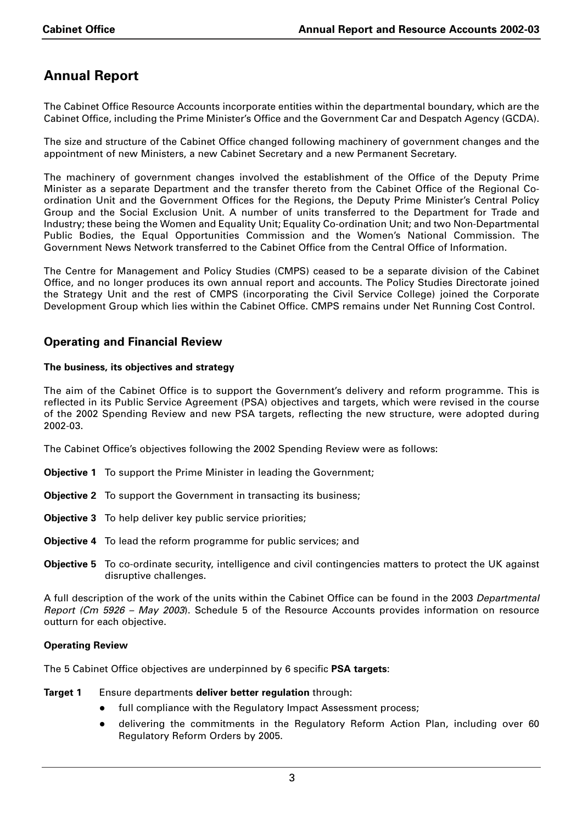# **Annual Report**

The Cabinet Office Resource Accounts incorporate entities within the departmental boundary, which are the Cabinet Office, including the Prime Minister's Office and the Government Car and Despatch Agency (GCDA).

The size and structure of the Cabinet Office changed following machinery of government changes and the appointment of new Ministers, a new Cabinet Secretary and a new Permanent Secretary.

The machinery of government changes involved the establishment of the Office of the Deputy Prime Minister as a separate Department and the transfer thereto from the Cabinet Office of the Regional Coordination Unit and the Government Offices for the Regions, the Deputy Prime Minister's Central Policy Group and the Social Exclusion Unit. A number of units transferred to the Department for Trade and Industry; these being the Women and Equality Unit; Equality Co-ordination Unit; and two Non-Departmental Public Bodies, the Equal Opportunities Commission and the Women's National Commission. The Government News Network transferred to the Cabinet Office from the Central Office of Information.

The Centre for Management and Policy Studies (CMPS) ceased to be a separate division of the Cabinet Office, and no longer produces its own annual report and accounts. The Policy Studies Directorate joined the Strategy Unit and the rest of CMPS (incorporating the Civil Service College) joined the Corporate Development Group which lies within the Cabinet Office. CMPS remains under Net Running Cost Control.

## **Operating and Financial Review**

### **The business, its objectives and strategy**

The aim of the Cabinet Office is to support the Government's delivery and reform programme. This is reflected in its Public Service Agreement (PSA) objectives and targets, which were revised in the course of the 2002 Spending Review and new PSA targets, reflecting the new structure, were adopted during 2002-03.

The Cabinet Office's objectives following the 2002 Spending Review were as follows:

- **Objective 1** To support the Prime Minister in leading the Government;
- **Objective 2** To support the Government in transacting its business;
- **Objective 3** To help deliver key public service priorities;
- **Objective 4** To lead the reform programme for public services; and
- **Objective 5** To co-ordinate security, intelligence and civil contingencies matters to protect the UK against disruptive challenges.

A full description of the work of the units within the Cabinet Office can be found in the 2003 *Departmental Report (Cm 5926 – May 2003*). Schedule 5 of the Resource Accounts provides information on resource outturn for each objective.

#### **Operating Review**

The 5 Cabinet Office objectives are underpinned by 6 specific **PSA targets**:

**Target 1** Ensure departments **deliver better regulation** through:

- full compliance with the Regulatory Impact Assessment process;
- delivering the commitments in the Regulatory Reform Action Plan, including over 60 Regulatory Reform Orders by 2005.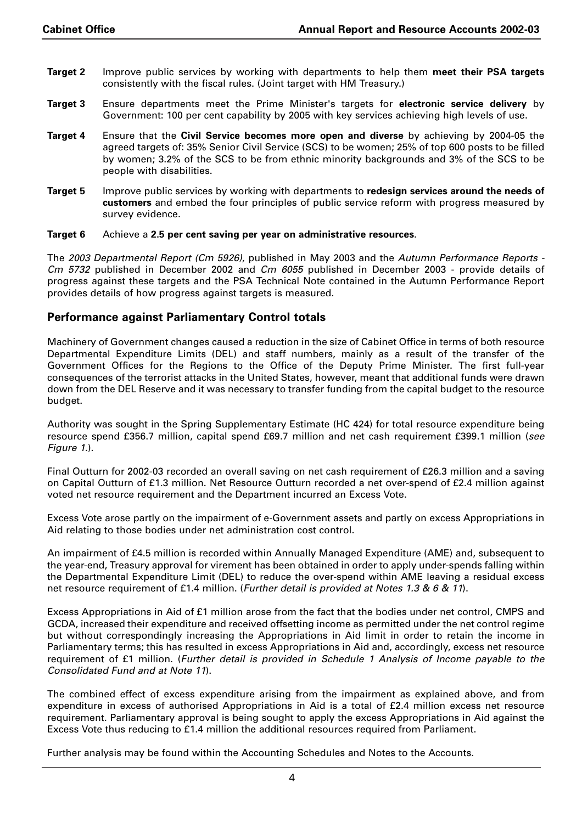- **Target 2** Improve public services by working with departments to help them **meet their PSA targets** consistently with the fiscal rules. (Joint target with HM Treasury.)
- **Target 3** Ensure departments meet the Prime Minister's targets for **electronic service delivery** by Government: 100 per cent capability by 2005 with key services achieving high levels of use.
- **Target 4** Ensure that the **Civil Service becomes more open and diverse** by achieving by 2004-05 the agreed targets of: 35% Senior Civil Service (SCS) to be women; 25% of top 600 posts to be filled by women; 3.2% of the SCS to be from ethnic minority backgrounds and 3% of the SCS to be people with disabilities.
- **Target 5** Improve public services by working with departments to **redesign services around the needs of customers** and embed the four principles of public service reform with progress measured by survey evidence.

#### **Target 6** Achieve a **2.5 per cent saving per year on administrative resources**.

The *2003 Departmental Report (Cm 5926)*, published in May 2003 and the *Autumn Performance Reports - Cm 5732* published in December 2002 and *Cm 6055* published in December 2003 - provide details of progress against these targets and the PSA Technical Note contained in the Autumn Performance Report provides details of how progress against targets is measured.

## **Performance against Parliamentary Control totals**

Machinery of Government changes caused a reduction in the size of Cabinet Office in terms of both resource Departmental Expenditure Limits (DEL) and staff numbers, mainly as a result of the transfer of the Government Offices for the Regions to the Office of the Deputy Prime Minister. The first full-year consequences of the terrorist attacks in the United States, however, meant that additional funds were drawn down from the DEL Reserve and it was necessary to transfer funding from the capital budget to the resource budget.

Authority was sought in the Spring Supplementary Estimate (HC 424) for total resource expenditure being resource spend £356.7 million, capital spend £69.7 million and net cash requirement £399.1 million (*see Figure 1.*).

Final Outturn for 2002-03 recorded an overall saving on net cash requirement of £26.3 million and a saving on Capital Outturn of £1.3 million. Net Resource Outturn recorded a net over-spend of £2.4 million against voted net resource requirement and the Department incurred an Excess Vote.

Excess Vote arose partly on the impairment of e-Government assets and partly on excess Appropriations in Aid relating to those bodies under net administration cost control.

An impairment of £4.5 million is recorded within Annually Managed Expenditure (AME) and, subsequent to the year-end, Treasury approval for virement has been obtained in order to apply under-spends falling within the Departmental Expenditure Limit (DEL) to reduce the over-spend within AME leaving a residual excess net resource requirement of £1.4 million. (*Further detail is provided at Notes 1.3 & 6 & 11*).

Excess Appropriations in Aid of £1 million arose from the fact that the bodies under net control, CMPS and GCDA, increased their expenditure and received offsetting income as permitted under the net control regime but without correspondingly increasing the Appropriations in Aid limit in order to retain the income in Parliamentary terms; this has resulted in excess Appropriations in Aid and, accordingly, excess net resource requirement of £1 million. (*Further detail is provided in Schedule 1 Analysis of Income payable to the Consolidated Fund and at Note 11*).

The combined effect of excess expenditure arising from the impairment as explained above, and from expenditure in excess of authorised Appropriations in Aid is a total of £2.4 million excess net resource requirement. Parliamentary approval is being sought to apply the excess Appropriations in Aid against the Excess Vote thus reducing to £1.4 million the additional resources required from Parliament.

Further analysis may be found within the Accounting Schedules and Notes to the Accounts.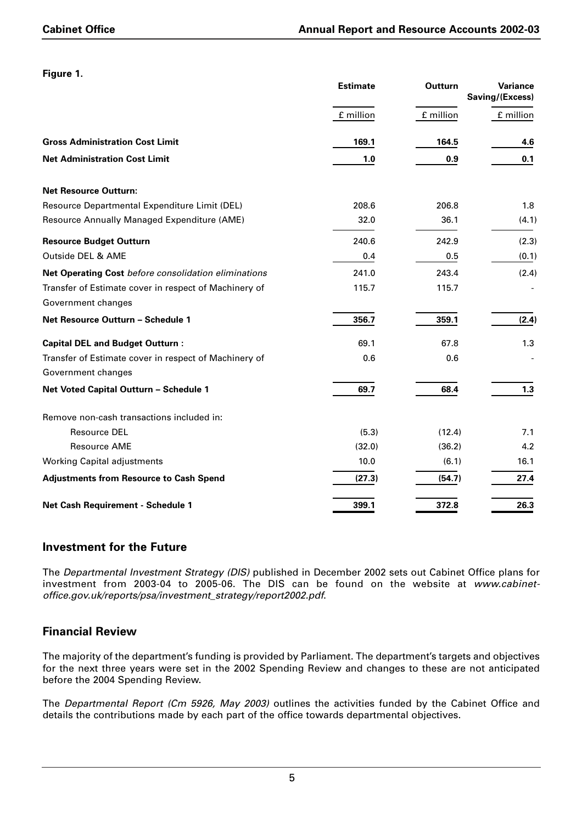|                                                       | <b>Estimate</b> | <b>Outturn</b> |           |
|-------------------------------------------------------|-----------------|----------------|-----------|
|                                                       | £ million       | £ million      | £ million |
| <b>Gross Administration Cost Limit</b>                | 169.1           | 164.5          | 4.6       |
| <b>Net Administration Cost Limit</b>                  | 1.0             | 0.9            | 0.1       |
| <b>Net Resource Outturn:</b>                          |                 |                |           |
| Resource Departmental Expenditure Limit (DEL)         | 208.6           | 206.8          | 1.8       |
| Resource Annually Managed Expenditure (AME)           | 32.0            | 36.1           | (4.1)     |
| <b>Resource Budget Outturn</b>                        | 240.6           | 242.9          | (2.3)     |
| Outside DEL & AME                                     | 0.4             | 0.5            | (0.1)     |
| Net Operating Cost before consolidation eliminations  | 241.0           | 243.4          | (2.4)     |
| Transfer of Estimate cover in respect of Machinery of | 115.7           | 115.7          |           |
| Government changes                                    |                 |                |           |
| Net Resource Outturn - Schedule 1                     | 356.7           | 359.1          | (2.4)     |
| <b>Capital DEL and Budget Outturn:</b>                | 69.1            | 67.8           | 1.3       |
| Transfer of Estimate cover in respect of Machinery of | 0.6             | 0.6            |           |
| Government changes                                    |                 |                |           |
| Net Voted Capital Outturn - Schedule 1                | 69.7            | 68.4           | 1.3       |
| Remove non-cash transactions included in:             |                 |                |           |
| <b>Resource DEL</b>                                   | (5.3)           | (12.4)         | 7.1       |
| <b>Resource AME</b>                                   | (32.0)          | (36.2)         | 4.2       |
| <b>Working Capital adjustments</b>                    | 10.0            | (6.1)          | 16.1      |
| <b>Adjustments from Resource to Cash Spend</b>        | (27.3)          | (54.7)         | 27.4      |
| Net Cash Requirement - Schedule 1                     | 399.1           | 372.8          | 26.3      |

## **Investment for the Future**

The *Departmental Investment Strategy (DIS)* published in December 2002 sets out Cabinet Office plans for investment from 2003-04 to 2005-06. The DIS can be found on the website at *www.cabinetoffice.gov.uk/reports/psa/investment\_strategy/report2002.pdf*.

## **Financial Review**

The majority of the department's funding is provided by Parliament. The department's targets and objectives for the next three years were set in the 2002 Spending Review and changes to these are not anticipated before the 2004 Spending Review.

The *Departmental Report (Cm 5926, May 2003)* outlines the activities funded by the Cabinet Office and details the contributions made by each part of the office towards departmental objectives.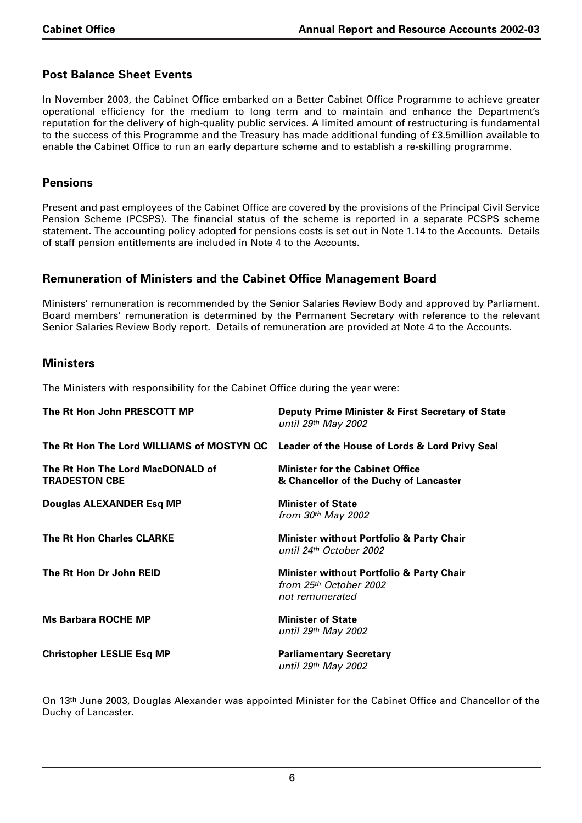## **Post Balance Sheet Events**

In November 2003, the Cabinet Office embarked on a Better Cabinet Office Programme to achieve greater operational efficiency for the medium to long term and to maintain and enhance the Department's reputation for the delivery of high-quality public services. A limited amount of restructuring is fundamental to the success of this Programme and the Treasury has made additional funding of £3.5million available to enable the Cabinet Office to run an early departure scheme and to establish a re-skilling programme.

#### **Pensions**

Present and past employees of the Cabinet Office are covered by the provisions of the Principal Civil Service Pension Scheme (PCSPS). The financial status of the scheme is reported in a separate PCSPS scheme statement. The accounting policy adopted for pensions costs is set out in Note 1.14 to the Accounts. Details of staff pension entitlements are included in Note 4 to the Accounts.

## **Remuneration of Ministers and the Cabinet Office Management Board**

Ministers' remuneration is recommended by the Senior Salaries Review Body and approved by Parliament. Board members' remuneration is determined by the Permanent Secretary with reference to the relevant Senior Salaries Review Body report. Details of remuneration are provided at Note 4 to the Accounts.

### **Ministers**

The Ministers with responsibility for the Cabinet Office during the year were:

| The Rt Hon John PRESCOTT MP                                                              | Deputy Prime Minister & First Secretary of State<br>until 29 <sup>th</sup> May 2002   |
|------------------------------------------------------------------------------------------|---------------------------------------------------------------------------------------|
| The Rt Hon The Lord WILLIAMS of MOSTYN QC Leader of the House of Lords & Lord Privy Seal |                                                                                       |
| The Rt Hon The Lord MacDONALD of<br><b>TRADESTON CBE</b>                                 | <b>Minister for the Cabinet Office</b><br>& Chancellor of the Duchy of Lancaster      |
| Douglas ALEXANDER Esq MP                                                                 | <b>Minister of State</b><br>from $30th$ May 2002                                      |
| <b>The Rt Hon Charles CLARKE</b>                                                         | Minister without Portfolio & Party Chair<br>until 24th October 2002                   |
| The Rt Hon Dr John REID                                                                  | Minister without Portfolio & Party Chair<br>from 25th October 2002<br>not remunerated |
| <b>Ms Barbara ROCHE MP</b>                                                               | <b>Minister of State</b><br>until 29th May 2002                                       |
| <b>Christopher LESLIE Esq MP</b>                                                         | <b>Parliamentary Secretary</b><br>until 29th May 2002                                 |

On 13th June 2003, Douglas Alexander was appointed Minister for the Cabinet Office and Chancellor of the Duchy of Lancaster.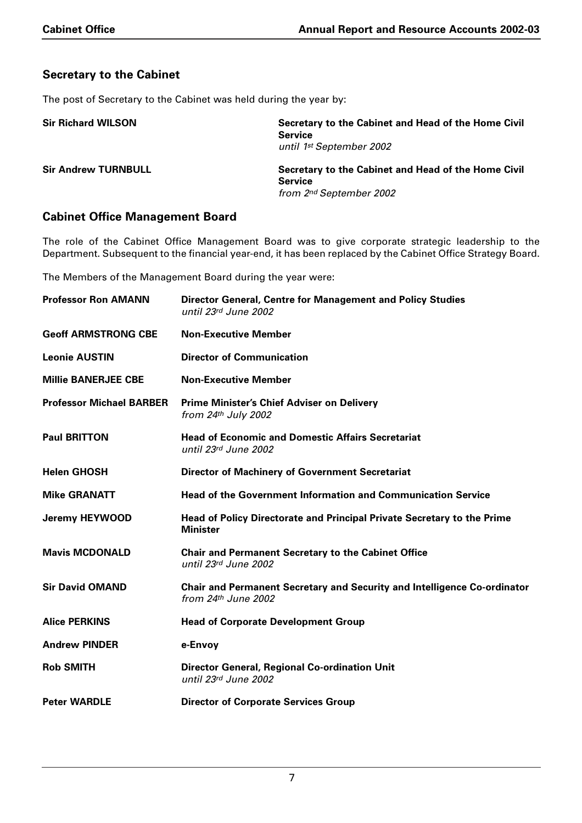## **Secretary to the Cabinet**

The post of Secretary to the Cabinet was held during the year by:

| <b>Sir Richard WILSON</b>  | Secretary to the Cabinet and Head of the Home Civil<br><b>Service</b><br>until 1 <sup>st</sup> September 2002 |
|----------------------------|---------------------------------------------------------------------------------------------------------------|
| <b>Sir Andrew TURNBULL</b> | Secretary to the Cabinet and Head of the Home Civil<br><b>Service</b><br>from 2nd September 2002              |

## **Cabinet Office Management Board**

The role of the Cabinet Office Management Board was to give corporate strategic leadership to the Department. Subsequent to the financial year-end, it has been replaced by the Cabinet Office Strategy Board.

The Members of the Management Board during the year were:

| <b>Professor Ron AMANN</b>      | Director General, Centre for Management and Policy Studies<br>until 23rd June 2002                       |
|---------------------------------|----------------------------------------------------------------------------------------------------------|
| <b>Geoff ARMSTRONG CBE</b>      | <b>Non-Executive Member</b>                                                                              |
| <b>Leonie AUSTIN</b>            | <b>Director of Communication</b>                                                                         |
| <b>Millie BANERJEE CBE</b>      | <b>Non-Executive Member</b>                                                                              |
| <b>Professor Michael BARBER</b> | <b>Prime Minister's Chief Adviser on Delivery</b><br>from $24th$ July 2002                               |
| <b>Paul BRITTON</b>             | <b>Head of Economic and Domestic Affairs Secretariat</b><br>until 23rd June 2002                         |
| <b>Helen GHOSH</b>              | <b>Director of Machinery of Government Secretariat</b>                                                   |
| <b>Mike GRANATT</b>             | <b>Head of the Government Information and Communication Service</b>                                      |
| <b>Jeremy HEYWOOD</b>           | Head of Policy Directorate and Principal Private Secretary to the Prime<br><b>Minister</b>               |
| <b>Mavis MCDONALD</b>           | <b>Chair and Permanent Secretary to the Cabinet Office</b><br>until 23rd June 2002                       |
| <b>Sir David OMAND</b>          | <b>Chair and Permanent Secretary and Security and Intelligence Co-ordinator</b><br>from $24th$ June 2002 |
| <b>Alice PERKINS</b>            | <b>Head of Corporate Development Group</b>                                                               |
| <b>Andrew PINDER</b>            | e-Envoy                                                                                                  |
| <b>Rob SMITH</b>                | Director General, Regional Co-ordination Unit<br>until 23rd June 2002                                    |
| <b>Peter WARDLE</b>             | <b>Director of Corporate Services Group</b>                                                              |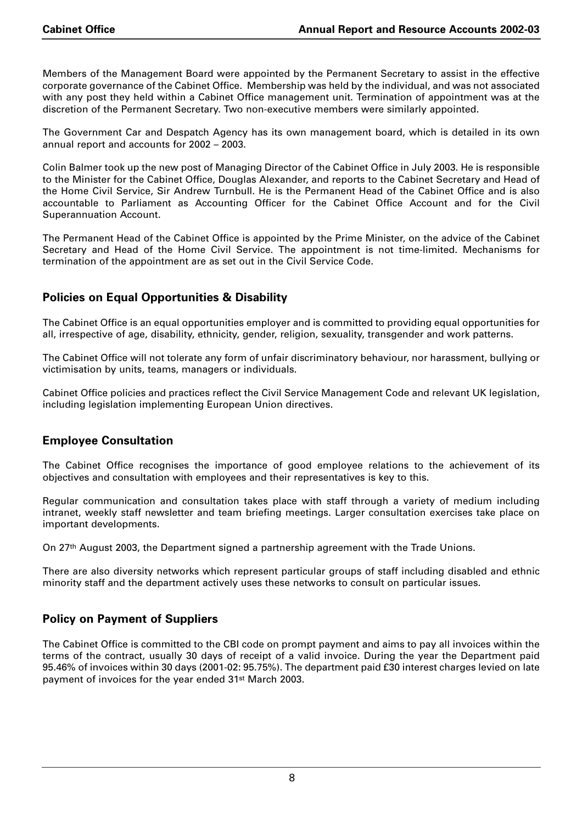Members of the Management Board were appointed by the Permanent Secretary to assist in the effective corporate governance of the Cabinet Office. Membership was held by the individual, and was not associated with any post they held within a Cabinet Office management unit. Termination of appointment was at the discretion of the Permanent Secretary. Two non-executive members were similarly appointed.

The Government Car and Despatch Agency has its own management board, which is detailed in its own annual report and accounts for 2002 – 2003.

Colin Balmer took up the new post of Managing Director of the Cabinet Office in July 2003. He is responsible to the Minister for the Cabinet Office, Douglas Alexander, and reports to the Cabinet Secretary and Head of the Home Civil Service, Sir Andrew Turnbull. He is the Permanent Head of the Cabinet Office and is also accountable to Parliament as Accounting Officer for the Cabinet Office Account and for the Civil Superannuation Account.

The Permanent Head of the Cabinet Office is appointed by the Prime Minister, on the advice of the Cabinet Secretary and Head of the Home Civil Service. The appointment is not time-limited. Mechanisms for termination of the appointment are as set out in the Civil Service Code.

## **Policies on Equal Opportunities & Disability**

The Cabinet Office is an equal opportunities employer and is committed to providing equal opportunities for all, irrespective of age, disability, ethnicity, gender, religion, sexuality, transgender and work patterns.

The Cabinet Office will not tolerate any form of unfair discriminatory behaviour, nor harassment, bullying or victimisation by units, teams, managers or individuals.

Cabinet Office policies and practices reflect the Civil Service Management Code and relevant UK legislation, including legislation implementing European Union directives.

## **Employee Consultation**

The Cabinet Office recognises the importance of good employee relations to the achievement of its objectives and consultation with employees and their representatives is key to this.

Regular communication and consultation takes place with staff through a variety of medium including intranet, weekly staff newsletter and team briefing meetings. Larger consultation exercises take place on important developments.

On 27<sup>th</sup> August 2003, the Department signed a partnership agreement with the Trade Unions.

There are also diversity networks which represent particular groups of staff including disabled and ethnic minority staff and the department actively uses these networks to consult on particular issues.

## **Policy on Payment of Suppliers**

The Cabinet Office is committed to the CBI code on prompt payment and aims to pay all invoices within the terms of the contract, usually 30 days of receipt of a valid invoice. During the year the Department paid 95.46% of invoices within 30 days (2001-02: 95.75%). The department paid £30 interest charges levied on late payment of invoices for the year ended 31st March 2003.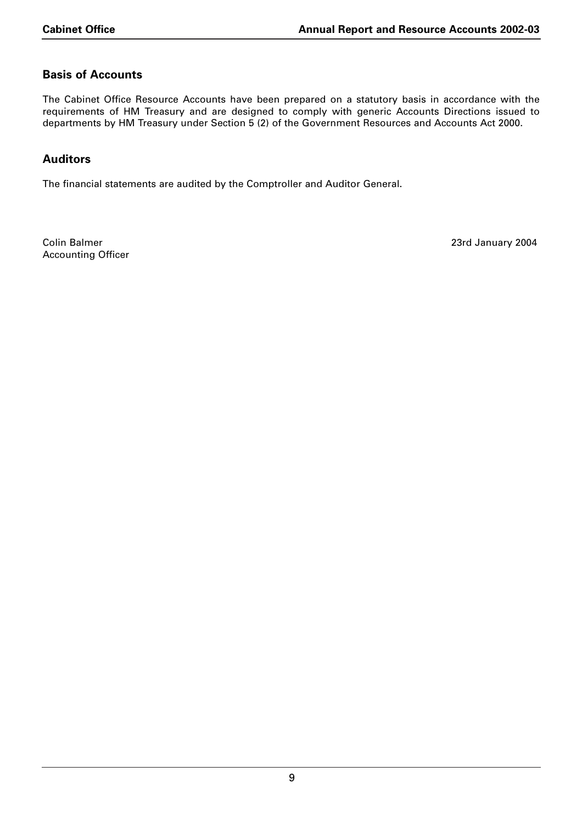## **Basis of Accounts**

The Cabinet Office Resource Accounts have been prepared on a statutory basis in accordance with the requirements of HM Treasury and are designed to comply with generic Accounts Directions issued to departments by HM Treasury under Section 5 (2) of the Government Resources and Accounts Act 2000.

## **Auditors**

The financial statements are audited by the Comptroller and Auditor General.

Colin Balmer 23rd January 2004 Accounting Officer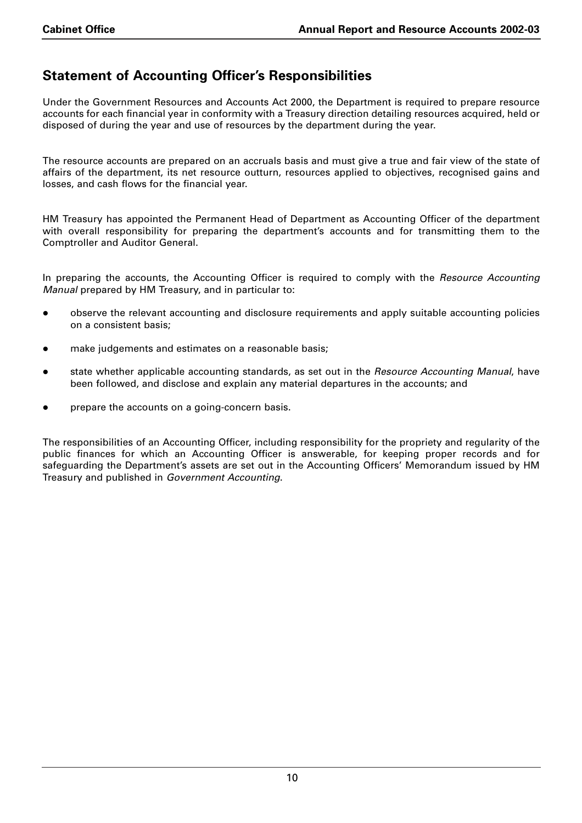## **Statement of Accounting Officer's Responsibilities**

Under the Government Resources and Accounts Act 2000, the Department is required to prepare resource accounts for each financial year in conformity with a Treasury direction detailing resources acquired, held or disposed of during the year and use of resources by the department during the year.

The resource accounts are prepared on an accruals basis and must give a true and fair view of the state of affairs of the department, its net resource outturn, resources applied to objectives, recognised gains and losses, and cash flows for the financial year.

HM Treasury has appointed the Permanent Head of Department as Accounting Officer of the department with overall responsibility for preparing the department's accounts and for transmitting them to the Comptroller and Auditor General.

In preparing the accounts, the Accounting Officer is required to comply with the *Resource Accounting Manual* prepared by HM Treasury, and in particular to:

- observe the relevant accounting and disclosure requirements and apply suitable accounting policies on a consistent basis;
- make judgements and estimates on a reasonable basis;
- state whether applicable accounting standards, as set out in the *Resource Accounting Manual*, have been followed, and disclose and explain any material departures in the accounts; and
- prepare the accounts on a going-concern basis.

The responsibilities of an Accounting Officer, including responsibility for the propriety and regularity of the public finances for which an Accounting Officer is answerable, for keeping proper records and for safeguarding the Department's assets are set out in the Accounting Officers' Memorandum issued by HM Treasury and published in *Government Accounting*.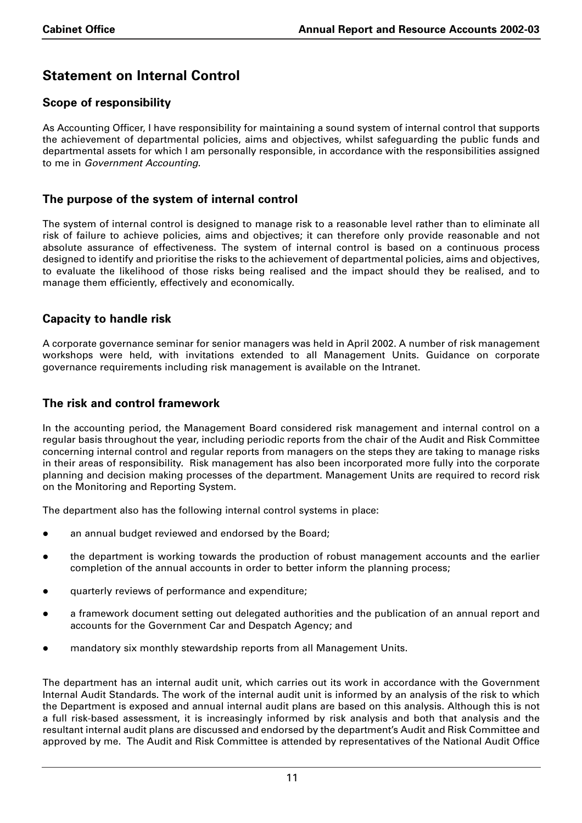# **Statement on Internal Control**

## **Scope of responsibility**

As Accounting Officer, I have responsibility for maintaining a sound system of internal control that supports the achievement of departmental policies, aims and objectives, whilst safeguarding the public funds and departmental assets for which I am personally responsible, in accordance with the responsibilities assigned to me in *Government Accounting*.

## **The purpose of the system of internal control**

The system of internal control is designed to manage risk to a reasonable level rather than to eliminate all risk of failure to achieve policies, aims and objectives; it can therefore only provide reasonable and not absolute assurance of effectiveness. The system of internal control is based on a continuous process designed to identify and prioritise the risks to the achievement of departmental policies, aims and objectives, to evaluate the likelihood of those risks being realised and the impact should they be realised, and to manage them efficiently, effectively and economically.

## **Capacity to handle risk**

A corporate governance seminar for senior managers was held in April 2002. A number of risk management workshops were held, with invitations extended to all Management Units. Guidance on corporate governance requirements including risk management is available on the Intranet.

## **The risk and control framework**

In the accounting period, the Management Board considered risk management and internal control on a regular basis throughout the year, including periodic reports from the chair of the Audit and Risk Committee concerning internal control and regular reports from managers on the steps they are taking to manage risks in their areas of responsibility. Risk management has also been incorporated more fully into the corporate planning and decision making processes of the department. Management Units are required to record risk on the Monitoring and Reporting System.

The department also has the following internal control systems in place:

- an annual budget reviewed and endorsed by the Board;
- the department is working towards the production of robust management accounts and the earlier completion of the annual accounts in order to better inform the planning process;
- quarterly reviews of performance and expenditure;
- a framework document setting out delegated authorities and the publication of an annual report and accounts for the Government Car and Despatch Agency; and
- mandatory six monthly stewardship reports from all Management Units.

The department has an internal audit unit, which carries out its work in accordance with the Government Internal Audit Standards. The work of the internal audit unit is informed by an analysis of the risk to which the Department is exposed and annual internal audit plans are based on this analysis. Although this is not a full risk-based assessment, it is increasingly informed by risk analysis and both that analysis and the resultant internal audit plans are discussed and endorsed by the department's Audit and Risk Committee and approved by me. The Audit and Risk Committee is attended by representatives of the National Audit Office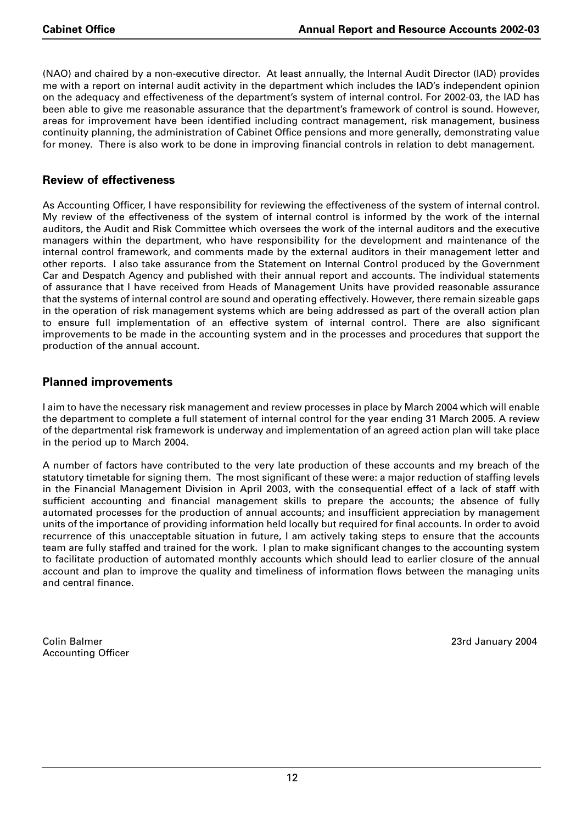(NAO) and chaired by a non-executive director. At least annually, the Internal Audit Director (IAD) provides me with a report on internal audit activity in the department which includes the IAD's independent opinion on the adequacy and effectiveness of the department's system of internal control. For 2002-03, the IAD has been able to give me reasonable assurance that the department's framework of control is sound. However, areas for improvement have been identified including contract management, risk management, business continuity planning, the administration of Cabinet Office pensions and more generally, demonstrating value for money. There is also work to be done in improving financial controls in relation to debt management.

## **Review of effectiveness**

As Accounting Officer, I have responsibility for reviewing the effectiveness of the system of internal control. My review of the effectiveness of the system of internal control is informed by the work of the internal auditors, the Audit and Risk Committee which oversees the work of the internal auditors and the executive managers within the department, who have responsibility for the development and maintenance of the internal control framework, and comments made by the external auditors in their management letter and other reports. I also take assurance from the Statement on Internal Control produced by the Government Car and Despatch Agency and published with their annual report and accounts. The individual statements of assurance that I have received from Heads of Management Units have provided reasonable assurance that the systems of internal control are sound and operating effectively. However, there remain sizeable gaps in the operation of risk management systems which are being addressed as part of the overall action plan to ensure full implementation of an effective system of internal control. There are also significant improvements to be made in the accounting system and in the processes and procedures that support the production of the annual account.

## **Planned improvements**

I aim to have the necessary risk management and review processes in place by March 2004 which will enable the department to complete a full statement of internal control for the year ending 31 March 2005. A review of the departmental risk framework is underway and implementation of an agreed action plan will take place in the period up to March 2004.

A number of factors have contributed to the very late production of these accounts and my breach of the statutory timetable for signing them. The most significant of these were: a major reduction of staffing levels in the Financial Management Division in April 2003, with the consequential effect of a lack of staff with sufficient accounting and financial management skills to prepare the accounts; the absence of fully automated processes for the production of annual accounts; and insufficient appreciation by management units of the importance of providing information held locally but required for final accounts. In order to avoid recurrence of this unacceptable situation in future, I am actively taking steps to ensure that the accounts team are fully staffed and trained for the work. I plan to make significant changes to the accounting system to facilitate production of automated monthly accounts which should lead to earlier closure of the annual account and plan to improve the quality and timeliness of information flows between the managing units and central finance.

Colin Balmer 23rd January 2004 Accounting Officer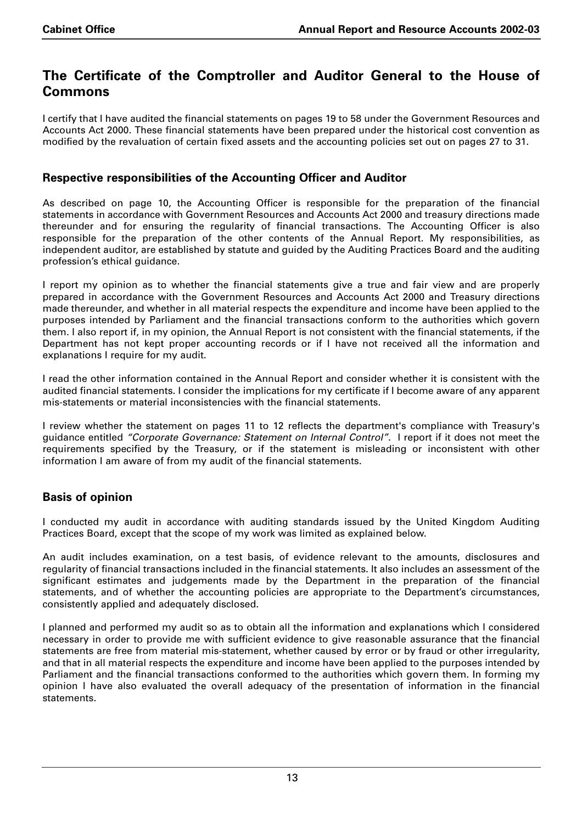## **The Certificate of the Comptroller and Auditor General to the House of Commons**

I certify that I have audited the financial statements on pages 19 to 58 under the Government Resources and Accounts Act 2000. These financial statements have been prepared under the historical cost convention as modified by the revaluation of certain fixed assets and the accounting policies set out on pages 27 to 31.

## **Respective responsibilities of the Accounting Officer and Auditor**

As described on page 10, the Accounting Officer is responsible for the preparation of the financial statements in accordance with Government Resources and Accounts Act 2000 and treasury directions made thereunder and for ensuring the regularity of financial transactions. The Accounting Officer is also responsible for the preparation of the other contents of the Annual Report. My responsibilities, as independent auditor, are established by statute and guided by the Auditing Practices Board and the auditing profession's ethical guidance.

I report my opinion as to whether the financial statements give a true and fair view and are properly prepared in accordance with the Government Resources and Accounts Act 2000 and Treasury directions made thereunder, and whether in all material respects the expenditure and income have been applied to the purposes intended by Parliament and the financial transactions conform to the authorities which govern them. I also report if, in my opinion, the Annual Report is not consistent with the financial statements, if the Department has not kept proper accounting records or if I have not received all the information and explanations I require for my audit.

I read the other information contained in the Annual Report and consider whether it is consistent with the audited financial statements. I consider the implications for my certificate if I become aware of any apparent mis-statements or material inconsistencies with the financial statements.

I review whether the statement on pages 11 to 12 reflects the department's compliance with Treasury's guidance entitled *"Corporate Governance: Statement on Internal Control"*. I report if it does not meet the requirements specified by the Treasury, or if the statement is misleading or inconsistent with other information I am aware of from my audit of the financial statements.

## **Basis of opinion**

I conducted my audit in accordance with auditing standards issued by the United Kingdom Auditing Practices Board, except that the scope of my work was limited as explained below.

An audit includes examination, on a test basis, of evidence relevant to the amounts, disclosures and regularity of financial transactions included in the financial statements. It also includes an assessment of the significant estimates and judgements made by the Department in the preparation of the financial statements, and of whether the accounting policies are appropriate to the Department's circumstances, consistently applied and adequately disclosed.

I planned and performed my audit so as to obtain all the information and explanations which I considered necessary in order to provide me with sufficient evidence to give reasonable assurance that the financial statements are free from material mis-statement, whether caused by error or by fraud or other irregularity, and that in all material respects the expenditure and income have been applied to the purposes intended by Parliament and the financial transactions conformed to the authorities which govern them. In forming my opinion I have also evaluated the overall adequacy of the presentation of information in the financial statements.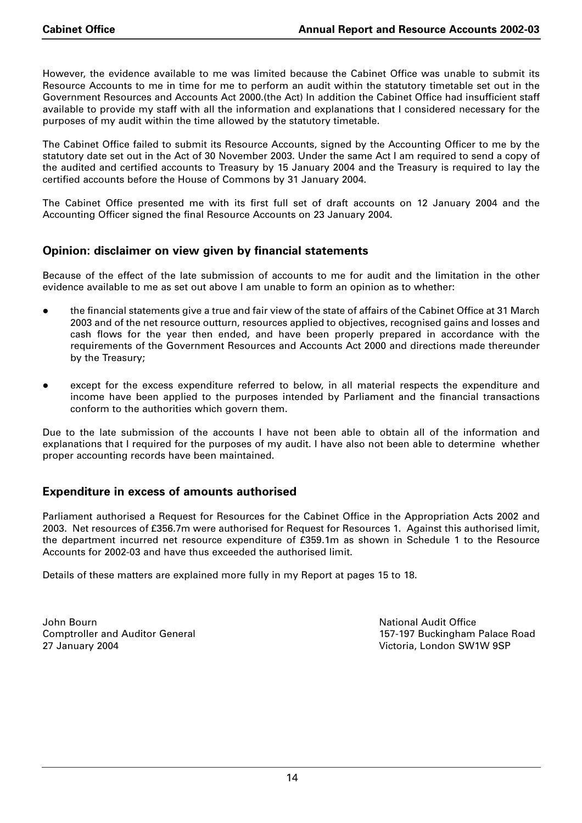However, the evidence available to me was limited because the Cabinet Office was unable to submit its Resource Accounts to me in time for me to perform an audit within the statutory timetable set out in the Government Resources and Accounts Act 2000.(the Act) In addition the Cabinet Office had insufficient staff available to provide my staff with all the information and explanations that I considered necessary for the purposes of my audit within the time allowed by the statutory timetable.

The Cabinet Office failed to submit its Resource Accounts, signed by the Accounting Officer to me by the statutory date set out in the Act of 30 November 2003. Under the same Act I am required to send a copy of the audited and certified accounts to Treasury by 15 January 2004 and the Treasury is required to lay the certified accounts before the House of Commons by 31 January 2004.

The Cabinet Office presented me with its first full set of draft accounts on 12 January 2004 and the Accounting Officer signed the final Resource Accounts on 23 January 2004.

## **Opinion: disclaimer on view given by financial statements**

Because of the effect of the late submission of accounts to me for audit and the limitation in the other evidence available to me as set out above I am unable to form an opinion as to whether:

- the financial statements give a true and fair view of the state of affairs of the Cabinet Office at 31 March 2003 and of the net resource outturn, resources applied to objectives, recognised gains and losses and cash flows for the year then ended, and have been properly prepared in accordance with the requirements of the Government Resources and Accounts Act 2000 and directions made thereunder by the Treasury;
- except for the excess expenditure referred to below, in all material respects the expenditure and income have been applied to the purposes intended by Parliament and the financial transactions conform to the authorities which govern them.

Due to the late submission of the accounts I have not been able to obtain all of the information and explanations that I required for the purposes of my audit. I have also not been able to determine whether proper accounting records have been maintained.

## **Expenditure in excess of amounts authorised**

Parliament authorised a Request for Resources for the Cabinet Office in the Appropriation Acts 2002 and 2003. Net resources of £356.7m were authorised for Request for Resources 1. Against this authorised limit, the department incurred net resource expenditure of £359.1m as shown in Schedule 1 to the Resource Accounts for 2002-03 and have thus exceeded the authorised limit.

Details of these matters are explained more fully in my Report at pages 15 to 18.

John Bourn National Audit Office 27 January 2004 Victoria, London SW1W 9SP

Comptroller and Auditor General 157-197 Buckingham Palace Road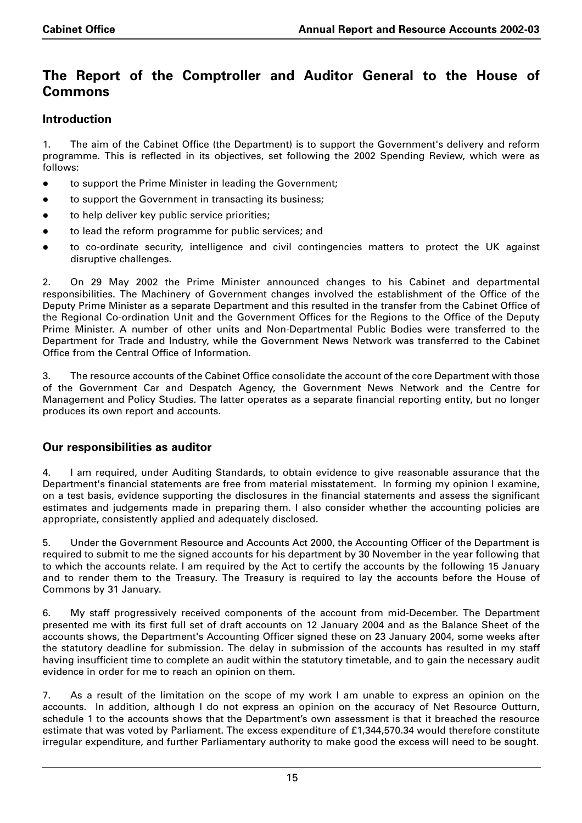## **The Report of the Comptroller and Auditor General to the House of Commons**

## **Introduction**

1. The aim of the Cabinet Office (the Department) is to support the Government's delivery and reform programme. This is reflected in its objectives, set following the 2002 Spending Review, which were as follows:

- to support the Prime Minister in leading the Government;
- to support the Government in transacting its business;
- **•** to help deliver key public service priorities;
- to lead the reform programme for public services; and
- to co-ordinate security, intelligence and civil contingencies matters to protect the UK against disruptive challenges.

2. On 29 May 2002 the Prime Minister announced changes to his Cabinet and departmental responsibilities. The Machinery of Government changes involved the establishment of the Office of the Deputy Prime Minister as a separate Department and this resulted in the transfer from the Cabinet Office of the Regional Co-ordination Unit and the Government Offices for the Regions to the Office of the Deputy Prime Minister. A number of other units and Non-Departmental Public Bodies were transferred to the Department for Trade and Industry, while the Government News Network was transferred to the Cabinet Office from the Central Office of Information.

3. The resource accounts of the Cabinet Office consolidate the account of the core Department with those of the Government Car and Despatch Agency, the Government News Network and the Centre for Management and Policy Studies. The latter operates as a separate financial reporting entity, but no longer produces its own report and accounts.

## **Our responsibilities as auditor**

4. I am required, under Auditing Standards, to obtain evidence to give reasonable assurance that the Department's financial statements are free from material misstatement. In forming my opinion I examine, on a test basis, evidence supporting the disclosures in the financial statements and assess the significant estimates and judgements made in preparing them. I also consider whether the accounting policies are appropriate, consistently applied and adequately disclosed.

5. Under the Government Resource and Accounts Act 2000, the Accounting Officer of the Department is required to submit to me the signed accounts for his department by 30 November in the year following that to which the accounts relate. I am required by the Act to certify the accounts by the following 15 January and to render them to the Treasury. The Treasury is required to lay the accounts before the House of Commons by 31 January.

6. My staff progressively received components of the account from mid-December. The Department presented me with its first full set of draft accounts on 12 January 2004 and as the Balance Sheet of the accounts shows, the Department's Accounting Officer signed these on 23 January 2004, some weeks after the statutory deadline for submission. The delay in submission of the accounts has resulted in my staff having insufficient time to complete an audit within the statutory timetable, and to gain the necessary audit evidence in order for me to reach an opinion on them.

7. As a result of the limitation on the scope of my work I am unable to express an opinion on the accounts. In addition, although I do not express an opinion on the accuracy of Net Resource Outturn, schedule 1 to the accounts shows that the Department's own assessment is that it breached the resource estimate that was voted by Parliament. The excess expenditure of £1,344,570.34 would therefore constitute irregular expenditure, and further Parliamentary authority to make good the excess will need to be sought.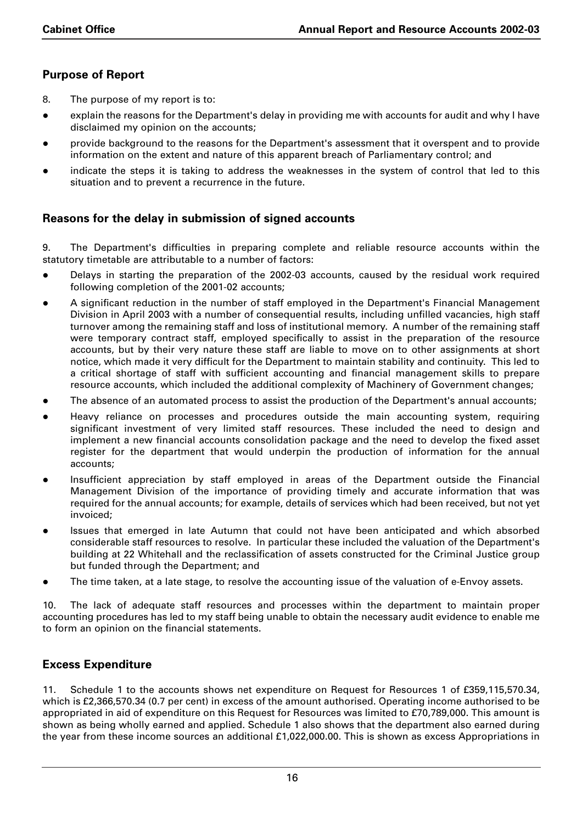## **Purpose of Report**

- 8. The purpose of my report is to:
- explain the reasons for the Department's delay in providing me with accounts for audit and why I have disclaimed my opinion on the accounts;
- provide background to the reasons for the Department's assessment that it overspent and to provide information on the extent and nature of this apparent breach of Parliamentary control; and
- indicate the steps it is taking to address the weaknesses in the system of control that led to this situation and to prevent a recurrence in the future.

## **Reasons for the delay in submission of signed accounts**

9. The Department's difficulties in preparing complete and reliable resource accounts within the statutory timetable are attributable to a number of factors:

- Delays in starting the preparation of the 2002-03 accounts, caused by the residual work required following completion of the 2001-02 accounts;
- A significant reduction in the number of staff employed in the Department's Financial Management Division in April 2003 with a number of consequential results, including unfilled vacancies, high staff turnover among the remaining staff and loss of institutional memory. A number of the remaining staff were temporary contract staff, employed specifically to assist in the preparation of the resource accounts, but by their very nature these staff are liable to move on to other assignments at short notice, which made it very difficult for the Department to maintain stability and continuity. This led to a critical shortage of staff with sufficient accounting and financial management skills to prepare resource accounts, which included the additional complexity of Machinery of Government changes;
- The absence of an automated process to assist the production of the Department's annual accounts;
- Heavy reliance on processes and procedures outside the main accounting system, requiring significant investment of very limited staff resources. These included the need to design and implement a new financial accounts consolidation package and the need to develop the fixed asset register for the department that would underpin the production of information for the annual accounts;
- Insufficient appreciation by staff employed in areas of the Department outside the Financial Management Division of the importance of providing timely and accurate information that was required for the annual accounts; for example, details of services which had been received, but not yet invoiced;
- Issues that emerged in late Autumn that could not have been anticipated and which absorbed considerable staff resources to resolve. In particular these included the valuation of the Department's building at 22 Whitehall and the reclassification of assets constructed for the Criminal Justice group but funded through the Department; and
- The time taken, at a late stage, to resolve the accounting issue of the valuation of e-Envoy assets.

10. The lack of adequate staff resources and processes within the department to maintain proper accounting procedures has led to my staff being unable to obtain the necessary audit evidence to enable me to form an opinion on the financial statements.

## **Excess Expenditure**

11. Schedule 1 to the accounts shows net expenditure on Request for Resources 1 of £359,115,570.34, which is £2,366,570.34 (0.7 per cent) in excess of the amount authorised. Operating income authorised to be appropriated in aid of expenditure on this Request for Resources was limited to £70,789,000. This amount is shown as being wholly earned and applied. Schedule 1 also shows that the department also earned during the year from these income sources an additional £1,022,000.00. This is shown as excess Appropriations in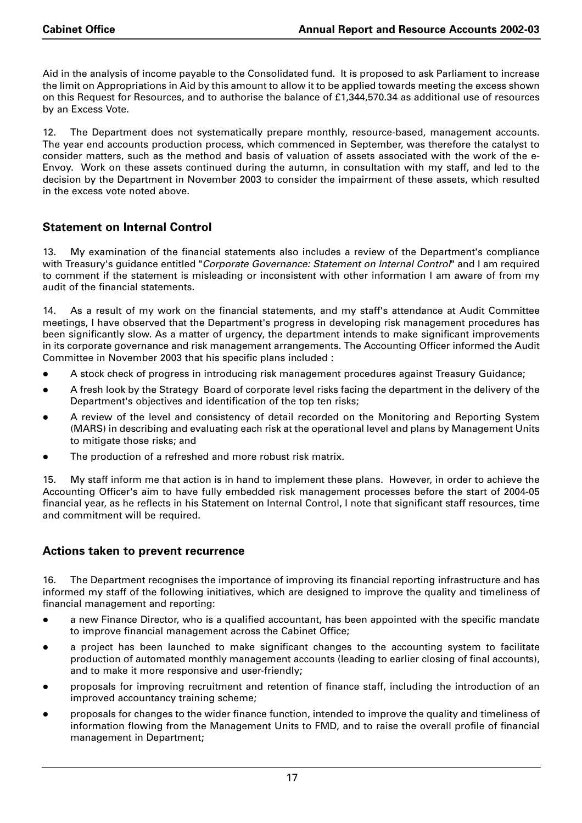Aid in the analysis of income payable to the Consolidated fund. It is proposed to ask Parliament to increase the limit on Appropriations in Aid by this amount to allow it to be applied towards meeting the excess shown on this Request for Resources, and to authorise the balance of £1,344,570.34 as additional use of resources by an Excess Vote.

12. The Department does not systematically prepare monthly, resource-based, management accounts. The year end accounts production process, which commenced in September, was therefore the catalyst to consider matters, such as the method and basis of valuation of assets associated with the work of the e-Envoy. Work on these assets continued during the autumn, in consultation with my staff, and led to the decision by the Department in November 2003 to consider the impairment of these assets, which resulted in the excess vote noted above.

## **Statement on Internal Control**

13. My examination of the financial statements also includes a review of the Department's compliance with Treasury's guidance entitled "*Corporate Governance: Statement on Internal Control*" and I am required to comment if the statement is misleading or inconsistent with other information I am aware of from my audit of the financial statements.

14. As a result of my work on the financial statements, and my staff's attendance at Audit Committee meetings, I have observed that the Department's progress in developing risk management procedures has been significantly slow. As a matter of urgency, the department intends to make significant improvements in its corporate governance and risk management arrangements. The Accounting Officer informed the Audit Committee in November 2003 that his specific plans included :

- A stock check of progress in introducing risk management procedures against Treasury Guidance;
- A fresh look by the Strategy Board of corporate level risks facing the department in the delivery of the Department's objectives and identification of the top ten risks;
- A review of the level and consistency of detail recorded on the Monitoring and Reporting System (MARS) in describing and evaluating each risk at the operational level and plans by Management Units to mitigate those risks; and
- The production of a refreshed and more robust risk matrix.

15. My staff inform me that action is in hand to implement these plans. However, in order to achieve the Accounting Officer's aim to have fully embedded risk management processes before the start of 2004-05 financial year, as he reflects in his Statement on Internal Control, I note that significant staff resources, time and commitment will be required.

## **Actions taken to prevent recurrence**

16. The Department recognises the importance of improving its financial reporting infrastructure and has informed my staff of the following initiatives, which are designed to improve the quality and timeliness of financial management and reporting:

- a new Finance Director, who is a qualified accountant, has been appointed with the specific mandate to improve financial management across the Cabinet Office;
- a project has been launched to make significant changes to the accounting system to facilitate production of automated monthly management accounts (leading to earlier closing of final accounts), and to make it more responsive and user-friendly;
- proposals for improving recruitment and retention of finance staff, including the introduction of an improved accountancy training scheme;
- proposals for changes to the wider finance function, intended to improve the quality and timeliness of information flowing from the Management Units to FMD, and to raise the overall profile of financial management in Department;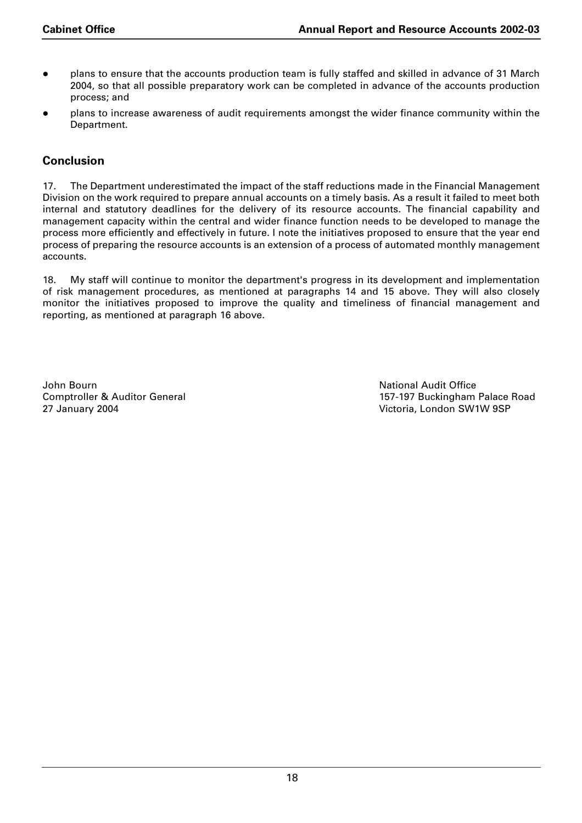- plans to ensure that the accounts production team is fully staffed and skilled in advance of 31 March 2004, so that all possible preparatory work can be completed in advance of the accounts production process; and
- plans to increase awareness of audit requirements amongst the wider finance community within the Department.

## **Conclusion**

17. The Department underestimated the impact of the staff reductions made in the Financial Management Division on the work required to prepare annual accounts on a timely basis. As a result it failed to meet both internal and statutory deadlines for the delivery of its resource accounts. The financial capability and management capacity within the central and wider finance function needs to be developed to manage the process more efficiently and effectively in future. I note the initiatives proposed to ensure that the year end process of preparing the resource accounts is an extension of a process of automated monthly management accounts.

18. My staff will continue to monitor the department's progress in its development and implementation of risk management procedures, as mentioned at paragraphs 14 and 15 above. They will also closely monitor the initiatives proposed to improve the quality and timeliness of financial management and reporting, as mentioned at paragraph 16 above.

John Bourn National Audit Office 27 January 2004 Victoria, London SW1W 9SP

Comptroller & Auditor General 2002 2012 2014 157-197 Buckingham Palace Road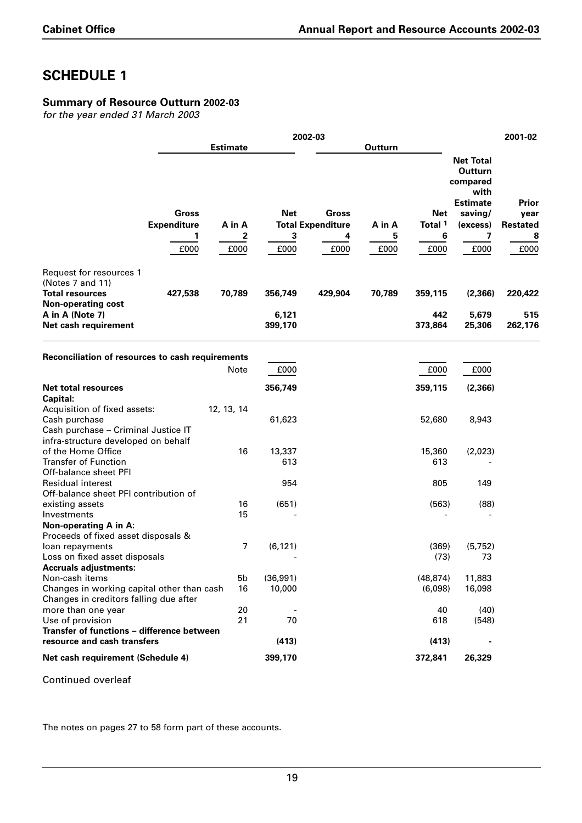## **Summary of Resource Outturn 2002-03**

*for the year ended 31 March 2003*

|                                                                                                                       |                                    | 2002-03<br><b>Estimate</b> |                                |                                          |        |                           | 2001-02                                                                                   |                                  |  |
|-----------------------------------------------------------------------------------------------------------------------|------------------------------------|----------------------------|--------------------------------|------------------------------------------|--------|---------------------------|-------------------------------------------------------------------------------------------|----------------------------------|--|
|                                                                                                                       |                                    |                            |                                |                                          |        |                           |                                                                                           |                                  |  |
|                                                                                                                       | <b>Gross</b><br><b>Expenditure</b> | A in A                     | <b>Net</b>                     | <b>Gross</b><br><b>Total Expenditure</b> | A in A | Net<br>Total <sup>1</sup> | <b>Net Total</b><br>Outturn<br>compared<br>with<br><b>Estimate</b><br>saving/<br>(excess) | Prior<br>year<br><b>Restated</b> |  |
|                                                                                                                       | 1                                  | 2                          | 3                              | 4                                        | 5      | 6                         | 7                                                                                         | 8                                |  |
|                                                                                                                       | £000                               | £000                       | £000                           | £000                                     | £000   | £000                      | £000                                                                                      | £000                             |  |
| Request for resources 1<br>(Notes 7 and 11)<br><b>Total resources</b><br><b>Non-operating cost</b><br>A in A (Note 7) | 427,538                            | 70,789                     | 356,749<br>6,121               | 429,904                                  | 70,789 | 359,115<br>442            | (2,366)<br>5,679                                                                          | 220,422<br>515                   |  |
| Net cash requirement                                                                                                  |                                    |                            | 399,170                        |                                          |        | 373,864                   | 25,306                                                                                    | 262,176                          |  |
| Reconciliation of resources to cash requirements                                                                      |                                    |                            |                                |                                          |        |                           |                                                                                           |                                  |  |
|                                                                                                                       |                                    | Note                       | £000                           |                                          |        | £000                      | £000                                                                                      |                                  |  |
| <b>Net total resources</b><br><b>Capital:</b>                                                                         |                                    |                            | 356,749                        |                                          |        | 359,115                   | (2, 366)                                                                                  |                                  |  |
| Acquisition of fixed assets:<br>Cash purchase<br>Cash purchase - Criminal Justice IT                                  |                                    | 12, 13, 14                 | 61,623                         |                                          |        | 52,680                    | 8,943                                                                                     |                                  |  |
| infra-structure developed on behalf<br>of the Home Office<br><b>Transfer of Function</b><br>Off-balance sheet PFI     |                                    | 16                         | 13,337<br>613                  |                                          |        | 15,360<br>613             | (2,023)                                                                                   |                                  |  |
| <b>Residual interest</b><br>Off-balance sheet PFI contribution of                                                     |                                    |                            | 954                            |                                          |        | 805                       | 149                                                                                       |                                  |  |
| existing assets<br>Investments<br>Non-operating A in A:<br>Proceeds of fixed asset disposals &                        |                                    | 16<br>15                   | (651)                          |                                          |        | (563)                     | (88)                                                                                      |                                  |  |
| loan repayments<br>Loss on fixed asset disposals<br><b>Accruals adjustments:</b>                                      |                                    | $\overline{7}$             | (6, 121)                       |                                          |        | (369)<br>(73)             | (5, 752)<br>73                                                                            |                                  |  |
| Non-cash items<br>Changes in working capital other than cash<br>Changes in creditors falling due after                |                                    | 5b<br>16                   | (36,991)<br>10,000             |                                          |        | (48, 874)<br>(6,098)      | 11,883<br>16,098                                                                          |                                  |  |
| more than one year<br>Use of provision<br>Transfer of functions - difference between                                  |                                    | 20<br>21                   | $\overline{\phantom{a}}$<br>70 |                                          |        | 40<br>618                 | (40)<br>(548)                                                                             |                                  |  |
| resource and cash transfers                                                                                           |                                    |                            | (413)                          |                                          |        | (413)                     |                                                                                           |                                  |  |
| Net cash requirement (Schedule 4)                                                                                     |                                    |                            | 399,170                        |                                          |        | 372,841                   | 26,329                                                                                    |                                  |  |

Continued overleaf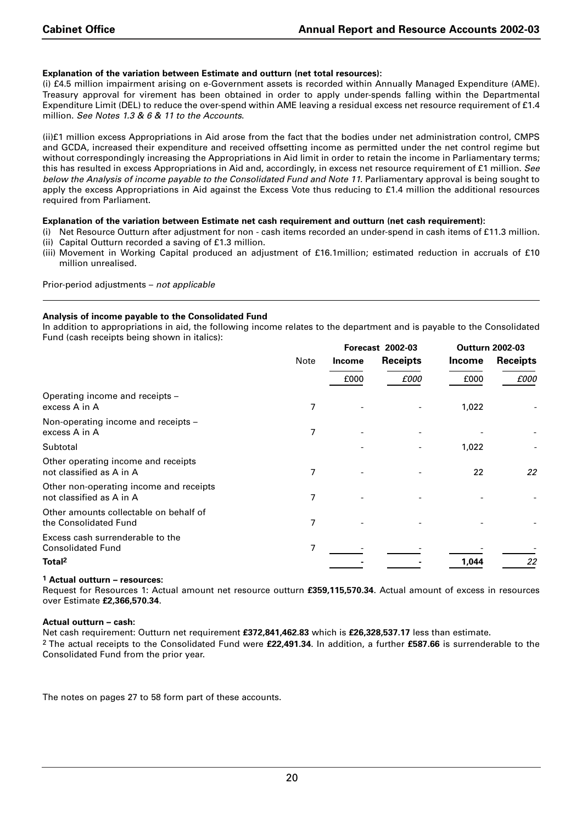#### **Explanation of the variation between Estimate and outturn (net total resources):**

(i) £4.5 million impairment arising on e-Government assets is recorded within Annually Managed Expenditure (AME). Treasury approval for virement has been obtained in order to apply under-spends falling within the Departmental Expenditure Limit (DEL) to reduce the over-spend within AME leaving a residual excess net resource requirement of £1.4 million. *See Notes 1.3 & 6 & 11 to the Accounts*.

(ii)£1 million excess Appropriations in Aid arose from the fact that the bodies under net administration control, CMPS and GCDA, increased their expenditure and received offsetting income as permitted under the net control regime but without correspondingly increasing the Appropriations in Aid limit in order to retain the income in Parliamentary terms; this has resulted in excess Appropriations in Aid and, accordingly, in excess net resource requirement of £1 million. *See below the Analysis of income payable to the Consolidated Fund and Note 11*. Parliamentary approval is being sought to apply the excess Appropriations in Aid against the Excess Vote thus reducing to £1.4 million the additional resources required from Parliament.

#### **Explanation of the variation between Estimate net cash requirement and outturn (net cash requirement):**

- (i) Net Resource Outturn after adjustment for non cash items recorded an under-spend in cash items of £11.3 million. (ii) Capital Outturn recorded a saving of £1.3 million.
- (iii) Movement in Working Capital produced an adjustment of £16.1million; estimated reduction in accruals of £10 million unrealised.

Prior-period adjustments – *not applicable*

#### **Analysis of income payable to the Consolidated Fund**

In addition to appropriations in aid, the following income relates to the department and is payable to the Consolidated Fund (cash receipts being shown in italics):

|                                                                     |      |               | <b>Forecast 2002-03</b> | <b>Outturn 2002-03</b> |                 |
|---------------------------------------------------------------------|------|---------------|-------------------------|------------------------|-----------------|
|                                                                     | Note | <b>Income</b> | <b>Receipts</b>         | <b>Income</b>          | <b>Receipts</b> |
|                                                                     |      | £000          | £000                    | £000                   | £000            |
| Operating income and receipts -<br>excess A in A                    | 7    |               |                         | 1,022                  |                 |
| Non-operating income and receipts -<br>excess A in A                | 7    |               |                         |                        |                 |
| Subtotal                                                            |      |               |                         | 1,022                  |                 |
| Other operating income and receipts<br>not classified as A in A     | 7    |               |                         | 22                     | 22              |
| Other non-operating income and receipts<br>not classified as A in A | 7    |               |                         |                        |                 |
| Other amounts collectable on behalf of<br>the Consolidated Fund     | 7    |               |                         |                        |                 |
| Excess cash surrenderable to the<br><b>Consolidated Fund</b>        | 7    |               |                         |                        |                 |
| Total <sup>2</sup>                                                  |      |               |                         | 1.044                  | 22              |

#### **1 Actual outturn – resources:**

Request for Resources 1: Actual amount net resource outturn **£359,115,570.34**. Actual amount of excess in resources over Estimate **£2,366,570.34**.

#### **Actual outturn – cash:**

Net cash requirement: Outturn net requirement **£372,841,462.83** which is **£26,328,537.17** less than estimate. 2 The actual receipts to the Consolidated Fund were **£22,491.34**. In addition, a further **£587.66** is surrenderable to the Consolidated Fund from the prior year.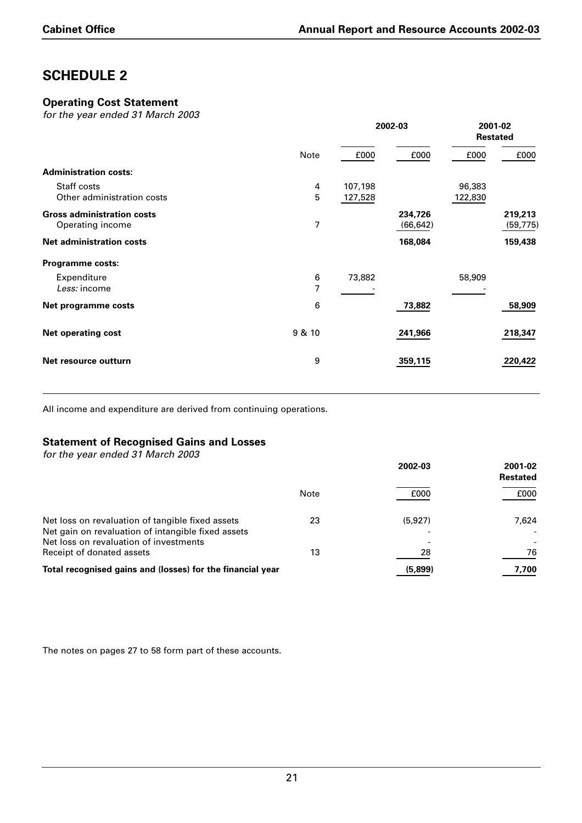## **Operating Cost Statement**

*for the year ended 31 March 2003*

|                                                       |        | 2002-03            |                      | 2001-02<br><b>Restated</b> |                      |
|-------------------------------------------------------|--------|--------------------|----------------------|----------------------------|----------------------|
|                                                       | Note   | £000               | £000                 | £000                       | £000                 |
| <b>Administration costs:</b>                          |        |                    |                      |                            |                      |
| Staff costs<br>Other administration costs             | 4<br>5 | 107,198<br>127,528 |                      | 96,383<br>122,830          |                      |
| <b>Gross administration costs</b><br>Operating income | 7      |                    | 234,726<br>(66, 642) |                            | 219,213<br>(59, 775) |
| <b>Net administration costs</b>                       |        |                    | 168,084              |                            | 159,438              |
| Programme costs:                                      |        |                    |                      |                            |                      |
| Expenditure<br>Less: income                           | 6<br>7 | 73,882             |                      | 58,909                     |                      |
| Net programme costs                                   | 6      |                    | 73,882               |                            | 58,909               |
| <b>Net operating cost</b>                             | 9 & 10 |                    | 241,966              |                            | 218,347              |
| Net resource outturn                                  | 9      |                    | 359,115              |                            | 220,422              |
|                                                       |        |                    |                      |                            |                      |

All income and expenditure are derived from continuing operations.

## **Statement of Recognised Gains and Losses**

*for the year ended 31 March 2003*

|                                                                                                                                                  |      | 2002-03                             | 2001-02<br><b>Restated</b> |
|--------------------------------------------------------------------------------------------------------------------------------------------------|------|-------------------------------------|----------------------------|
|                                                                                                                                                  | Note | £000                                | £000                       |
| Net loss on revaluation of tangible fixed assets<br>Net gain on revaluation of intangible fixed assets<br>Net loss on revaluation of investments | 23   | (5,927)<br>$\overline{\phantom{0}}$ | 7.624                      |
| Receipt of donated assets                                                                                                                        | 13   | 28                                  | 76                         |
| Total recognised gains and (losses) for the financial year                                                                                       |      | (5,899)                             | 7.700                      |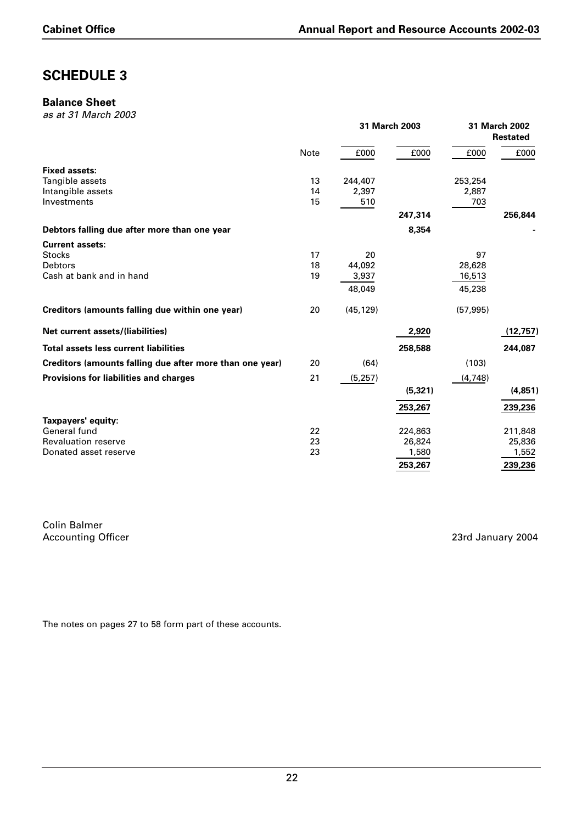#### **Balance Sheet**

*as at 31 March 2003*

|                                                          |      |           | 31 March 2003 |           | 31 March 2002<br><b>Restated</b> |
|----------------------------------------------------------|------|-----------|---------------|-----------|----------------------------------|
|                                                          | Note | £000      | £000          | £000      | £000                             |
| <b>Fixed assets:</b>                                     |      |           |               |           |                                  |
| Tangible assets                                          | 13   | 244,407   |               | 253,254   |                                  |
| Intangible assets                                        | 14   | 2,397     |               | 2,887     |                                  |
| Investments                                              | 15   | 510       |               | 703       |                                  |
|                                                          |      |           | 247,314       |           | 256,844                          |
| Debtors falling due after more than one year             |      |           | 8,354         |           |                                  |
| <b>Current assets:</b>                                   |      |           |               |           |                                  |
| <b>Stocks</b>                                            | 17   | 20        |               | 97        |                                  |
| <b>Debtors</b>                                           | 18   | 44,092    |               | 28,628    |                                  |
| Cash at bank and in hand                                 | 19   | 3,937     |               | 16,513    |                                  |
|                                                          |      | 48,049    |               | 45,238    |                                  |
| Creditors (amounts falling due within one year)          | 20   | (45, 129) |               | (57, 995) |                                  |
| <b>Net current assets/(liabilities)</b>                  |      |           | 2,920         |           | (12, 757)                        |
| <b>Total assets less current liabilities</b>             |      |           | 258,588       |           | 244,087                          |
| Creditors (amounts falling due after more than one year) | 20   | (64)      |               | (103)     |                                  |
| <b>Provisions for liabilities and charges</b>            | 21   | (5, 257)  |               | (4,748)   |                                  |
|                                                          |      |           | (5, 321)      |           | (4,851)                          |
|                                                          |      |           | 253,267       |           | 239,236                          |
| Taxpayers' equity:                                       |      |           |               |           |                                  |
| General fund                                             | 22   |           | 224,863       |           | 211,848                          |
| <b>Revaluation reserve</b>                               | 23   |           | 26,824        |           | 25,836                           |
| Donated asset reserve                                    | 23   |           | 1,580         |           | 1,552                            |
|                                                          |      |           | 253,267       |           | 239,236                          |

Colin Balmer Accounting Officer 2004 **Accounting Officer** 2004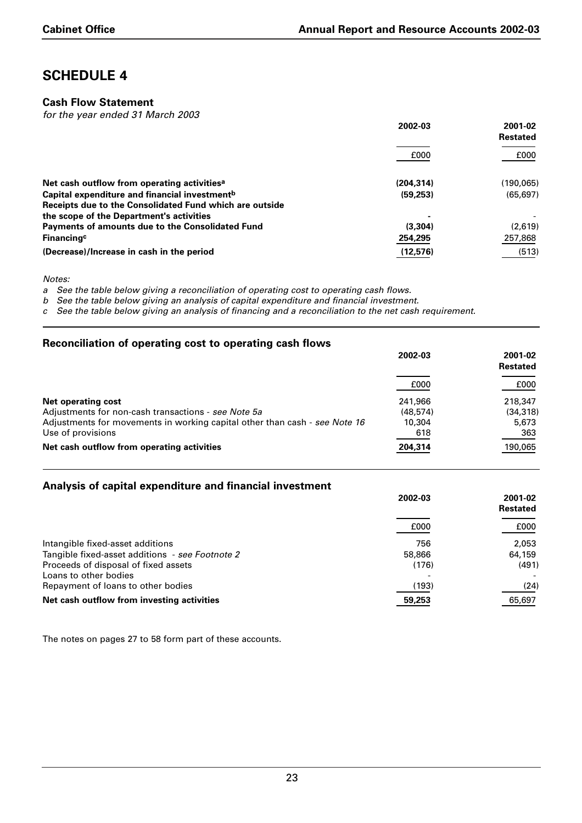## **Cash Flow Statement**

*for the year ended 31 March 2003*

|                                                           | 2002-03   | 2001-02<br><b>Restated</b> |  |
|-----------------------------------------------------------|-----------|----------------------------|--|
|                                                           | £000      | £000                       |  |
| Net cash outflow from operating activities <sup>a</sup>   | (204.314) | (190,065)                  |  |
| Capital expenditure and financial investment <sup>b</sup> | (59, 253) | (65, 697)                  |  |
| Receipts due to the Consolidated Fund which are outside   |           |                            |  |
| the scope of the Department's activities                  |           |                            |  |
| Payments of amounts due to the Consolidated Fund          | (3,304)   | (2,619)                    |  |
| Financing <sup>c</sup>                                    | 254,295   | 257,868                    |  |
| (Decrease)/Increase in cash in the period                 | (12,576)  | (513)                      |  |

*Notes:*

*a See the table below giving a reconciliation of operating cost to operating cash flows.*

*b See the table below giving an analysis of capital expenditure and financial investment.*

*c See the table below giving an analysis of financing and a reconciliation to the net cash requirement.*

### **Reconciliation of operating cost to operating cash flows**

|                                                                            | 2002-03   | 2001-02<br><b>Restated</b> |
|----------------------------------------------------------------------------|-----------|----------------------------|
|                                                                            | £000      | £000                       |
| Net operating cost                                                         | 241.966   | 218,347                    |
| Adjustments for non-cash transactions - see Note 5a                        | (48, 574) | (34.318)                   |
| Adjustments for movements in working capital other than cash - see Note 16 | 10,304    | 5,673                      |
| Use of provisions                                                          | 618       | 363                        |
| Net cash outflow from operating activities                                 | 204,314   | 190,065                    |

## **Analysis of capital expenditure and financial investment**

|                                                 | 2002-03                  | 2001-02<br><b>Restated</b> |  |
|-------------------------------------------------|--------------------------|----------------------------|--|
|                                                 | £000                     | £000                       |  |
| Intangible fixed-asset additions                | 756                      | 2.053                      |  |
| Tangible fixed-asset additions - see Footnote 2 | 58,866                   | 64,159                     |  |
| Proceeds of disposal of fixed assets            | (176)                    | (491)                      |  |
| Loans to other bodies                           | $\overline{\phantom{0}}$ |                            |  |
| Repayment of loans to other bodies              | (193)                    | (24)                       |  |
| Net cash outflow from investing activities      | 59,253                   | 65,697                     |  |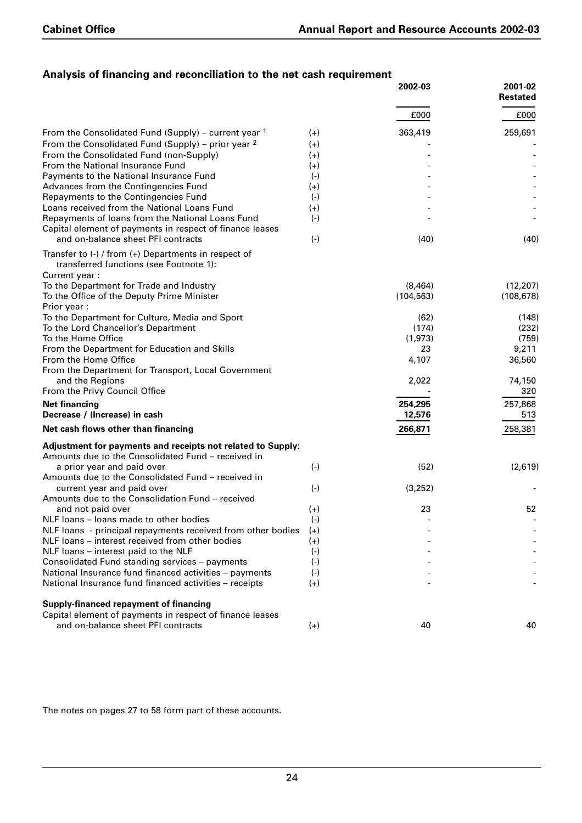## **Analysis of financing and reconciliation to the net cash requirement**

|                                                                                                                                                          |          | 2002-03    | 2001-02<br><b>Restated</b> |
|----------------------------------------------------------------------------------------------------------------------------------------------------------|----------|------------|----------------------------|
|                                                                                                                                                          |          | £000       | £000                       |
| From the Consolidated Fund (Supply) – current year 1                                                                                                     | $(+)$    | 363,419    | 259,691                    |
| From the Consolidated Fund (Supply) – prior year 2                                                                                                       | $(+)$    |            |                            |
| From the Consolidated Fund (non-Supply)                                                                                                                  | $(+)$    |            |                            |
| From the National Insurance Fund                                                                                                                         | $(+)$    |            |                            |
| Payments to the National Insurance Fund                                                                                                                  | $(-)$    |            |                            |
| Advances from the Contingencies Fund                                                                                                                     | $(+)$    |            |                            |
| Repayments to the Contingencies Fund                                                                                                                     | $(-)$    |            |                            |
| Loans received from the National Loans Fund                                                                                                              | $(+)$    |            |                            |
| Repayments of loans from the National Loans Fund<br>Capital element of payments in respect of finance leases                                             | $(-)$    |            |                            |
| and on-balance sheet PFI contracts                                                                                                                       | $(-)$    | (40)       | (40)                       |
| Transfer to $\langle \cdot \rangle$ / from $\langle \cdot \rangle$ Departments in respect of<br>transferred functions (see Footnote 1):<br>Current year: |          |            |                            |
| To the Department for Trade and Industry                                                                                                                 |          | (8,464)    | (12, 207)                  |
| To the Office of the Deputy Prime Minister                                                                                                               |          | (104, 563) | (108, 678)                 |
| Prior year:                                                                                                                                              |          |            |                            |
| To the Department for Culture, Media and Sport                                                                                                           |          | (62)       | (148)                      |
| To the Lord Chancellor's Department                                                                                                                      |          | (174)      | (232)                      |
| To the Home Office                                                                                                                                       |          | (1,973)    | (759)                      |
| From the Department for Education and Skills                                                                                                             |          | 23         | 9,211                      |
| From the Home Office                                                                                                                                     |          | 4,107      | 36,560                     |
| From the Department for Transport, Local Government                                                                                                      |          |            |                            |
| and the Regions                                                                                                                                          |          | 2,022      | 74,150                     |
| From the Privy Council Office                                                                                                                            |          |            | 320                        |
| <b>Net financing</b>                                                                                                                                     |          | 254,295    | 257,868                    |
| Decrease / (Increase) in cash                                                                                                                            |          | 12,576     | 513                        |
| Net cash flows other than financing                                                                                                                      |          | 266,871    | 258,381                    |
| Adjustment for payments and receipts not related to Supply:                                                                                              |          |            |                            |
| Amounts due to the Consolidated Fund - received in                                                                                                       |          |            |                            |
| a prior year and paid over                                                                                                                               | $(-)$    | (52)       | (2,619)                    |
| Amounts due to the Consolidated Fund – received in                                                                                                       |          |            |                            |
| current year and paid over                                                                                                                               | $(-)$    | (3,252)    |                            |
| Amounts due to the Consolidation Fund - received                                                                                                         |          |            |                            |
| and not paid over                                                                                                                                        | $(+)$    | 23         | 52                         |
| NLF loans – loans made to other bodies                                                                                                                   | $(-)$    |            |                            |
| NLF loans - principal repayments received from other bodies                                                                                              | $^{(+)}$ |            |                            |
| NLF loans - interest received from other bodies                                                                                                          | $^{(+)}$ |            |                            |
| NLF loans - interest paid to the NLF                                                                                                                     | $(-)$    |            |                            |
| Consolidated Fund standing services - payments                                                                                                           | $(-)$    |            |                            |
| National Insurance fund financed activities - payments                                                                                                   | $(-)$    |            |                            |
| National Insurance fund financed activities - receipts                                                                                                   | $(+)$    |            |                            |
| Supply-financed repayment of financing                                                                                                                   |          |            |                            |
| Capital element of payments in respect of finance leases                                                                                                 |          |            |                            |
| and on-balance sheet PFI contracts                                                                                                                       | $(+)$    | 40         | 40                         |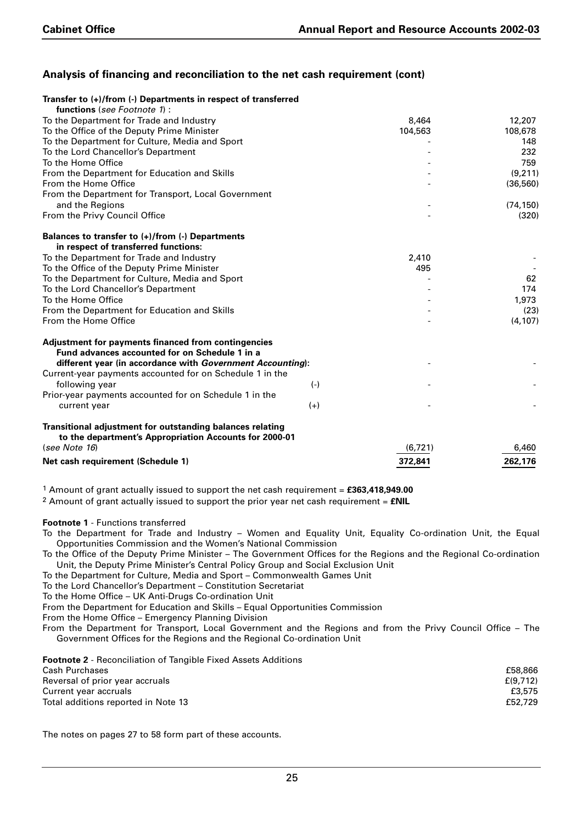## **Analysis of financing and reconciliation to the net cash requirement (cont)**

| Transfer to (+)/from (-) Departments in respect of transferred<br>functions (see Footnote 1): |         |           |
|-----------------------------------------------------------------------------------------------|---------|-----------|
| To the Department for Trade and Industry                                                      | 8,464   | 12,207    |
| To the Office of the Deputy Prime Minister                                                    | 104,563 | 108,678   |
| To the Department for Culture, Media and Sport                                                |         | 148       |
| To the Lord Chancellor's Department                                                           |         | 232       |
| To the Home Office                                                                            |         | 759       |
| From the Department for Education and Skills                                                  |         | (9,211)   |
| From the Home Office                                                                          |         | (36, 560) |
| From the Department for Transport, Local Government                                           |         |           |
| and the Regions                                                                               |         | (74, 150) |
| From the Privy Council Office                                                                 |         | (320)     |
|                                                                                               |         |           |
| Balances to transfer to (+)/from (-) Departments                                              |         |           |
| in respect of transferred functions:                                                          |         |           |
| To the Department for Trade and Industry                                                      | 2,410   |           |
| To the Office of the Deputy Prime Minister                                                    | 495     |           |
| To the Department for Culture, Media and Sport                                                |         | 62        |
| To the Lord Chancellor's Department                                                           |         | 174       |
| To the Home Office                                                                            |         | 1,973     |
| From the Department for Education and Skills                                                  |         | (23)      |
| From the Home Office                                                                          |         | (4, 107)  |
|                                                                                               |         |           |
| Adjustment for payments financed from contingencies                                           |         |           |
| Fund advances accounted for on Schedule 1 in a                                                |         |           |
| different year (in accordance with Government Accounting):                                    |         |           |
| Current-year payments accounted for on Schedule 1 in the                                      |         |           |
| following year                                                                                | $(-)$   |           |
| Prior-year payments accounted for on Schedule 1 in the                                        |         |           |
| current year                                                                                  | $(+)$   |           |
| Transitional adjustment for outstanding balances relating                                     |         |           |
| to the department's Appropriation Accounts for 2000-01                                        |         |           |
| (see Note 16)                                                                                 | (6,721) | 6,460     |
|                                                                                               |         |           |
| Net cash requirement (Schedule 1)                                                             | 372,841 | 262,176   |

1 Amount of grant actually issued to support the net cash requirement = **£363,418,949.00**

2 Amount of grant actually issued to support the prior year net cash requirement = **£NIL**

#### **Footnote 1** - Functions transferred

To the Department for Trade and Industry – Women and Equality Unit, Equality Co-ordination Unit, the Equal Opportunities Commission and the Women's National Commission

To the Office of the Deputy Prime Minister – The Government Offices for the Regions and the Regional Co-ordination Unit, the Deputy Prime Minister's Central Policy Group and Social Exclusion Unit

To the Department for Culture, Media and Sport – Commonwealth Games Unit

To the Lord Chancellor's Department – Constitution Secretariat

To the Home Office – UK Anti-Drugs Co-ordination Unit

From the Department for Education and Skills – Equal Opportunities Commission

From the Home Office – Emergency Planning Division

From the Department for Transport, Local Government and the Regions and from the Privy Council Office – The Government Offices for the Regions and the Regional Co-ordination Unit

| £58,866  |
|----------|
| E(9.712) |
| £3.575   |
| £52.729  |
|          |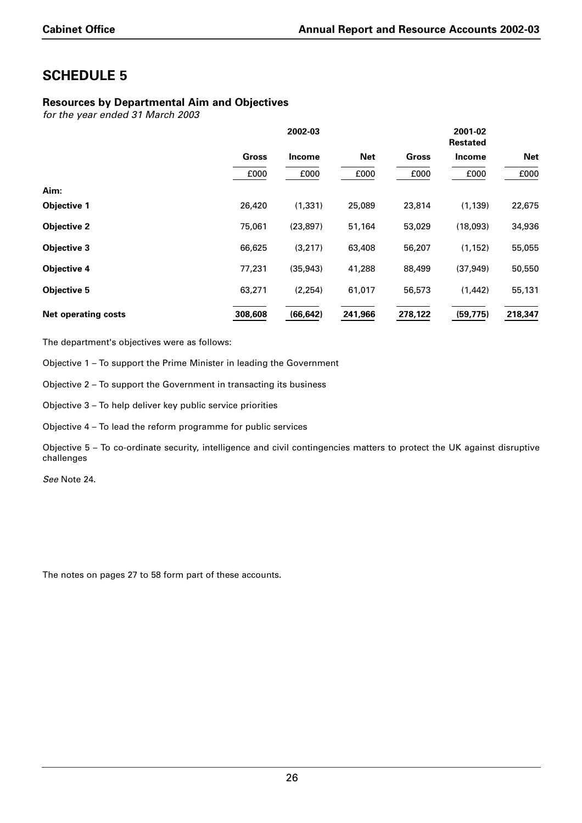## **Resources by Departmental Aim and Objectives**

*for the year ended 31 March 2003*

|                            |         | 2002-03   |            |              | 2001-02<br><b>Restated</b> |            |  |  |
|----------------------------|---------|-----------|------------|--------------|----------------------------|------------|--|--|
|                            | Gross   | Income    | <b>Net</b> | <b>Gross</b> | <b>Income</b>              | <b>Net</b> |  |  |
|                            | £000    | £000      | £000       | £000         | £000                       | £000       |  |  |
| Aim:                       |         |           |            |              |                            |            |  |  |
| <b>Objective 1</b>         | 26,420  | (1, 331)  | 25,089     | 23,814       | (1, 139)                   | 22,675     |  |  |
| <b>Objective 2</b>         | 75,061  | (23, 897) | 51,164     | 53,029       | (18,093)                   | 34,936     |  |  |
| <b>Objective 3</b>         | 66,625  | (3,217)   | 63,408     | 56,207       | (1, 152)                   | 55,055     |  |  |
| <b>Objective 4</b>         | 77,231  | (35, 943) | 41,288     | 88,499       | (37, 949)                  | 50,550     |  |  |
| <b>Objective 5</b>         | 63,271  | (2, 254)  | 61,017     | 56,573       | (1,442)                    | 55,131     |  |  |
| <b>Net operating costs</b> | 308,608 | (66, 642) | 241.966    | 278,122      | (59, 775)                  | 218,347    |  |  |

The department's objectives were as follows:

Objective 1 – To support the Prime Minister in leading the Government

Objective 2 – To support the Government in transacting its business

Objective 3 – To help deliver key public service priorities

Objective 4 – To lead the reform programme for public services

Objective 5 – To co-ordinate security, intelligence and civil contingencies matters to protect the UK against disruptive challenges

*See* Note 24.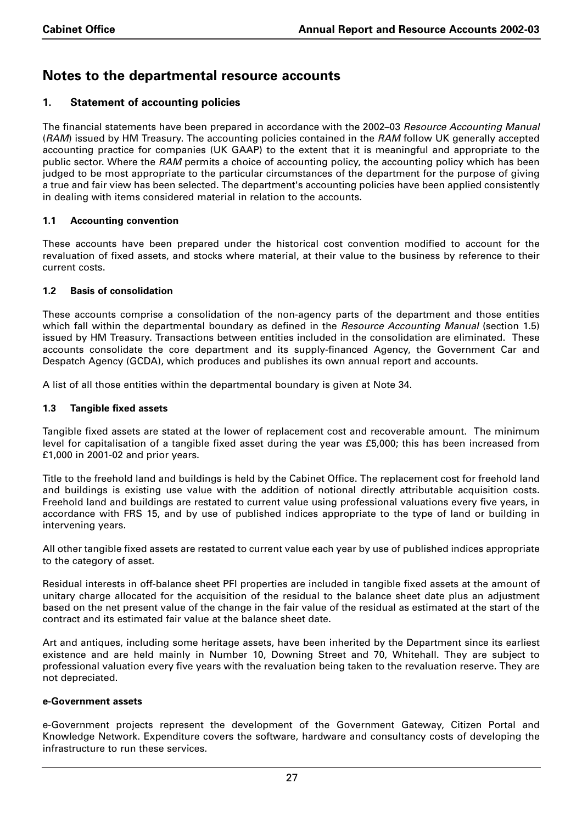## **Notes to the departmental resource accounts**

## **1. Statement of accounting policies**

The financial statements have been prepared in accordance with the 2002–03 *Resource Accounting Manual* (*RAM*) issued by HM Treasury. The accounting policies contained in the *RAM* follow UK generally accepted accounting practice for companies (UK GAAP) to the extent that it is meaningful and appropriate to the public sector. Where the *RAM* permits a choice of accounting policy, the accounting policy which has been judged to be most appropriate to the particular circumstances of the department for the purpose of giving a true and fair view has been selected. The department's accounting policies have been applied consistently in dealing with items considered material in relation to the accounts.

#### **1.1 Accounting convention**

These accounts have been prepared under the historical cost convention modified to account for the revaluation of fixed assets, and stocks where material, at their value to the business by reference to their current costs.

### **1.2 Basis of consolidation**

These accounts comprise a consolidation of the non-agency parts of the department and those entities which fall within the departmental boundary as defined in the *Resource Accounting Manual* (section 1.5) issued by HM Treasury. Transactions between entities included in the consolidation are eliminated. These accounts consolidate the core department and its supply-financed Agency, the Government Car and Despatch Agency (GCDA), which produces and publishes its own annual report and accounts.

A list of all those entities within the departmental boundary is given at Note 34.

#### **1.3 Tangible fixed assets**

Tangible fixed assets are stated at the lower of replacement cost and recoverable amount. The minimum level for capitalisation of a tangible fixed asset during the year was £5,000; this has been increased from £1,000 in 2001-02 and prior years.

Title to the freehold land and buildings is held by the Cabinet Office. The replacement cost for freehold land and buildings is existing use value with the addition of notional directly attributable acquisition costs. Freehold land and buildings are restated to current value using professional valuations every five years, in accordance with FRS 15, and by use of published indices appropriate to the type of land or building in intervening years.

All other tangible fixed assets are restated to current value each year by use of published indices appropriate to the category of asset.

Residual interests in off-balance sheet PFI properties are included in tangible fixed assets at the amount of unitary charge allocated for the acquisition of the residual to the balance sheet date plus an adjustment based on the net present value of the change in the fair value of the residual as estimated at the start of the contract and its estimated fair value at the balance sheet date.

Art and antiques, including some heritage assets, have been inherited by the Department since its earliest existence and are held mainly in Number 10, Downing Street and 70, Whitehall. They are subject to professional valuation every five years with the revaluation being taken to the revaluation reserve. They are not depreciated.

#### **e-Government assets**

e-Government projects represent the development of the Government Gateway, Citizen Portal and Knowledge Network. Expenditure covers the software, hardware and consultancy costs of developing the infrastructure to run these services.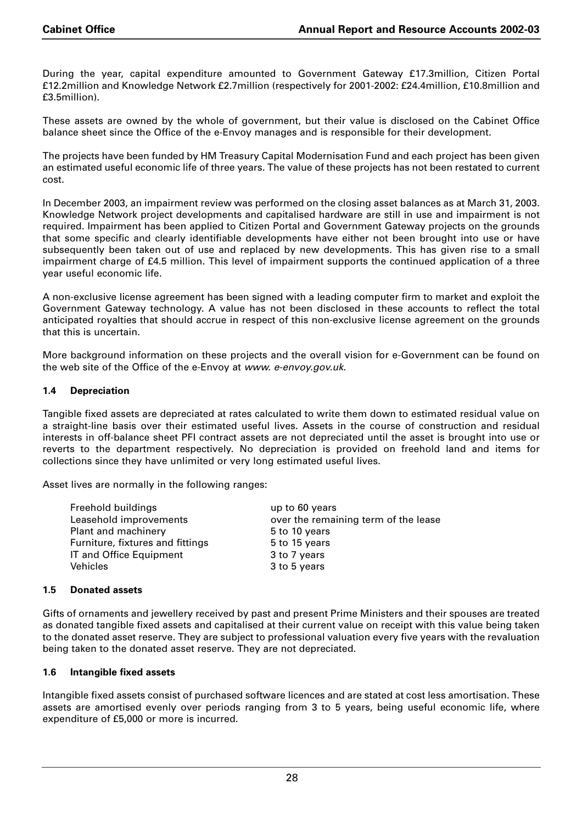During the year, capital expenditure amounted to Government Gateway £17.3million, Citizen Portal £12.2million and Knowledge Network £2.7million (respectively for 2001-2002: £24.4million, £10.8million and £3.5million).

These assets are owned by the whole of government, but their value is disclosed on the Cabinet Office balance sheet since the Office of the e-Envoy manages and is responsible for their development.

The projects have been funded by HM Treasury Capital Modernisation Fund and each project has been given an estimated useful economic life of three years. The value of these projects has not been restated to current cost.

In December 2003, an impairment review was performed on the closing asset balances as at March 31, 2003. Knowledge Network project developments and capitalised hardware are still in use and impairment is not required. Impairment has been applied to Citizen Portal and Government Gateway projects on the grounds that some specific and clearly identifiable developments have either not been brought into use or have subsequently been taken out of use and replaced by new developments. This has given rise to a small impairment charge of £4.5 million. This level of impairment supports the continued application of a three year useful economic life.

A non-exclusive license agreement has been signed with a leading computer firm to market and exploit the Government Gateway technology. A value has not been disclosed in these accounts to reflect the total anticipated royalties that should accrue in respect of this non-exclusive license agreement on the grounds that this is uncertain.

More background information on these projects and the overall vision for e-Government can be found on the web site of the Office of the e-Envoy at *www. e-envoy.gov.uk*.

### **1.4 Depreciation**

Tangible fixed assets are depreciated at rates calculated to write them down to estimated residual value on a straight-line basis over their estimated useful lives. Assets in the course of construction and residual interests in off-balance sheet PFI contract assets are not depreciated until the asset is brought into use or reverts to the department respectively. No depreciation is provided on freehold land and items for collections since they have unlimited or very long estimated useful lives.

Asset lives are normally in the following ranges:

| Freehold buildings               | up to 60 years                       |
|----------------------------------|--------------------------------------|
| Leasehold improvements           | over the remaining term of the lease |
| Plant and machinery              | 5 to 10 years                        |
| Furniture, fixtures and fittings | 5 to 15 years                        |
| IT and Office Equipment          | 3 to 7 years                         |
| <b>Vehicles</b>                  | 3 to 5 years                         |

#### **1.5 Donated assets**

Gifts of ornaments and jewellery received by past and present Prime Ministers and their spouses are treated as donated tangible fixed assets and capitalised at their current value on receipt with this value being taken to the donated asset reserve. They are subject to professional valuation every five years with the revaluation being taken to the donated asset reserve. They are not depreciated.

### **1.6 Intangible fixed assets**

Intangible fixed assets consist of purchased software licences and are stated at cost less amortisation. These assets are amortised evenly over periods ranging from 3 to 5 years, being useful economic life, where expenditure of £5,000 or more is incurred.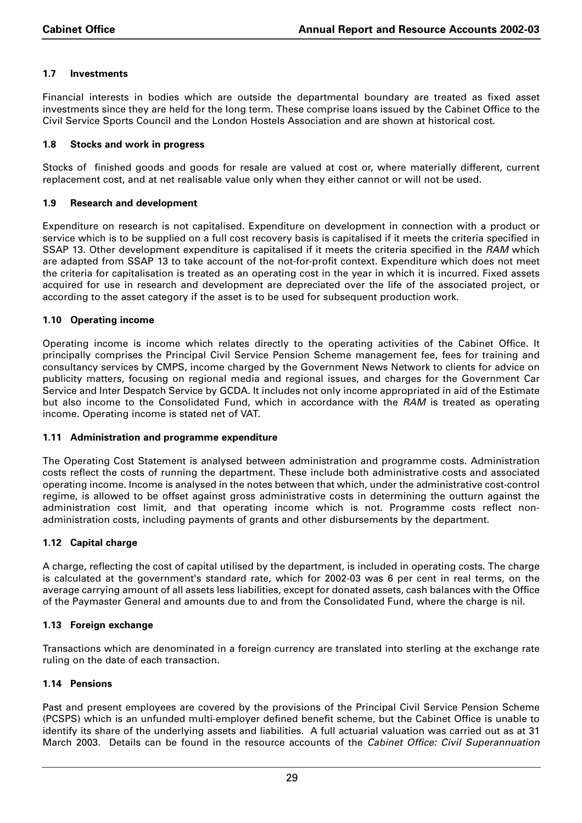#### **1.7 Investments**

Financial interests in bodies which are outside the departmental boundary are treated as fixed asset investments since they are held for the long term. These comprise loans issued by the Cabinet Office to the Civil Service Sports Council and the London Hostels Association and are shown at historical cost.

#### **1.8 Stocks and work in progress**

Stocks of finished goods and goods for resale are valued at cost or, where materially different, current replacement cost, and at net realisable value only when they either cannot or will not be used.

#### **1.9 Research and development**

Expenditure on research is not capitalised. Expenditure on development in connection with a product or service which is to be supplied on a full cost recovery basis is capitalised if it meets the criteria specified in SSAP 13. Other development expenditure is capitalised if it meets the criteria specified in the *RAM* which are adapted from SSAP 13 to take account of the not-for-profit context. Expenditure which does not meet the criteria for capitalisation is treated as an operating cost in the year in which it is incurred. Fixed assets acquired for use in research and development are depreciated over the life of the associated project, or according to the asset category if the asset is to be used for subsequent production work.

#### **1.10 Operating income**

Operating income is income which relates directly to the operating activities of the Cabinet Office. It principally comprises the Principal Civil Service Pension Scheme management fee, fees for training and consultancy services by CMPS, income charged by the Government News Network to clients for advice on publicity matters, focusing on regional media and regional issues, and charges for the Government Car Service and Inter Despatch Service by GCDA. It includes not only income appropriated in aid of the Estimate but also income to the Consolidated Fund, which in accordance with the *RAM* is treated as operating income. Operating income is stated net of VAT.

#### **1.11 Administration and programme expenditure**

The Operating Cost Statement is analysed between administration and programme costs. Administration costs reflect the costs of running the department. These include both administrative costs and associated operating income. Income is analysed in the notes between that which, under the administrative cost-control regime, is allowed to be offset against gross administrative costs in determining the outturn against the administration cost limit, and that operating income which is not. Programme costs reflect nonadministration costs, including payments of grants and other disbursements by the department.

#### **1.12 Capital charge**

A charge, reflecting the cost of capital utilised by the department, is included in operating costs. The charge is calculated at the government's standard rate, which for 2002-03 was 6 per cent in real terms, on the average carrying amount of all assets less liabilities, except for donated assets, cash balances with the Office of the Paymaster General and amounts due to and from the Consolidated Fund, where the charge is nil.

#### **1.13 Foreign exchange**

Transactions which are denominated in a foreign currency are translated into sterling at the exchange rate ruling on the date of each transaction.

#### **1.14 Pensions**

Past and present employees are covered by the provisions of the Principal Civil Service Pension Scheme (PCSPS) which is an unfunded multi-employer defined benefit scheme, but the Cabinet Office is unable to identify its share of the underlying assets and liabilities. A full actuarial valuation was carried out as at 31 March 2003. Details can be found in the resource accounts of the *Cabinet Office: Civil Superannuation*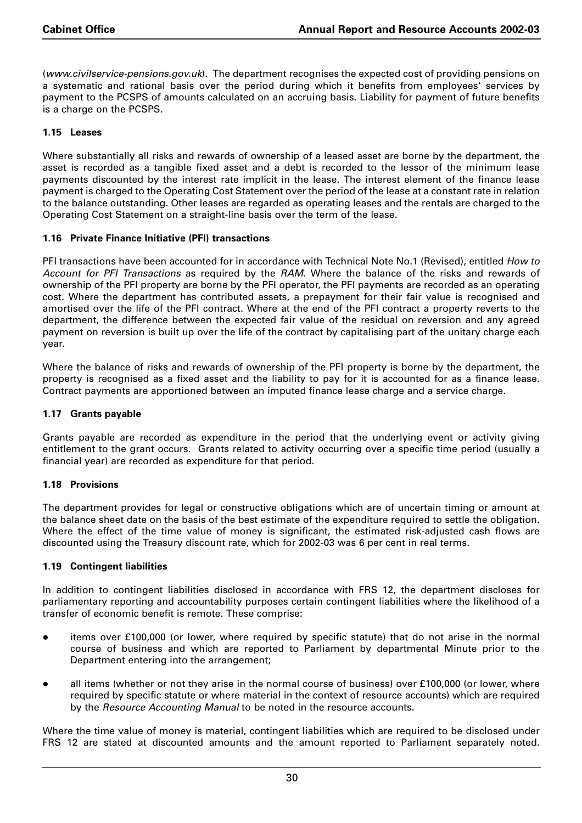(*www.civilservice-pensions.gov.uk*). The department recognises the expected cost of providing pensions on a systematic and rational basis over the period during which it benefits from employees' services by payment to the PCSPS of amounts calculated on an accruing basis. Liability for payment of future benefits is a charge on the PCSPS.

#### **1.15 Leases**

Where substantially all risks and rewards of ownership of a leased asset are borne by the department, the asset is recorded as a tangible fixed asset and a debt is recorded to the lessor of the minimum lease payments discounted by the interest rate implicit in the lease. The interest element of the finance lease payment is charged to the Operating Cost Statement over the period of the lease at a constant rate in relation to the balance outstanding. Other leases are regarded as operating leases and the rentals are charged to the Operating Cost Statement on a straight-line basis over the term of the lease.

#### **1.16 Private Finance Initiative (PFI) transactions**

PFI transactions have been accounted for in accordance with Technical Note No.1 (Revised), entitled *How to Account for PFI Transactions* as required by the *RAM*. Where the balance of the risks and rewards of ownership of the PFI property are borne by the PFI operator, the PFI payments are recorded as an operating cost. Where the department has contributed assets, a prepayment for their fair value is recognised and amortised over the life of the PFI contract. Where at the end of the PFI contract a property reverts to the department, the difference between the expected fair value of the residual on reversion and any agreed payment on reversion is built up over the life of the contract by capitalising part of the unitary charge each year.

Where the balance of risks and rewards of ownership of the PFI property is borne by the department, the property is recognised as a fixed asset and the liability to pay for it is accounted for as a finance lease. Contract payments are apportioned between an imputed finance lease charge and a service charge.

#### **1.17 Grants payable**

Grants payable are recorded as expenditure in the period that the underlying event or activity giving entitlement to the grant occurs. Grants related to activity occurring over a specific time period (usually a financial year) are recorded as expenditure for that period.

#### **1.18 Provisions**

The department provides for legal or constructive obligations which are of uncertain timing or amount at the balance sheet date on the basis of the best estimate of the expenditure required to settle the obligation. Where the effect of the time value of money is significant, the estimated risk-adjusted cash flows are discounted using the Treasury discount rate, which for 2002-03 was 6 per cent in real terms.

#### **1.19 Contingent liabilities**

In addition to contingent liabilities disclosed in accordance with FRS 12, the department discloses for parliamentary reporting and accountability purposes certain contingent liabilities where the likelihood of a transfer of economic benefit is remote. These comprise:

- items over £100,000 (or lower, where required by specific statute) that do not arise in the normal course of business and which are reported to Parliament by departmental Minute prior to the Department entering into the arrangement;
- all items (whether or not they arise in the normal course of business) over £100,000 (or lower, where required by specific statute or where material in the context of resource accounts) which are required by the *Resource Accounting Manual* to be noted in the resource accounts.

Where the time value of money is material, contingent liabilities which are required to be disclosed under FRS 12 are stated at discounted amounts and the amount reported to Parliament separately noted.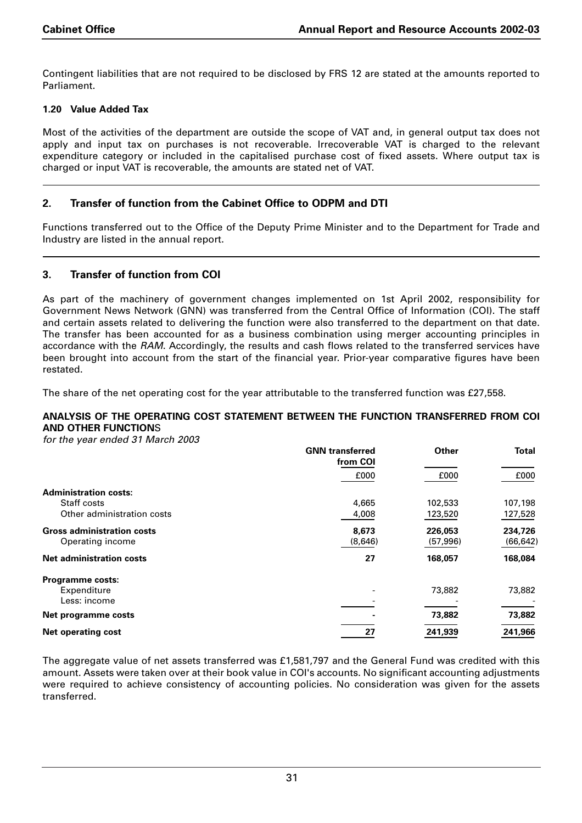Contingent liabilities that are not required to be disclosed by FRS 12 are stated at the amounts reported to Parliament.

## **1.20 Value Added Tax**

Most of the activities of the department are outside the scope of VAT and, in general output tax does not apply and input tax on purchases is not recoverable. Irrecoverable VAT is charged to the relevant expenditure category or included in the capitalised purchase cost of fixed assets. Where output tax is charged or input VAT is recoverable, the amounts are stated net of VAT.

## **2. Transfer of function from the Cabinet Office to ODPM and DTI**

Functions transferred out to the Office of the Deputy Prime Minister and to the Department for Trade and Industry are listed in the annual report.

## **3. Transfer of function from COI**

As part of the machinery of government changes implemented on 1st April 2002, responsibility for Government News Network (GNN) was transferred from the Central Office of Information (COI). The staff and certain assets related to delivering the function were also transferred to the department on that date. The transfer has been accounted for as a business combination using merger accounting principles in accordance with the *RAM*. Accordingly, the results and cash flows related to the transferred services have been brought into account from the start of the financial year. Prior-year comparative figures have been restated.

The share of the net operating cost for the year attributable to the transferred function was £27,558.

#### **ANALYSIS OF THE OPERATING COST STATEMENT BETWEEN THE FUNCTION TRANSFERRED FROM COI AND OTHER FUNCTION**S

*for the year ended 31 March 2003*

|                                   | <b>GNN</b> transferred<br>from COI | Other     | <b>Total</b> |
|-----------------------------------|------------------------------------|-----------|--------------|
|                                   | £000                               | £000      | £000         |
| <b>Administration costs:</b>      |                                    |           |              |
| Staff costs                       | 4.665                              | 102,533   | 107,198      |
| Other administration costs        | 4,008                              | 123,520   | 127,528      |
| <b>Gross administration costs</b> | 8,673                              | 226,053   | 234,726      |
| Operating income                  | (8,646)                            | (57, 996) | (66, 642)    |
| <b>Net administration costs</b>   | 27                                 | 168,057   | 168,084      |
| <b>Programme costs:</b>           |                                    |           |              |
| Expenditure                       |                                    | 73,882    | 73,882       |
| Less: income                      |                                    |           |              |
| Net programme costs               |                                    | 73,882    | 73,882       |
| <b>Net operating cost</b>         | 27                                 | 241,939   | 241,966      |

The aggregate value of net assets transferred was £1,581,797 and the General Fund was credited with this amount. Assets were taken over at their book value in COI's accounts. No significant accounting adjustments were required to achieve consistency of accounting policies. No consideration was given for the assets transferred.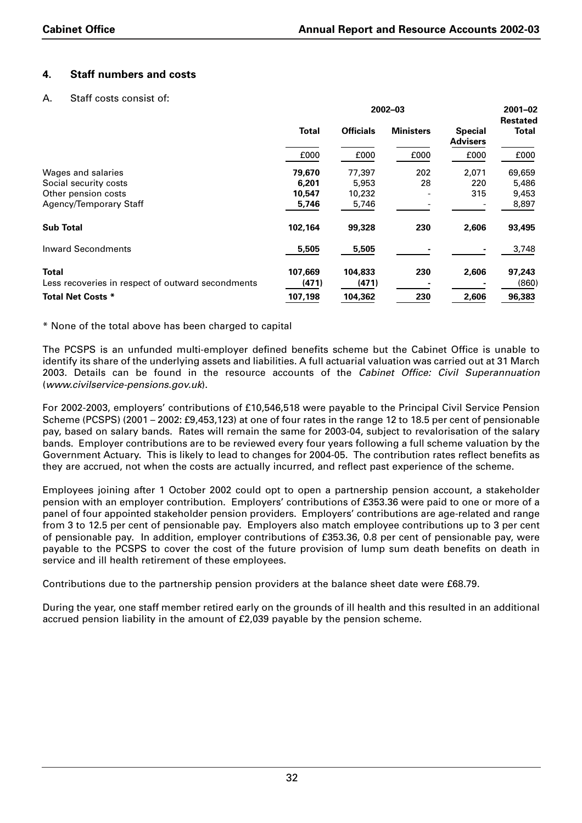## **4. Staff numbers and costs**

#### A. Staff costs consist of:

|                                                   | 2002-03      |                  |                  |                                   | $2001 - 02$                     |
|---------------------------------------------------|--------------|------------------|------------------|-----------------------------------|---------------------------------|
|                                                   | <b>Total</b> | <b>Officials</b> | <b>Ministers</b> | <b>Special</b><br><b>Advisers</b> | <b>Restated</b><br><b>Total</b> |
|                                                   | £000         | £000             | £000             | £000                              | £000                            |
| Wages and salaries                                | 79,670       | 77,397           | 202              | 2,071                             | 69,659                          |
| Social security costs                             | 6,201        | 5,953            | 28               | 220                               | 5,486                           |
| Other pension costs                               | 10,547       | 10,232           |                  | 315                               | 9,453                           |
| Agency/Temporary Staff                            | 5,746        | 5,746            |                  |                                   | 8,897                           |
| <b>Sub Total</b>                                  | 102,164      | 99,328           | 230              | 2,606                             | 93,495                          |
| <b>Inward Secondments</b>                         | 5,505        | 5,505            |                  |                                   | 3,748                           |
| <b>Total</b>                                      | 107.669      | 104,833          | 230              | 2,606                             | 97,243                          |
| Less recoveries in respect of outward secondments | (471)        | (471)            |                  |                                   | (860)                           |
| <b>Total Net Costs *</b>                          | 107,198      | 104,362          | 230              | 2,606                             | 96,383                          |

\* None of the total above has been charged to capital

The PCSPS is an unfunded multi-employer defined benefits scheme but the Cabinet Office is unable to identify its share of the underlying assets and liabilities. A full actuarial valuation was carried out at 31 March 2003. Details can be found in the resource accounts of the *Cabinet Office: Civil Superannuation* (*www.civilservice-pensions.gov.uk*).

For 2002-2003, employers' contributions of £10,546,518 were payable to the Principal Civil Service Pension Scheme (PCSPS) (2001 – 2002: £9,453,123) at one of four rates in the range 12 to 18.5 per cent of pensionable pay, based on salary bands. Rates will remain the same for 2003-04, subject to revalorisation of the salary bands. Employer contributions are to be reviewed every four years following a full scheme valuation by the Government Actuary. This is likely to lead to changes for 2004-05. The contribution rates reflect benefits as they are accrued, not when the costs are actually incurred, and reflect past experience of the scheme.

Employees joining after 1 October 2002 could opt to open a partnership pension account, a stakeholder pension with an employer contribution. Employers' contributions of £353.36 were paid to one or more of a panel of four appointed stakeholder pension providers. Employers' contributions are age-related and range from 3 to 12.5 per cent of pensionable pay. Employers also match employee contributions up to 3 per cent of pensionable pay. In addition, employer contributions of £353.36, 0.8 per cent of pensionable pay, were payable to the PCSPS to cover the cost of the future provision of lump sum death benefits on death in service and ill health retirement of these employees.

Contributions due to the partnership pension providers at the balance sheet date were £68.79.

During the year, one staff member retired early on the grounds of ill health and this resulted in an additional accrued pension liability in the amount of £2,039 payable by the pension scheme.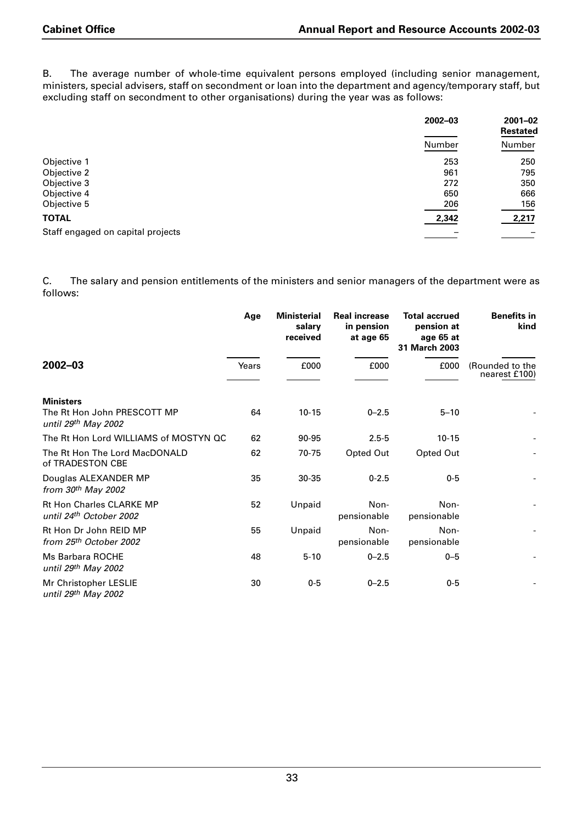B. The average number of whole-time equivalent persons employed (including senior management, ministers, special advisers, staff on secondment or loan into the department and agency/temporary staff, but excluding staff on secondment to other organisations) during the year was as follows:

|                                   | $2002 - 03$ | $2001 - 02$<br>Restated |
|-----------------------------------|-------------|-------------------------|
|                                   | Number      | Number                  |
| Objective 1                       | 253         | 250                     |
| Objective 2                       | 961         | 795                     |
| Objective 3                       | 272         | 350                     |
| Objective 4                       | 650         | 666                     |
| Objective 5                       | 206         | 156                     |
| <b>TOTAL</b>                      | 2,342       | 2,217                   |
| Staff engaged on capital projects |             |                         |

C. The salary and pension entitlements of the ministers and senior managers of the department were as follows:

|                                                                        | Age   | <b>Ministerial</b><br>salary<br>received | <b>Real increase</b><br>in pension<br>at age 65 | <b>Total accrued</b><br>pension at<br>age 65 at<br>31 March 2003 | <b>Benefits in</b><br>kind       |
|------------------------------------------------------------------------|-------|------------------------------------------|-------------------------------------------------|------------------------------------------------------------------|----------------------------------|
| $2002 - 03$                                                            | Years | £000                                     | £000                                            | £000                                                             | (Rounded to the<br>nearest £100) |
| <b>Ministers</b><br>The Rt Hon John PRESCOTT MP<br>until 29th May 2002 | 64    | $10 - 15$                                | $0 - 2.5$                                       | $5 - 10$                                                         |                                  |
| The Rt Hon Lord WILLIAMS of MOSTYN QC                                  | 62    | 90-95                                    | $2.5 - 5$                                       | $10 - 15$                                                        |                                  |
| The Rt Hon The Lord MacDONALD<br>of TRADESTON CBE                      | 62    | 70-75                                    | Opted Out                                       | Opted Out                                                        |                                  |
| Douglas ALEXANDER MP<br>from $30th$ May 2002                           | 35    | $30 - 35$                                | $0 - 2.5$                                       | $0-5$                                                            |                                  |
| <b>Rt Hon Charles CLARKE MP</b><br>until 24th October 2002             | 52    | Unpaid                                   | Non-<br>pensionable                             | Non-<br>pensionable                                              |                                  |
| Rt Hon Dr John REID MP<br>from 25th October 2002                       | 55    | Unpaid                                   | Non-<br>pensionable                             | Non-<br>pensionable                                              |                                  |
| Ms Barbara ROCHE<br>until 29th May 2002                                | 48    | $5 - 10$                                 | $0 - 2.5$                                       | $0 - 5$                                                          |                                  |
| Mr Christopher LESLIE<br>until 29th May 2002                           | 30    | $0 - 5$                                  | $0 - 2.5$                                       | $0-5$                                                            |                                  |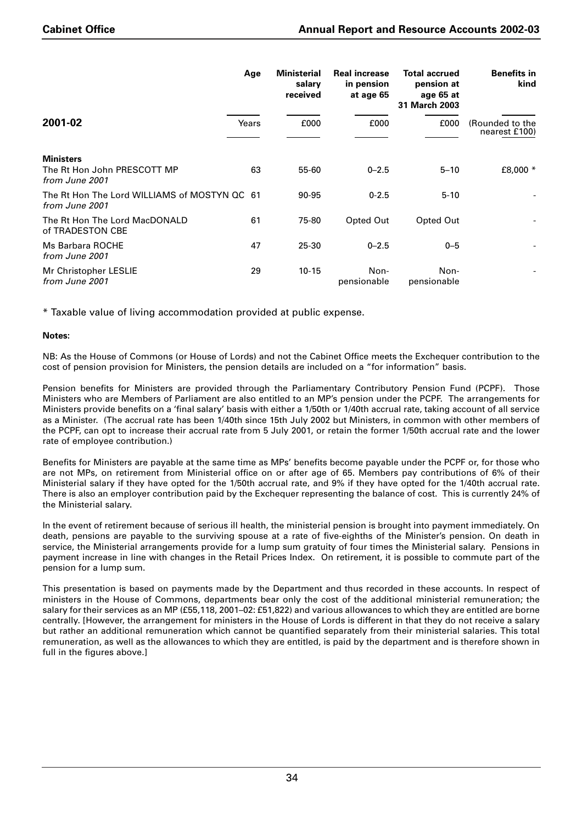|                                                                   | Age   | <b>Ministerial</b><br>salary<br>received | <b>Real increase</b><br>in pension<br>at age 65 | <b>Total accrued</b><br>pension at<br>age 65 at<br>31 March 2003 | <b>Benefits in</b><br>kind       |
|-------------------------------------------------------------------|-------|------------------------------------------|-------------------------------------------------|------------------------------------------------------------------|----------------------------------|
| 2001-02                                                           | Years | £000                                     | £000                                            | £000                                                             | (Rounded to the<br>nearest £100) |
| <b>Ministers</b><br>The Rt Hon John PRESCOTT MP<br>from June 2001 | 63    | 55-60                                    | $0 - 2.5$                                       | $5 - 10$                                                         | £8,000 *                         |
| The Rt Hon The Lord WILLIAMS of MOSTYN QC 61<br>from June 2001    |       | 90-95                                    | $0 - 2.5$                                       | $5 - 10$                                                         |                                  |
| The Rt Hon The Lord MacDONALD<br>of TRADESTON CBE                 | 61    | 75-80                                    | Opted Out                                       | Opted Out                                                        |                                  |
| Ms Barbara ROCHE<br>from June 2001                                | 47    | 25-30                                    | $0 - 2.5$                                       | $0 - 5$                                                          |                                  |
| Mr Christopher LESLIE<br>from June 2001                           | 29    | $10 - 15$                                | Non-<br>pensionable                             | Non-<br>pensionable                                              |                                  |

\* Taxable value of living accommodation provided at public expense.

#### **Notes:**

NB: As the House of Commons (or House of Lords) and not the Cabinet Office meets the Exchequer contribution to the cost of pension provision for Ministers, the pension details are included on a "for information" basis.

Pension benefits for Ministers are provided through the Parliamentary Contributory Pension Fund (PCPF). Those Ministers who are Members of Parliament are also entitled to an MP's pension under the PCPF. The arrangements for Ministers provide benefits on a 'final salary' basis with either a 1/50th or 1/40th accrual rate, taking account of all service as a Minister. (The accrual rate has been 1/40th since 15th July 2002 but Ministers, in common with other members of the PCPF, can opt to increase their accrual rate from 5 July 2001, or retain the former 1/50th accrual rate and the lower rate of employee contribution.)

Benefits for Ministers are payable at the same time as MPs' benefits become payable under the PCPF or, for those who are not MPs, on retirement from Ministerial office on or after age of 65. Members pay contributions of 6% of their Ministerial salary if they have opted for the 1/50th accrual rate, and 9% if they have opted for the 1/40th accrual rate. There is also an employer contribution paid by the Exchequer representing the balance of cost. This is currently 24% of the Ministerial salary.

In the event of retirement because of serious ill health, the ministerial pension is brought into payment immediately. On death, pensions are payable to the surviving spouse at a rate of five-eighths of the Minister's pension. On death in service, the Ministerial arrangements provide for a lump sum gratuity of four times the Ministerial salary. Pensions in payment increase in line with changes in the Retail Prices Index. On retirement, it is possible to commute part of the pension for a lump sum.

This presentation is based on payments made by the Department and thus recorded in these accounts. In respect of ministers in the House of Commons, departments bear only the cost of the additional ministerial remuneration; the salary for their services as an MP (£55,118, 2001–02: £51,822) and various allowances to which they are entitled are borne centrally. [However, the arrangement for ministers in the House of Lords is different in that they do not receive a salary but rather an additional remuneration which cannot be quantified separately from their ministerial salaries. This total remuneration, as well as the allowances to which they are entitled, is paid by the department and is therefore shown in full in the figures above.]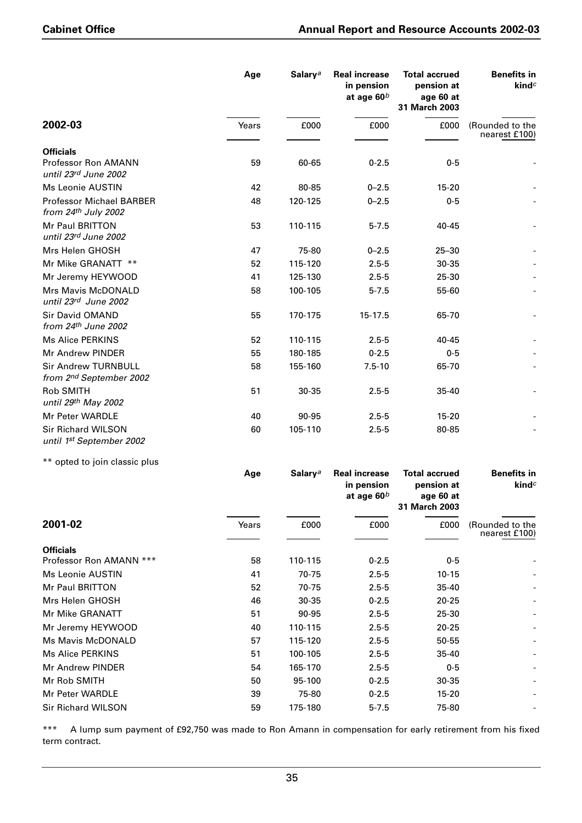|                                                        | Age   | Salary <sup>a</sup> | <b>Real increase</b><br>in pension<br>at age $60^b$ | <b>Total accrued</b><br>pension at<br>age 60 at<br>31 March 2003 | <b>Benefits in</b><br>$\mathbf{kind}^c$ |
|--------------------------------------------------------|-------|---------------------|-----------------------------------------------------|------------------------------------------------------------------|-----------------------------------------|
| 2002-03                                                | Years | £000                | £000                                                | £000                                                             | (Rounded to the<br>nearest £100)        |
| <b>Officials</b>                                       |       |                     |                                                     |                                                                  |                                         |
| Professor Ron AMANN<br>until 23rd June 2002            | 59    | 60-65               | $0 - 2.5$                                           | $0-5$                                                            |                                         |
| <b>Ms Leonie AUSTIN</b>                                | 42    | 80-85               | $0 - 2.5$                                           | $15 - 20$                                                        |                                         |
| <b>Professor Michael BARBER</b><br>from 24th July 2002 | 48    | 120-125             | $0 - 2.5$                                           | $0-5$                                                            |                                         |
| <b>Mr Paul BRITTON</b><br>until 23rd June 2002         | 53    | 110-115             | $5 - 7.5$                                           | 40-45                                                            |                                         |
| Mrs Helen GHOSH                                        | 47    | 75-80               | $0 - 2.5$                                           | $25 - 30$                                                        |                                         |
| Mr Mike GRANATT **                                     | 52    | 115-120             | $2.5 - 5$                                           | 30-35                                                            |                                         |
| Mr Jeremy HEYWOOD                                      | 41    | 125-130             | $2.5 - 5$                                           | 25-30                                                            |                                         |
| Mrs Mavis McDONALD<br>until 23rd June 2002             | 58    | 100-105             | $5 - 7.5$                                           | 55-60                                                            |                                         |
| <b>Sir David OMAND</b><br>from $24th$ June 2002        | 55    | 170-175             | 15-17.5                                             | 65-70                                                            |                                         |
| <b>Ms Alice PERKINS</b>                                | 52    | 110-115             | $2.5 - 5$                                           | 40-45                                                            |                                         |
| Mr Andrew PINDER                                       | 55    | 180-185             | $0 - 2.5$                                           | $0 - 5$                                                          |                                         |
| <b>Sir Andrew TURNBULL</b><br>from 2nd September 2002  | 58    | 155-160             | $7.5 - 10$                                          | 65-70                                                            |                                         |
| <b>Rob SMITH</b><br>until 29th May 2002                | 51    | 30-35               | $2.5 - 5$                                           | 35-40                                                            |                                         |
| Mr Peter WARDLE                                        | 40    | 90-95               | $2.5 - 5$                                           | $15 - 20$                                                        |                                         |
| <b>Sir Richard WILSON</b><br>until 1st September 2002  | 60    | 105-110             | $2.5 - 5$                                           | 80-85                                                            |                                         |

\*\* opted to join classic plus

|                           | Age   | <b>Salary</b> <sup>a</sup> | <b>Real increase</b><br>in pension<br>at age $60b$ | <b>Total accrued</b><br>pension at<br>age 60 at<br>31 March 2003 | <b>Benefits in</b><br>kind $c$   |
|---------------------------|-------|----------------------------|----------------------------------------------------|------------------------------------------------------------------|----------------------------------|
| 2001-02                   | Years | £000                       | £000                                               | £000                                                             | (Rounded to the<br>nearest £100) |
| <b>Officials</b>          |       |                            |                                                    |                                                                  |                                  |
| Professor Ron AMANN ***   | 58    | 110-115                    | $0 - 2.5$                                          | $0 - 5$                                                          |                                  |
| Ms Leonie AUSTIN          | 41    | 70-75                      | $2.5 - 5$                                          | $10 - 15$                                                        |                                  |
| Mr Paul BRITTON           | 52    | 70-75                      | $2.5 - 5$                                          | $35 - 40$                                                        |                                  |
| Mrs Helen GHOSH           | 46    | 30-35                      | $0 - 2.5$                                          | $20 - 25$                                                        |                                  |
| Mr Mike GRANATT           | 51    | 90-95                      | $2.5 - 5$                                          | 25-30                                                            |                                  |
| Mr Jeremy HEYWOOD         | 40    | 110-115                    | $2.5 - 5$                                          | $20 - 25$                                                        |                                  |
| <b>Ms Mavis McDONALD</b>  | 57    | 115-120                    | $2.5 - 5$                                          | 50-55                                                            |                                  |
| Ms Alice PERKINS          | 51    | 100-105                    | $2.5 - 5$                                          | 35-40                                                            |                                  |
| Mr Andrew PINDER          | 54    | 165-170                    | $2.5 - 5$                                          | $0 - 5$                                                          |                                  |
| Mr Rob SMITH              | 50    | 95-100                     | $0 - 2.5$                                          | $30 - 35$                                                        |                                  |
| Mr Peter WARDLE           | 39    | 75-80                      | $0 - 2.5$                                          | $15 - 20$                                                        |                                  |
| <b>Sir Richard WILSON</b> | 59    | 175-180                    | $5 - 7.5$                                          | 75-80                                                            |                                  |
|                           |       |                            |                                                    |                                                                  |                                  |

\*\*\* A lump sum payment of £92,750 was made to Ron Amann in compensation for early retirement from his fixed term contract.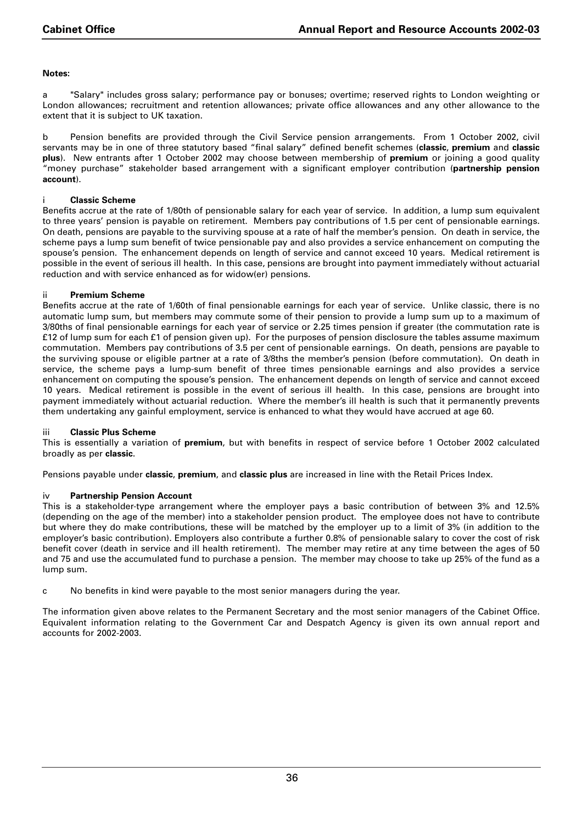#### **Notes:**

a "Salary" includes gross salary; performance pay or bonuses; overtime; reserved rights to London weighting or London allowances; recruitment and retention allowances; private office allowances and any other allowance to the extent that it is subject to UK taxation.

b Pension benefits are provided through the Civil Service pension arrangements. From 1 October 2002, civil servants may be in one of three statutory based "final salary" defined benefit schemes (**classic**, **premium** and **classic plus**). New entrants after 1 October 2002 may choose between membership of **premium** or joining a good quality "money purchase" stakeholder based arrangement with a significant employer contribution (**partnership pension account**).

#### i **Classic Scheme**

Benefits accrue at the rate of 1/80th of pensionable salary for each year of service. In addition, a lump sum equivalent to three years' pension is payable on retirement. Members pay contributions of 1.5 per cent of pensionable earnings. On death, pensions are payable to the surviving spouse at a rate of half the member's pension. On death in service, the scheme pays a lump sum benefit of twice pensionable pay and also provides a service enhancement on computing the spouse's pension. The enhancement depends on length of service and cannot exceed 10 years. Medical retirement is possible in the event of serious ill health. In this case, pensions are brought into payment immediately without actuarial reduction and with service enhanced as for widow(er) pensions.

#### ii **Premium Scheme**

Benefits accrue at the rate of 1/60th of final pensionable earnings for each year of service. Unlike classic, there is no automatic lump sum, but members may commute some of their pension to provide a lump sum up to a maximum of 3/80ths of final pensionable earnings for each year of service or 2.25 times pension if greater (the commutation rate is £12 of lump sum for each £1 of pension given up). For the purposes of pension disclosure the tables assume maximum commutation. Members pay contributions of 3.5 per cent of pensionable earnings. On death, pensions are payable to the surviving spouse or eligible partner at a rate of 3/8ths the member's pension (before commutation). On death in service, the scheme pays a lump-sum benefit of three times pensionable earnings and also provides a service enhancement on computing the spouse's pension. The enhancement depends on length of service and cannot exceed 10 years. Medical retirement is possible in the event of serious ill health. In this case, pensions are brought into payment immediately without actuarial reduction. Where the member's ill health is such that it permanently prevents them undertaking any gainful employment, service is enhanced to what they would have accrued at age 60.

#### iii **Classic Plus Scheme**

This is essentially a variation of **premium**, but with benefits in respect of service before 1 October 2002 calculated broadly as per **classic**.

Pensions payable under **classic**, **premium**, and **classic plus** are increased in line with the Retail Prices Index.

#### iv **Partnership Pension Account**

This is a stakeholder-type arrangement where the employer pays a basic contribution of between 3% and 12.5% (depending on the age of the member) into a stakeholder pension product. The employee does not have to contribute but where they do make contributions, these will be matched by the employer up to a limit of 3% (in addition to the employer's basic contribution). Employers also contribute a further 0.8% of pensionable salary to cover the cost of risk benefit cover (death in service and ill health retirement). The member may retire at any time between the ages of 50 and 75 and use the accumulated fund to purchase a pension. The member may choose to take up 25% of the fund as a lump sum.

c No benefits in kind were payable to the most senior managers during the year.

The information given above relates to the Permanent Secretary and the most senior managers of the Cabinet Office. Equivalent information relating to the Government Car and Despatch Agency is given its own annual report and accounts for 2002-2003.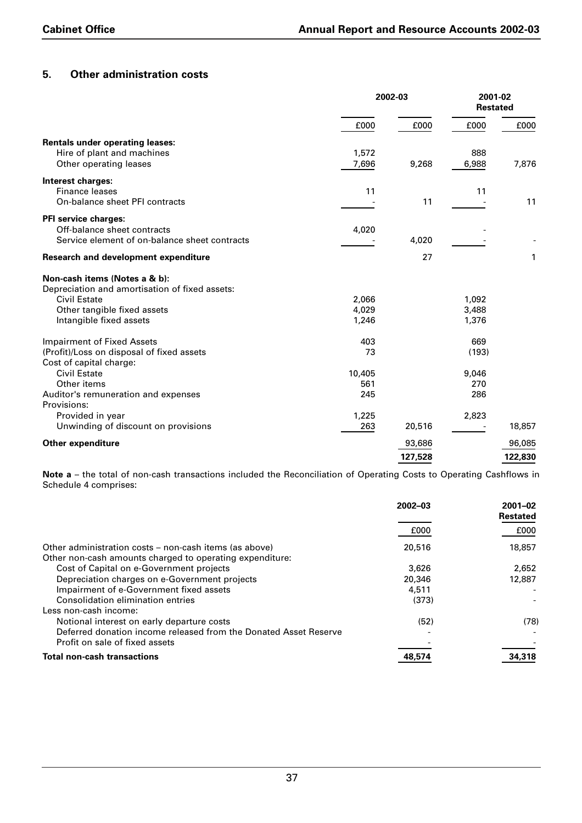## **5. Other administration costs**

|                                                |        | 2002-03 |       | 2001-02<br><b>Restated</b> |  |
|------------------------------------------------|--------|---------|-------|----------------------------|--|
|                                                | £000   | £000    | £000  | £000                       |  |
| <b>Rentals under operating leases:</b>         |        |         |       |                            |  |
| Hire of plant and machines                     | 1,572  |         | 888   |                            |  |
| Other operating leases                         | 7,696  | 9,268   | 6,988 | 7,876                      |  |
| Interest charges:                              |        |         |       |                            |  |
| <b>Finance leases</b>                          | 11     |         | 11    |                            |  |
| On-balance sheet PFI contracts                 |        | 11      |       | 11                         |  |
| PFI service charges:                           |        |         |       |                            |  |
| Off-balance sheet contracts                    | 4,020  |         |       |                            |  |
| Service element of on-balance sheet contracts  |        | 4,020   |       |                            |  |
| Research and development expenditure           |        | 27      |       | 1                          |  |
| Non-cash items (Notes a & b):                  |        |         |       |                            |  |
| Depreciation and amortisation of fixed assets: |        |         |       |                            |  |
| <b>Civil Estate</b>                            | 2,066  |         | 1,092 |                            |  |
| Other tangible fixed assets                    | 4,029  |         | 3,488 |                            |  |
| Intangible fixed assets                        | 1,246  |         | 1,376 |                            |  |
| <b>Impairment of Fixed Assets</b>              | 403    |         | 669   |                            |  |
| (Profit)/Loss on disposal of fixed assets      | 73     |         | (193) |                            |  |
| Cost of capital charge:                        |        |         |       |                            |  |
| <b>Civil Estate</b>                            | 10,405 |         | 9,046 |                            |  |
| Other items                                    | 561    |         | 270   |                            |  |
| Auditor's remuneration and expenses            | 245    |         | 286   |                            |  |
| Provisions:                                    |        |         |       |                            |  |
| Provided in year                               | 1,225  |         | 2,823 |                            |  |
| Unwinding of discount on provisions            | 263    | 20,516  |       | 18,857                     |  |
| Other expenditure                              |        | 93,686  |       | 96,085                     |  |
|                                                |        | 127,528 |       | 122,830                    |  |

**Note a** – the total of non-cash transactions included the Reconciliation of Operating Costs to Operating Cashflows in Schedule 4 comprises:

|                                                                                                                    | $2002 - 03$ | $2001 - 02$<br><b>Restated</b> |
|--------------------------------------------------------------------------------------------------------------------|-------------|--------------------------------|
|                                                                                                                    | £000        | £000                           |
| Other administration costs – non-cash items (as above)<br>Other non-cash amounts charged to operating expenditure: | 20,516      | 18,857                         |
| Cost of Capital on e-Government projects                                                                           | 3.626       | 2.652                          |
| Depreciation charges on e-Government projects                                                                      | 20,346      | 12,887                         |
| Impairment of e-Government fixed assets                                                                            | 4,511       |                                |
| Consolidation elimination entries                                                                                  | (373)       |                                |
| Less non-cash income:                                                                                              |             |                                |
| Notional interest on early departure costs                                                                         | (52)        | (78)                           |
| Deferred donation income released from the Donated Asset Reserve                                                   |             |                                |
| Profit on sale of fixed assets                                                                                     |             |                                |
| <b>Total non-cash transactions</b>                                                                                 | 48,574      | 34,318                         |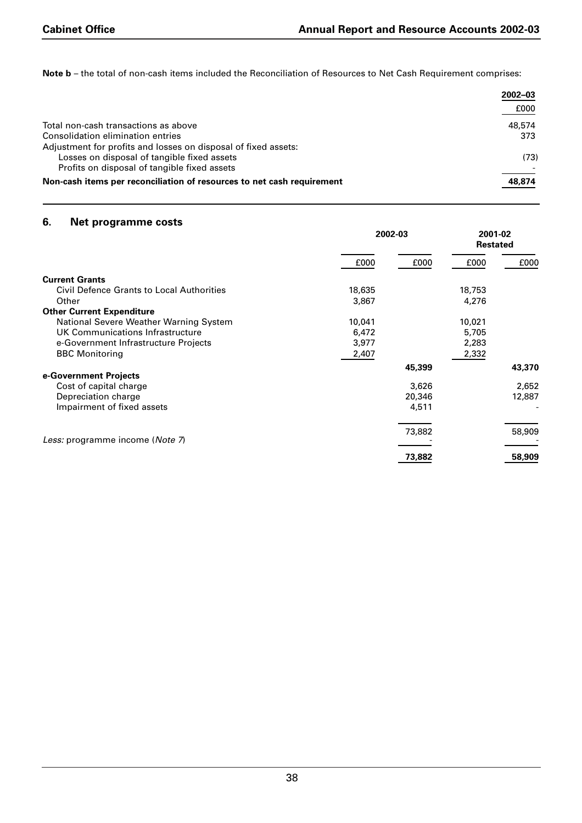**Note b** – the total of non-cash items included the Reconciliation of Resources to Net Cash Requirement comprises:

|                                                                        | 2002-03 |
|------------------------------------------------------------------------|---------|
|                                                                        | £000    |
| Total non-cash transactions as above                                   | 48,574  |
| Consolidation elimination entries                                      | 373     |
| Adjustment for profits and losses on disposal of fixed assets:         |         |
| Losses on disposal of tangible fixed assets                            | (73)    |
| Profits on disposal of tangible fixed assets                           |         |
| Non-cash items per reconciliation of resources to net cash requirement | 48,874  |

## **6. Net programme costs**

|                                                  | 2002-03 |        | 2001-02<br><b>Restated</b> |        |
|--------------------------------------------------|---------|--------|----------------------------|--------|
|                                                  | £000    | £000   | £000                       | £000   |
| <b>Current Grants</b>                            |         |        |                            |        |
| <b>Civil Defence Grants to Local Authorities</b> | 18,635  |        | 18,753                     |        |
| Other                                            | 3,867   |        | 4,276                      |        |
| <b>Other Current Expenditure</b>                 |         |        |                            |        |
| National Severe Weather Warning System           | 10,041  |        | 10,021                     |        |
| UK Communications Infrastructure                 | 6,472   |        | 5,705                      |        |
| e-Government Infrastructure Projects             | 3,977   |        | 2,283                      |        |
| <b>BBC Monitoring</b>                            | 2,407   |        | 2,332                      |        |
| e-Government Projects                            |         | 45,399 |                            | 43,370 |
| Cost of capital charge                           |         | 3,626  |                            | 2,652  |
| Depreciation charge                              |         | 20,346 |                            | 12,887 |
| Impairment of fixed assets                       |         | 4,511  |                            |        |
|                                                  |         |        |                            |        |
|                                                  |         | 73,882 |                            | 58,909 |
| Less: programme income (Note 7)                  |         |        |                            |        |
|                                                  |         | 73,882 |                            | 58,909 |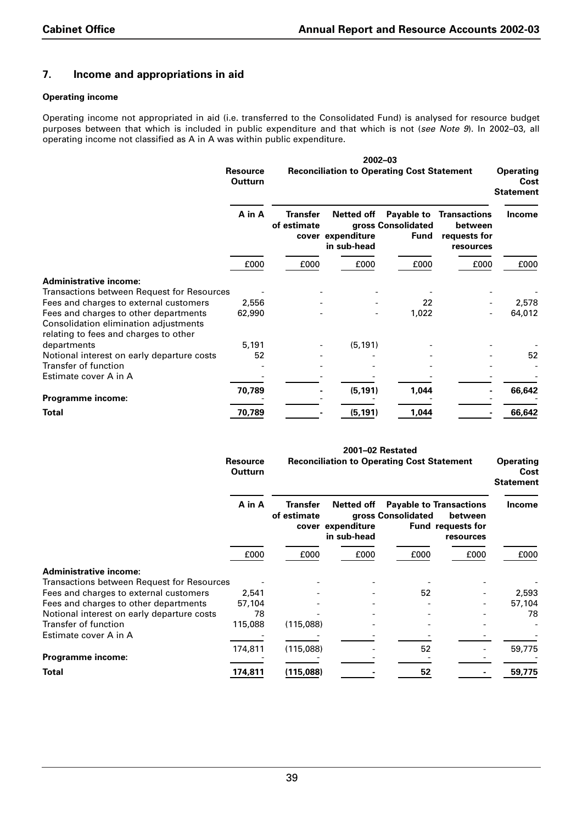## **7. Income and appropriations in aid**

#### **Operating income**

Operating income not appropriated in aid (i.e. transferred to the Consolidated Fund) is analysed for resource budget purposes between that which is included in public expenditure and that which is not (*see Note 9*). In 2002–03, all operating income not classified as A in A was within public expenditure.

|                                                                                                                         |                                             |                                         |                                          | 2002-03                                           |                                                             |                                              |
|-------------------------------------------------------------------------------------------------------------------------|---------------------------------------------|-----------------------------------------|------------------------------------------|---------------------------------------------------|-------------------------------------------------------------|----------------------------------------------|
|                                                                                                                         | <b>Resource</b><br><b>Outturn</b><br>A in A |                                         |                                          | <b>Reconciliation to Operating Cost Statement</b> |                                                             | <b>Operating</b><br>Cost<br><b>Statement</b> |
|                                                                                                                         |                                             | <b>Transfer</b><br>of estimate<br>cover | Netted off<br>expenditure<br>in sub-head | Payable to<br>gross Consolidated<br><b>Fund</b>   | <b>Transactions</b><br>between<br>requests for<br>resources | <b>Income</b>                                |
|                                                                                                                         | £000                                        | £000                                    | £000                                     | £000                                              | £000                                                        | £000                                         |
| <b>Administrative income:</b>                                                                                           |                                             |                                         |                                          |                                                   |                                                             |                                              |
| Transactions between Request for Resources                                                                              |                                             |                                         |                                          |                                                   |                                                             |                                              |
| Fees and charges to external customers                                                                                  | 2,556                                       |                                         |                                          | 22                                                |                                                             | 2,578                                        |
| Fees and charges to other departments<br>Consolidation elimination adjustments<br>relating to fees and charges to other | 62,990                                      |                                         |                                          | 1,022                                             |                                                             | 64,012                                       |
| departments                                                                                                             | 5,191                                       |                                         | (5, 191)                                 |                                                   |                                                             |                                              |
| Notional interest on early departure costs                                                                              | 52                                          |                                         |                                          |                                                   |                                                             | 52                                           |
| <b>Transfer of function</b>                                                                                             |                                             |                                         |                                          |                                                   |                                                             |                                              |
| Estimate cover A in A                                                                                                   |                                             |                                         |                                          |                                                   |                                                             |                                              |
|                                                                                                                         | 70,789                                      |                                         | (5, 191)                                 | 1,044                                             |                                                             | 66,642                                       |
| Programme income:                                                                                                       |                                             |                                         |                                          |                                                   |                                                             |                                              |
| <b>Total</b>                                                                                                            | 70,789                                      |                                         | (5, 191)                                 | 1,044                                             |                                                             | 66,642                                       |

|                                            | 2001-02 Restated           |                         |                                                   |                    |                                                                             |                                              |
|--------------------------------------------|----------------------------|-------------------------|---------------------------------------------------|--------------------|-----------------------------------------------------------------------------|----------------------------------------------|
|                                            | <b>Resource</b><br>Outturn |                         | <b>Reconciliation to Operating Cost Statement</b> |                    |                                                                             | <b>Operating</b><br>Cost<br><b>Statement</b> |
|                                            | A in A                     | Transfer<br>of estimate | Netted off<br>cover expenditure<br>in sub-head    | gross Consolidated | <b>Payable to Transactions</b><br>between<br>Fund requests for<br>resources | Income                                       |
|                                            | £000                       | £000                    | £000                                              | £000               | £000                                                                        | £000                                         |
| <b>Administrative income:</b>              |                            |                         |                                                   |                    |                                                                             |                                              |
| Transactions between Request for Resources |                            |                         |                                                   |                    |                                                                             |                                              |
| Fees and charges to external customers     | 2,541                      |                         |                                                   | 52                 |                                                                             | 2,593                                        |
| Fees and charges to other departments      | 57,104                     |                         |                                                   |                    |                                                                             | 57,104                                       |
| Notional interest on early departure costs | 78                         |                         |                                                   |                    |                                                                             | 78                                           |
| Transfer of function                       | 115,088                    | (115,088)               |                                                   |                    |                                                                             |                                              |
| Estimate cover A in A                      |                            |                         |                                                   |                    |                                                                             |                                              |
| Programme income:                          | 174,811                    | (115,088)               |                                                   | 52                 |                                                                             | 59,775                                       |
| Total                                      | 174,811                    | (115,088)               |                                                   | 52                 |                                                                             | 59,775                                       |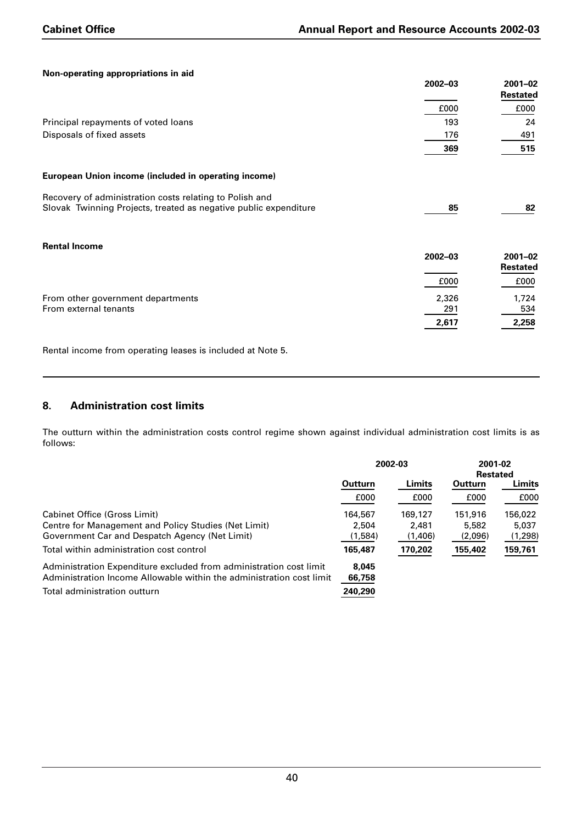#### **Non-operating appropriations in aid**

| <b>NOT-Operating appropriations in aid</b>                       | 2002-03     | $2001 - 02$<br>Restated        |
|------------------------------------------------------------------|-------------|--------------------------------|
|                                                                  | £000        | £000                           |
| Principal repayments of voted loans                              | 193         | 24                             |
| Disposals of fixed assets                                        | 176         | 491                            |
|                                                                  | 369         | 515                            |
| European Union income (included in operating income)             |             |                                |
| Recovery of administration costs relating to Polish and          |             |                                |
| Slovak Twinning Projects, treated as negative public expenditure | 85          | 82                             |
| <b>Rental Income</b>                                             |             |                                |
|                                                                  | $2002 - 03$ | $2001 - 02$<br><b>Restated</b> |
|                                                                  | £000        | £000                           |
| From other government departments                                | 2,326       | 1,724                          |
| From external tenants                                            | 291         | 534                            |
|                                                                  | 2,617       | 2,258                          |

Rental income from operating leases is included at Note 5.

## **8. Administration cost limits**

The outturn within the administration costs control regime shown against individual administration cost limits is as follows:

|                                                                      | 2002-03 |         | 2001-02<br><b>Restated</b> |         |  |
|----------------------------------------------------------------------|---------|---------|----------------------------|---------|--|
|                                                                      |         |         |                            |         |  |
|                                                                      | Outturn | Limits  | Outturn                    | Limits  |  |
|                                                                      | £000    | £000    | £000                       | £000    |  |
| Cabinet Office (Gross Limit)                                         | 164,567 | 169,127 | 151,916                    | 156,022 |  |
| Centre for Management and Policy Studies (Net Limit)                 | 2.504   | 2,481   | 5,582                      | 5,037   |  |
| Government Car and Despatch Agency (Net Limit)                       | (1,584) | (1,406) | (2,096)                    | (1,298) |  |
| Total within administration cost control                             | 165,487 | 170,202 | 155,402                    | 159,761 |  |
| Administration Expenditure excluded from administration cost limit   | 8.045   |         |                            |         |  |
| Administration Income Allowable within the administration cost limit | 66,758  |         |                            |         |  |
| Total administration outturn                                         | 240,290 |         |                            |         |  |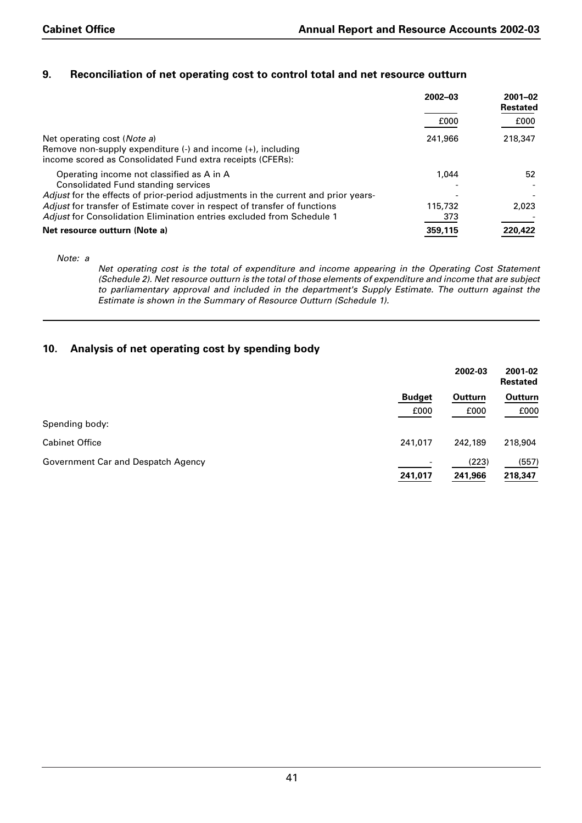## **9. Reconciliation of net operating cost to control total and net resource outturn**

|                                                                                                                                                                                                            | $2002 - 03$    | $2001 - 02$<br><b>Restated</b> |
|------------------------------------------------------------------------------------------------------------------------------------------------------------------------------------------------------------|----------------|--------------------------------|
|                                                                                                                                                                                                            | £000           | £000                           |
| Net operating cost ( <i>Note a</i> )<br>Remove non-supply expenditure $\langle \cdot \rangle$ and income $\langle \cdot \rangle$ , including<br>income scored as Consolidated Fund extra receipts (CFERs): | 241,966        | 218,347                        |
| Operating income not classified as A in A<br>Consolidated Fund standing services<br>Adjust for the effects of prior-period adjustments in the current and prior years-                                     | 1.044          | 52                             |
| Adjust for transfer of Estimate cover in respect of transfer of functions<br>Adjust for Consolidation Elimination entries excluded from Schedule 1                                                         | 115,732<br>373 | 2.023                          |
| Net resource outturn (Note a)                                                                                                                                                                              | 359,115        | 220,422                        |

*Note: a*

*Net operating cost is the total of expenditure and income appearing in the Operating Cost Statement (Schedule 2). Net resource outturn is the total of those elements of expenditure and income that are subject to parliamentary approval and included in the department's Supply Estimate. The outturn against the Estimate is shown in the Summary of Resource Outturn (Schedule 1).*

## **10. Analysis of net operating cost by spending body**

|                                    |                          | 2002-03         | 2001-02<br><b>Restated</b> |
|------------------------------------|--------------------------|-----------------|----------------------------|
|                                    | <b>Budget</b><br>£000    | Outturn<br>£000 | Outturn<br>£000            |
| Spending body:                     |                          |                 |                            |
| <b>Cabinet Office</b>              | 241,017                  | 242,189         | 218,904                    |
| Government Car and Despatch Agency | $\overline{\phantom{a}}$ | (223)           | (557)                      |
|                                    | 241,017                  | 241,966         | 218,347                    |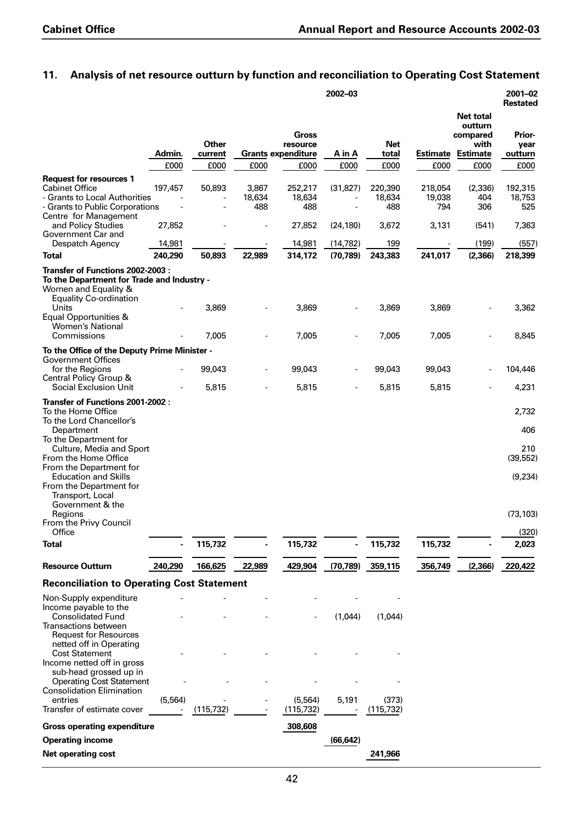## **11. Analysis of net resource outturn by function and reconciliation to Operating Cost Statement**

|                                                                                                                             |          |                  |                          |                                                | 2002-03   |                          |                          |                                                                    | 2001-02<br><b>Restated</b> |
|-----------------------------------------------------------------------------------------------------------------------------|----------|------------------|--------------------------|------------------------------------------------|-----------|--------------------------|--------------------------|--------------------------------------------------------------------|----------------------------|
|                                                                                                                             | Admin.   | Other<br>current |                          | Gross<br>resource<br><b>Grants expenditure</b> | A in A    | <b>Net</b><br>total      | Estimate                 | <b>Net total</b><br>outturn<br>compared<br>with<br><b>Estimate</b> | Prior-<br>year<br>outturn  |
|                                                                                                                             | £000     | £000             | £000                     | £000                                           | £000      | £000                     | £000                     | £000                                                               | £000                       |
| <b>Request for resources 1</b><br><b>Cabinet Office</b><br>- Grants to Local Authorities<br>- Grants to Public Corporations | 197,457  | 50,893           | 3,867<br>18,634<br>488   | 252,217<br>18,634<br>488                       | (31, 827) | 220,390<br>18,634<br>488 | 218,054<br>19,038<br>794 | (2, 336)<br>404<br>306                                             | 192,315<br>18,753<br>525   |
| Centre for Management<br>and Policy Studies                                                                                 | 27,852   |                  |                          | 27,852                                         | (24, 180) | 3,672                    | 3,131                    | (541)                                                              | 7,363                      |
| Government Car and<br>Despatch Agency                                                                                       | 14,981   |                  |                          | 14,981                                         | (14, 782) | 199                      |                          | (199)                                                              | (557)                      |
| Total                                                                                                                       | 240,290  | 50,893           | 22,989                   | 314,172                                        | (70, 789) | 243,383                  | 241,017                  | (2,366)                                                            | 218,399                    |
| Transfer of Functions 2002-2003 :                                                                                           |          |                  |                          |                                                |           |                          |                          |                                                                    |                            |
| To the Department for Trade and Industry -<br>Women and Equality &<br><b>Equality Co-ordination</b><br>Units                |          |                  |                          |                                                |           |                          |                          |                                                                    |                            |
| Equal Opportunities &<br><b>Women's National</b>                                                                            |          | 3,869            |                          | 3,869                                          |           | 3,869                    | 3,869                    |                                                                    | 3,362                      |
| Commissions                                                                                                                 |          | 7,005            | $\overline{\phantom{m}}$ | 7,005                                          | -         | 7,005                    | 7,005                    | $\overline{\phantom{a}}$                                           | 8,845                      |
| To the Office of the Deputy Prime Minister -<br><b>Government Offices</b>                                                   |          |                  |                          |                                                |           |                          |                          |                                                                    |                            |
| for the Regions<br>Central Policy Group &                                                                                   |          | 99,043           | ÷,                       | 99,043                                         |           | 99,043                   | 99,043                   |                                                                    | 104,446                    |
| <b>Social Exclusion Unit</b>                                                                                                |          | 5,815            |                          | 5,815                                          |           | 5,815                    | 5,815                    |                                                                    | 4,231                      |
| Transfer of Functions 2001-2002 :<br>To the Home Office<br>To the Lord Chancellor's                                         |          |                  |                          |                                                |           |                          |                          |                                                                    | 2,732                      |
| Department<br>To the Department for<br>Culture, Media and Sport                                                             |          |                  |                          |                                                |           |                          |                          |                                                                    | 406<br>210                 |
| From the Home Office<br>From the Department for                                                                             |          |                  |                          |                                                |           |                          |                          |                                                                    | (39, 552)                  |
| <b>Education and Skills</b><br>From the Department for<br>Transport, Local<br>Government & the                              |          |                  |                          |                                                |           |                          |                          |                                                                    | (9,234)                    |
| Regions<br>From the Privy Council                                                                                           |          |                  |                          |                                                |           |                          |                          |                                                                    | (73, 103)                  |
| Office                                                                                                                      |          |                  |                          |                                                |           |                          |                          |                                                                    | (320)                      |
| <b>Total</b>                                                                                                                |          | 115,732          |                          | 115,732                                        |           | 115,732                  | 115,732                  |                                                                    | 2,023                      |
| <b>Resource Outturn</b>                                                                                                     | 240,290  | 166,625          | 22,989                   | 429,904                                        | (70, 789) | 359,115                  | 356,749                  | (2, 366)                                                           | 220,422                    |
| <b>Reconciliation to Operating Cost Statement</b>                                                                           |          |                  |                          |                                                |           |                          |                          |                                                                    |                            |
| Non-Supply expenditure<br>Income payable to the                                                                             |          |                  |                          |                                                |           |                          |                          |                                                                    |                            |
| <b>Consolidated Fund</b><br><b>Transactions between</b><br><b>Request for Resources</b><br>netted off in Operating          |          |                  |                          |                                                | (1,044)   | (1,044)                  |                          |                                                                    |                            |
| <b>Cost Statement</b><br>Income netted off in gross<br>sub-head grossed up in                                               |          |                  |                          |                                                |           |                          |                          |                                                                    |                            |
| <b>Operating Cost Statement</b><br><b>Consolidation Elimination</b>                                                         |          |                  |                          |                                                |           |                          |                          |                                                                    |                            |
| entries                                                                                                                     | (5, 564) |                  |                          | (5, 564)                                       | 5,191     | (373)                    |                          |                                                                    |                            |
| Transfer of estimate cover                                                                                                  |          | (115, 732)       |                          | (115, 732)                                     |           | (115, 732)               |                          |                                                                    |                            |
| <b>Gross operating expenditure</b>                                                                                          |          |                  |                          | 308,608                                        |           |                          |                          |                                                                    |                            |
| <b>Operating income</b>                                                                                                     |          |                  |                          |                                                | (66, 642) |                          |                          |                                                                    |                            |
| <b>Net operating cost</b>                                                                                                   |          |                  |                          |                                                |           | 241,966                  |                          |                                                                    |                            |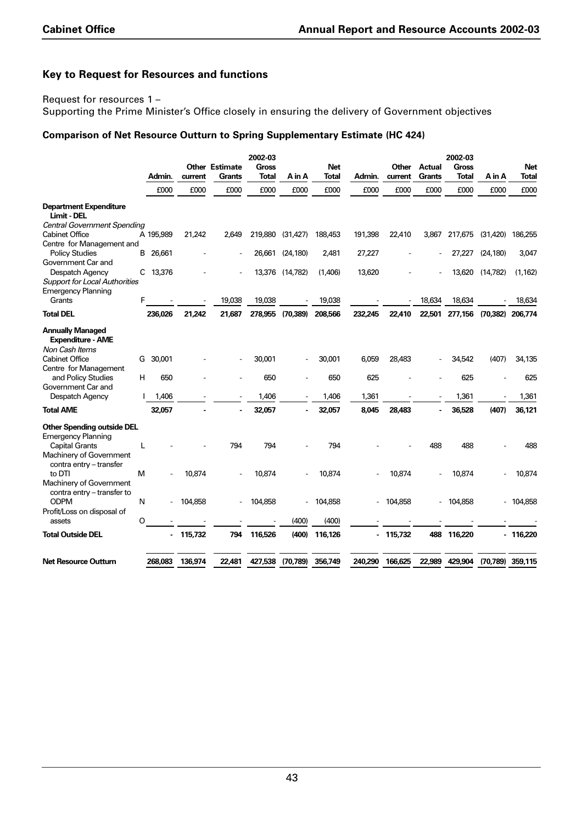## **Key to Request for Resources and functions**

Request for resources 1 –

Supporting the Prime Minister's Office closely in ensuring the delivery of Government objectives

#### **Comparison of Net Resource Outturn to Spring Supplementary Estimate (HC 424)**

|                                                                       |   | Admin.    | current | <b>Other Estimate</b><br><b>Grants</b> | 2002-03<br>Gross<br>Total | A in A          | Net<br>Total | Admin.  | Other<br>current | <b>Actual</b><br><b>Grants</b> | 2002-03<br><b>Gross</b><br><b>Total</b> | A in A    | Net<br>Total     |
|-----------------------------------------------------------------------|---|-----------|---------|----------------------------------------|---------------------------|-----------------|--------------|---------|------------------|--------------------------------|-----------------------------------------|-----------|------------------|
|                                                                       |   | £000      | £000    | £000                                   | £000                      | £000            | £000         | £000    | £000             | £000                           | £000                                    | £000      | £000             |
| <b>Department Expenditure</b><br>Limit - DEL                          |   |           |         |                                        |                           |                 |              |         |                  |                                |                                         |           |                  |
| <b>Central Government Spending</b><br><b>Cabinet Office</b>           |   | A 195,989 | 21,242  | 2,649                                  | 219,880                   | (31, 427)       | 188,453      | 191,398 | 22,410           | 3,867                          | 217,675                                 | (31, 420) | 186,255          |
| Centre for Management and                                             |   |           |         |                                        |                           |                 |              |         |                  |                                |                                         |           |                  |
| <b>Policy Studies</b>                                                 |   | B 26,661  |         |                                        | 26,661                    | (24, 180)       | 2,481        | 27,227  |                  |                                | 27,227                                  | (24, 180) | 3,047            |
| Government Car and                                                    |   |           |         |                                        |                           |                 |              |         |                  |                                |                                         |           |                  |
| Despatch Agency                                                       |   | C 13,376  |         |                                        |                           | 13,376 (14,782) | (1,406)      | 13,620  |                  |                                | 13,620                                  | (14, 782) | (1, 162)         |
| <b>Support for Local Authorities</b>                                  |   |           |         |                                        |                           |                 |              |         |                  |                                |                                         |           |                  |
| <b>Emergency Planning</b><br>Grants                                   | F |           |         | 19,038                                 | 19,038                    |                 | 19,038       |         |                  | 18,634                         | 18,634                                  |           | 18,634           |
|                                                                       |   |           |         |                                        |                           |                 |              |         |                  |                                |                                         |           |                  |
| <b>Total DEL</b>                                                      |   | 236,026   | 21,242  | 21,687                                 | 278,955                   | (70, 389)       | 208,566      | 232,245 | 22,410           | 22,501                         | 277,156                                 | (70, 382) | 206,774          |
| <b>Annually Managed</b><br><b>Expenditure - AME</b><br>Non Cash Items |   |           |         |                                        |                           |                 |              |         |                  |                                |                                         |           |                  |
| <b>Cabinet Office</b>                                                 | G | 30,001    |         |                                        | 30,001                    |                 | 30,001       | 6,059   | 28,483           |                                | 34,542                                  | (407)     | 34,135           |
| Centre for Management                                                 |   |           |         |                                        |                           |                 |              |         |                  |                                |                                         |           |                  |
| and Policy Studies                                                    | H | 650       |         |                                        | 650                       |                 | 650          | 625     |                  |                                | 625                                     |           | 625              |
| Government Car and                                                    |   |           |         |                                        |                           |                 |              |         |                  |                                |                                         |           |                  |
| Despatch Agency                                                       |   | 1,406     |         |                                        | 1,406                     |                 | 1,406        | 1,361   |                  |                                | 1,361                                   |           | 1,361            |
| <b>Total AME</b>                                                      |   | 32,057    |         |                                        | 32,057                    |                 | 32,057       | 8,045   | 28.483           |                                | 36,528                                  | (407)     | 36,121           |
| <b>Other Spending outside DEL</b>                                     |   |           |         |                                        |                           |                 |              |         |                  |                                |                                         |           |                  |
| <b>Emergency Planning</b>                                             |   |           |         |                                        |                           |                 |              |         |                  |                                |                                         |           |                  |
| <b>Capital Grants</b>                                                 | L |           |         | 794                                    | 794                       |                 | 794          |         |                  | 488                            | 488                                     |           | 488              |
| Machinery of Government<br>contra entry - transfer<br>to DTI          |   |           |         |                                        |                           |                 |              |         |                  |                                |                                         |           |                  |
| Machinery of Government<br>contra entry - transfer to                 | м |           | 10,874  |                                        | 10,874                    |                 | 10,874       |         | 10,874           |                                | 10,874                                  |           | 10,874           |
| <b>ODPM</b>                                                           | N |           | 104,858 |                                        | 104,858                   |                 | 104,858      |         | 104,858          |                                | 104,858                                 |           | 104,858          |
| Profit/Loss on disposal of                                            |   |           |         |                                        |                           |                 |              |         |                  |                                |                                         |           |                  |
| assets                                                                | O |           |         |                                        |                           | (400)           | (400)        |         |                  |                                |                                         |           |                  |
| <b>Total Outside DEL</b>                                              |   |           | 115,732 | 794                                    | 116,526                   | (400)           | 116,126      |         | 115,732          | 488                            | 116,220                                 |           | $-116,220$       |
| <b>Net Resource Outturn</b>                                           |   | 268,083   | 136,974 | 22,481                                 | 427,538                   | (70, 789)       | 356,749      | 240.290 | 166,625          | 22,989                         | 429,904                                 |           | (70,789) 359,115 |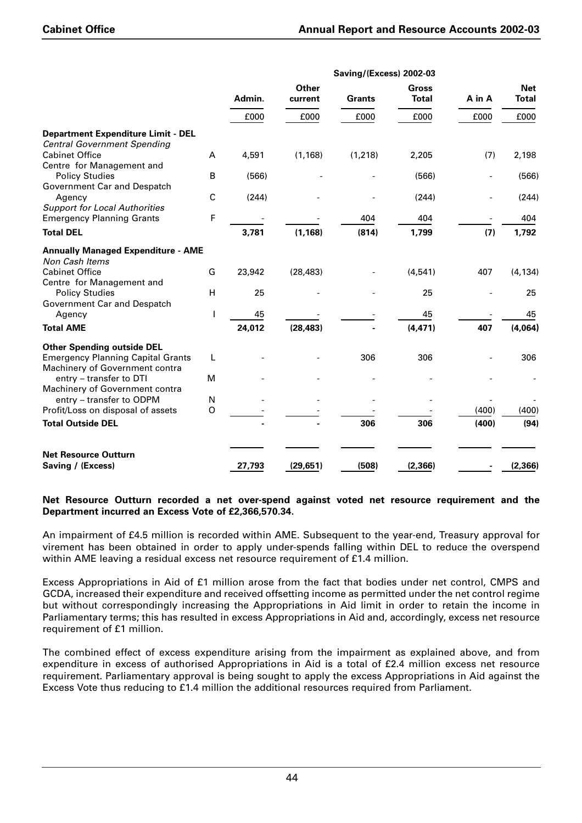|                                           |             | Saving/(Excess) 2002-03 |                  |               |                              |                          |                            |  |  |
|-------------------------------------------|-------------|-------------------------|------------------|---------------|------------------------------|--------------------------|----------------------------|--|--|
|                                           |             | Admin.                  | Other<br>current | <b>Grants</b> | <b>Gross</b><br><b>Total</b> | A in A                   | <b>Net</b><br><b>Total</b> |  |  |
|                                           |             | £000                    | £000             | £000          | £000                         | £000                     | £000                       |  |  |
| <b>Department Expenditure Limit - DEL</b> |             |                         |                  |               |                              |                          |                            |  |  |
| <b>Central Government Spending</b>        |             |                         |                  |               |                              |                          |                            |  |  |
| <b>Cabinet Office</b>                     | A           | 4,591                   | (1, 168)         | (1, 218)      | 2,205                        | (7)                      | 2,198                      |  |  |
| Centre for Management and                 |             |                         |                  |               |                              |                          |                            |  |  |
| <b>Policy Studies</b>                     | B           | (566)                   |                  |               | (566)                        | $\overline{a}$           | (566)                      |  |  |
| Government Car and Despatch               |             |                         |                  |               |                              |                          |                            |  |  |
| Agency                                    | $\mathsf C$ | (244)                   |                  |               | (244)                        | $\overline{\phantom{0}}$ | (244)                      |  |  |
| <b>Support for Local Authorities</b>      |             |                         |                  |               |                              |                          |                            |  |  |
| <b>Emergency Planning Grants</b>          | F           |                         |                  | 404           | 404                          |                          | 404                        |  |  |
| <b>Total DEL</b>                          |             | 3,781                   | (1, 168)         | (814)         | 1,799                        | (7)                      | 1,792                      |  |  |
| <b>Annually Managed Expenditure - AME</b> |             |                         |                  |               |                              |                          |                            |  |  |
| Non Cash Items                            |             |                         |                  |               |                              |                          |                            |  |  |
| <b>Cabinet Office</b>                     | G           | 23,942                  | (28, 483)        |               | (4, 541)                     | 407                      | (4, 134)                   |  |  |
| Centre for Management and                 |             |                         |                  |               |                              |                          |                            |  |  |
| <b>Policy Studies</b>                     | H           | 25                      |                  |               | 25                           |                          | 25                         |  |  |
| Government Car and Despatch               |             |                         |                  |               |                              |                          |                            |  |  |
| Agency                                    | L           | 45                      |                  |               | 45                           |                          | 45                         |  |  |
| <b>Total AME</b>                          |             | 24,012                  | (28, 483)        |               | (4, 471)                     | 407                      | (4,064)                    |  |  |
| <b>Other Spending outside DEL</b>         |             |                         |                  |               |                              |                          |                            |  |  |
| <b>Emergency Planning Capital Grants</b>  | L           |                         |                  | 306           | 306                          |                          | 306                        |  |  |
| Machinery of Government contra            |             |                         |                  |               |                              |                          |                            |  |  |
| entry - transfer to DTI                   | M           |                         |                  |               |                              |                          |                            |  |  |
| Machinery of Government contra            |             |                         |                  |               |                              |                          |                            |  |  |
| entry - transfer to ODPM                  | N           |                         |                  |               |                              |                          |                            |  |  |
| Profit/Loss on disposal of assets         | O           |                         |                  |               |                              | (400)                    | (400)                      |  |  |
| <b>Total Outside DEL</b>                  |             |                         |                  | 306           | 306                          | (400)                    | (94)                       |  |  |
|                                           |             |                         |                  |               |                              |                          |                            |  |  |
| <b>Net Resource Outturn</b>               |             |                         |                  |               |                              |                          |                            |  |  |
| Saving / (Excess)                         |             | 27,793                  | (29, 651)        | (508)         | (2, 366)                     |                          | (2, 366)                   |  |  |

#### **Net Resource Outturn recorded a net over-spend against voted net resource requirement and the Department incurred an Excess Vote of £2,366,570.34.**

An impairment of £4.5 million is recorded within AME. Subsequent to the year-end, Treasury approval for virement has been obtained in order to apply under-spends falling within DEL to reduce the overspend within AME leaving a residual excess net resource requirement of £1.4 million.

Excess Appropriations in Aid of £1 million arose from the fact that bodies under net control, CMPS and GCDA, increased their expenditure and received offsetting income as permitted under the net control regime but without correspondingly increasing the Appropriations in Aid limit in order to retain the income in Parliamentary terms; this has resulted in excess Appropriations in Aid and, accordingly, excess net resource requirement of £1 million.

The combined effect of excess expenditure arising from the impairment as explained above, and from expenditure in excess of authorised Appropriations in Aid is a total of £2.4 million excess net resource requirement. Parliamentary approval is being sought to apply the excess Appropriations in Aid against the Excess Vote thus reducing to £1.4 million the additional resources required from Parliament.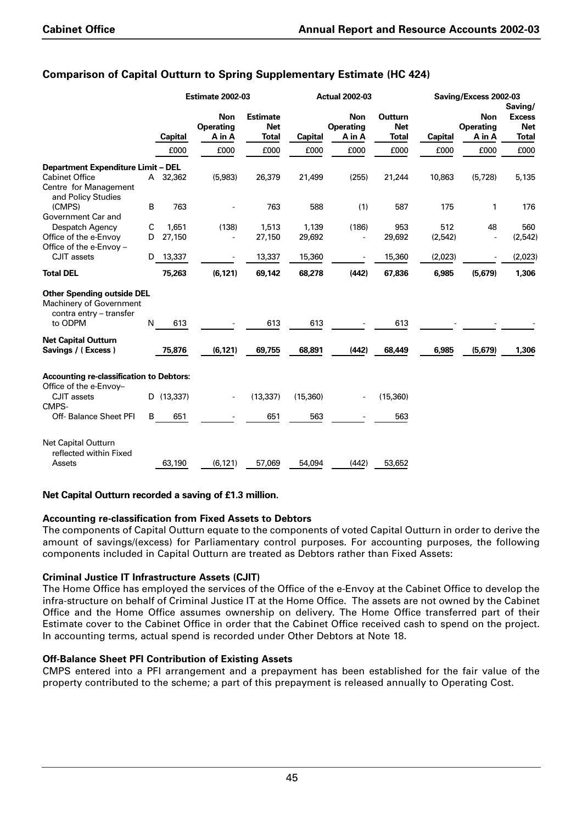|                                                                                         |   |                | <b>Estimate 2002-03</b>                  |                                               | <b>Actual 2002-03</b> |                                          |                                       | Saving/Excess 2002-03 |                                          |                                                        |
|-----------------------------------------------------------------------------------------|---|----------------|------------------------------------------|-----------------------------------------------|-----------------------|------------------------------------------|---------------------------------------|-----------------------|------------------------------------------|--------------------------------------------------------|
|                                                                                         |   | <b>Capital</b> | <b>Non</b><br><b>Operating</b><br>A in A | <b>Estimate</b><br><b>Net</b><br><b>Total</b> | <b>Capital</b>        | <b>Non</b><br><b>Operating</b><br>A in A | <b>Outturn</b><br><b>Net</b><br>Total | <b>Capital</b>        | <b>Non</b><br><b>Operating</b><br>A in A | Saving/<br><b>Excess</b><br><b>Net</b><br><b>Total</b> |
|                                                                                         |   | £000           | £000                                     | £000                                          | £000                  | £000                                     | £000                                  | £000                  | £000                                     | £000                                                   |
| <b>Department Expenditure Limit - DEL</b>                                               |   |                |                                          |                                               |                       |                                          |                                       |                       |                                          |                                                        |
| <b>Cabinet Office</b><br>Centre for Management<br>and Policy Studies                    | A | 32,362         | (5,983)                                  | 26,379                                        | 21,499                | (255)                                    | 21,244                                | 10,863                | (5,728)                                  | 5,135                                                  |
| (CMPS)<br>Government Car and                                                            | B | 763            |                                          | 763                                           | 588                   | (1)                                      | 587                                   | 175                   | 1                                        | 176                                                    |
| Despatch Agency                                                                         | C | 1.651          | (138)                                    | 1,513                                         | 1,139                 | (186)                                    | 953                                   | 512                   | 48                                       | 560                                                    |
| Office of the e-Envoy<br>Office of the e-Envoy -                                        | D | 27,150         |                                          | 27,150                                        | 29,692                | ÷,                                       | 29,692                                | (2, 542)              | $\overline{a}$                           | (2, 542)                                               |
| CJIT assets                                                                             | D | 13,337         |                                          | 13,337                                        | 15,360                |                                          | 15,360                                | (2,023)               |                                          | (2,023)                                                |
| <b>Total DEL</b>                                                                        |   | 75,263         | (6, 121)                                 | 69,142                                        | 68,278                | (442)                                    | 67,836                                | 6,985                 | (5,679)                                  | 1,306                                                  |
| <b>Other Spending outside DEL</b><br>Machinery of Government<br>contra entry - transfer |   |                |                                          |                                               |                       |                                          |                                       |                       |                                          |                                                        |
| to ODPM                                                                                 | N | 613            |                                          | 613                                           | 613                   |                                          | 613                                   |                       |                                          |                                                        |
| <b>Net Capital Outturn</b>                                                              |   |                |                                          |                                               |                       |                                          |                                       |                       |                                          |                                                        |
| Savings / (Excess)                                                                      |   | 75,876         | (6, 121)                                 | 69,755                                        | 68,891                | (442)                                    | 68,449                                | 6,985                 | (5,679)                                  | 1,306                                                  |
| <b>Accounting re-classification to Debtors:</b>                                         |   |                |                                          |                                               |                       |                                          |                                       |                       |                                          |                                                        |
| Office of the e-Envoy-<br>CJIT assets<br>CMPS-                                          |   | D (13,337)     |                                          | (13, 337)                                     | (15,360)              | $\overline{\phantom{a}}$                 | (15, 360)                             |                       |                                          |                                                        |
| Off- Balance Sheet PFI                                                                  | B | 651            |                                          | 651                                           | 563                   |                                          | 563                                   |                       |                                          |                                                        |
| <b>Net Capital Outturn</b><br>reflected within Fixed                                    |   |                |                                          |                                               |                       |                                          |                                       |                       |                                          |                                                        |
| Assets                                                                                  |   | 63,190         | (6, 121)                                 | 57,069                                        | 54,094                | (442)                                    | 53,652                                |                       |                                          |                                                        |

## **Comparison of Capital Outturn to Spring Supplementary Estimate (HC 424)**

### **Net Capital Outturn recorded a saving of £1.3 million.**

### **Accounting re-classification from Fixed Assets to Debtors**

The components of Capital Outturn equate to the components of voted Capital Outturn in order to derive the amount of savings/(excess) for Parliamentary control purposes. For accounting purposes, the following components included in Capital Outturn are treated as Debtors rather than Fixed Assets:

### **Criminal Justice IT Infrastructure Assets (CJIT)**

The Home Office has employed the services of the Office of the e-Envoy at the Cabinet Office to develop the infra-structure on behalf of Criminal Justice IT at the Home Office. The assets are not owned by the Cabinet Office and the Home Office assumes ownership on delivery. The Home Office transferred part of their Estimate cover to the Cabinet Office in order that the Cabinet Office received cash to spend on the project. In accounting terms, actual spend is recorded under Other Debtors at Note 18.

### **Off-Balance Sheet PFI Contribution of Existing Assets**

CMPS entered into a PFI arrangement and a prepayment has been established for the fair value of the property contributed to the scheme; a part of this prepayment is released annually to Operating Cost.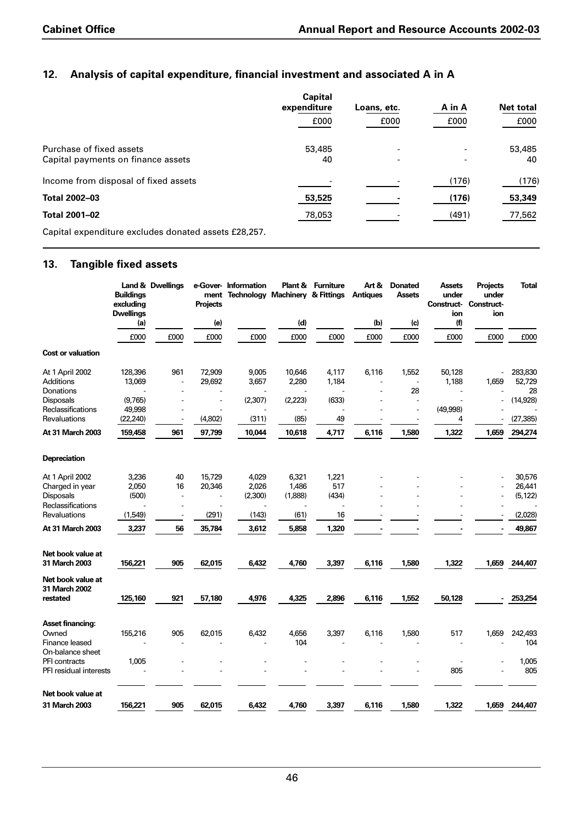## **12. Analysis of capital expenditure, financial investment and associated A in A**

|                                                      | <b>Capital</b><br>expenditure | Loans, etc. | A in A | Net total |
|------------------------------------------------------|-------------------------------|-------------|--------|-----------|
|                                                      | £000                          | £000        | £000   | £000      |
| Purchase of fixed assets                             | 53,485                        | ۰           |        | 53,485    |
| Capital payments on finance assets                   | 40                            |             |        | 40        |
| Income from disposal of fixed assets                 |                               |             | (176)  | (176)     |
| <b>Total 2002-03</b>                                 | 53,525                        |             | (176)  | 53,349    |
| <b>Total 2001-02</b>                                 | 78,053                        |             | (491)  | 77,562    |
| Capital expenditure excludes donated assets £28,257. |                               |             |        |           |

## **13. Tangible fixed assets**

|                                    | <b>Buildings</b><br>excluding<br><b>Dwellings</b> | Land & Dwellings | ment<br><b>Projects</b>  | e-Gover- Information<br><b>Technology Machinery &amp; Fittings</b> |         | <b>Plant &amp; Furniture</b> | Art &<br><b>Antiques</b> | <b>Donated</b><br><b>Assets</b> | <b>Assets</b><br>under<br>Construct-<br>ion | <b>Projects</b><br>under<br><b>Construct-</b><br>ion | <b>Total</b> |
|------------------------------------|---------------------------------------------------|------------------|--------------------------|--------------------------------------------------------------------|---------|------------------------------|--------------------------|---------------------------------|---------------------------------------------|------------------------------------------------------|--------------|
|                                    | (a)                                               |                  | (e)                      |                                                                    | (d)     |                              | (b)                      | (c)                             | (f)                                         |                                                      |              |
|                                    | £000                                              | £000             | £000                     | £000                                                               | £000    | £000                         | £000                     | £000                            | £000                                        | £000                                                 | £000         |
| <b>Cost or valuation</b>           |                                                   |                  |                          |                                                                    |         |                              |                          |                                 |                                             |                                                      |              |
| At 1 April 2002                    | 128,396                                           | 961              | 72,909                   | 9,005                                                              | 10,646  | 4,117                        | 6,116                    | 1,552                           | 50,128                                      |                                                      | 283,830      |
| Additions                          | 13,069                                            |                  | 29,692                   | 3,657                                                              | 2,280   | 1,184                        |                          | $\overline{a}$                  | 1,188                                       | 1,659                                                | 52,729       |
| Donations                          |                                                   |                  |                          |                                                                    |         |                              |                          | 28                              |                                             |                                                      | 28           |
| Disposals                          | (9,765)                                           |                  | $\overline{\phantom{a}}$ | (2,307)                                                            | (2,223) | (633)                        |                          | ÷.                              |                                             |                                                      | (14, 928)    |
| Reclassifications                  | 49,998                                            |                  |                          |                                                                    |         |                              |                          |                                 | (49,998)                                    |                                                      |              |
| Revaluations                       | (22, 240)                                         |                  | (4,802)                  | (311)                                                              | (85)    | 49                           |                          |                                 | 4                                           |                                                      | (27, 385)    |
| At 31 March 2003                   | 159,458                                           | 961              | 97,799                   | 10,044                                                             | 10,618  | 4,717                        | 6,116                    | 1,580                           | 1,322                                       | 1,659                                                | 294,274      |
| Depreciation                       |                                                   |                  |                          |                                                                    |         |                              |                          |                                 |                                             |                                                      |              |
| At 1 April 2002                    | 3,236                                             | 40               | 15,729                   | 4,029                                                              | 6,321   | 1,221                        |                          |                                 |                                             |                                                      | 30,576       |
| Charged in year                    | 2,050                                             | 16               | 20,346                   | 2,026                                                              | 1,486   | 517                          |                          |                                 |                                             |                                                      | 26,441       |
| Disposals                          | (500)                                             | $\overline{a}$   | L,                       | (2,300)                                                            | (1,888) | (434)                        |                          |                                 |                                             |                                                      | (5, 122)     |
| Reclassifications                  |                                                   |                  |                          |                                                                    |         |                              |                          |                                 |                                             |                                                      |              |
| Revaluations                       | (1,549)                                           |                  | (291)                    | (143)                                                              | (61)    | 16                           |                          |                                 |                                             |                                                      | (2,028)      |
| At 31 March 2003                   | 3,237                                             | 56               | 35,784                   | 3,612                                                              | 5,858   | 1,320                        |                          |                                 |                                             |                                                      | 49,867       |
| Net book value at                  |                                                   |                  |                          |                                                                    |         |                              |                          |                                 |                                             |                                                      |              |
| <b>31 March 2003</b>               | 156,221                                           | 905              | 62,015                   | 6,432                                                              | 4,760   | 3,397                        | 6,116                    | 1,580                           | 1,322                                       | 1,659                                                | 244,407      |
| Net book value at<br>31 March 2002 |                                                   |                  |                          |                                                                    |         |                              |                          |                                 |                                             |                                                      |              |
| restated                           | 125,160                                           | 921              | 57,180                   | 4,976                                                              | 4,325   | 2,896                        | 6,116                    | 1,552                           | 50,128                                      |                                                      | 253,254      |
| <b>Asset financing:</b>            |                                                   |                  |                          |                                                                    |         |                              |                          |                                 |                                             |                                                      |              |
| Owned                              | 155,216                                           | 905              | 62,015                   | 6,432                                                              | 4,656   | 3,397                        | 6,116                    | 1,580                           | 517                                         | 1,659                                                | 242,493      |
| Finance leased                     |                                                   |                  |                          |                                                                    | 104     |                              |                          |                                 |                                             |                                                      | 104          |
| On-balance sheet                   |                                                   |                  |                          |                                                                    |         |                              |                          |                                 |                                             |                                                      |              |
| PFI contracts                      | 1,005                                             |                  |                          |                                                                    |         |                              |                          |                                 |                                             |                                                      | 1,005        |
| PFI residual interests             |                                                   |                  |                          |                                                                    |         |                              |                          |                                 | 805                                         |                                                      | 805          |
| Net book value at                  |                                                   |                  |                          |                                                                    |         |                              |                          |                                 |                                             |                                                      |              |
| <b>31 March 2003</b>               | 156,221                                           | 905              | 62,015                   | 6,432                                                              | 4,760   | 3,397                        | 6,116                    | 1,580                           | 1,322                                       | 1,659                                                | 244,407      |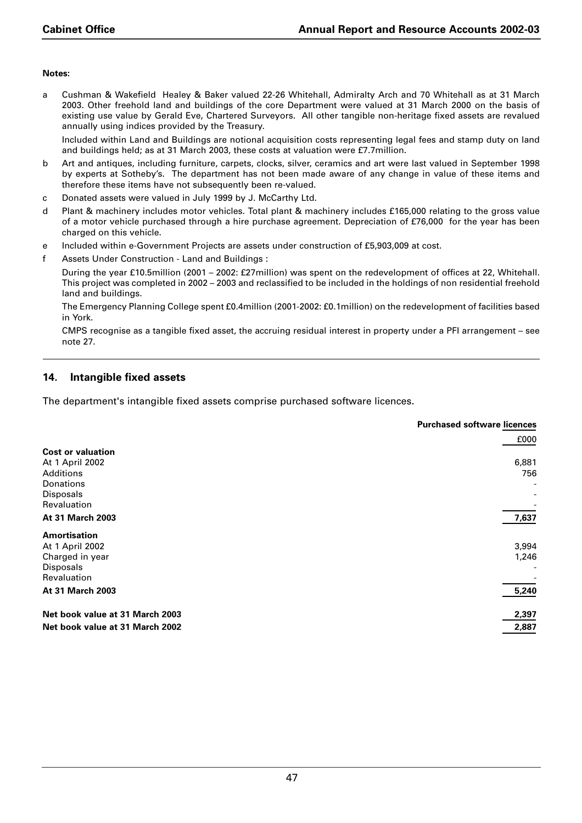#### **Notes:**

a Cushman & Wakefield Healey & Baker valued 22-26 Whitehall, Admiralty Arch and 70 Whitehall as at 31 March 2003. Other freehold land and buildings of the core Department were valued at 31 March 2000 on the basis of existing use value by Gerald Eve, Chartered Surveyors. All other tangible non-heritage fixed assets are revalued annually using indices provided by the Treasury.

Included within Land and Buildings are notional acquisition costs representing legal fees and stamp duty on land and buildings held; as at 31 March 2003, these costs at valuation were £7.7million.

- b Art and antiques, including furniture, carpets, clocks, silver, ceramics and art were last valued in September 1998 by experts at Sotheby's. The department has not been made aware of any change in value of these items and therefore these items have not subsequently been re-valued.
- c Donated assets were valued in July 1999 by J. McCarthy Ltd.
- d Plant & machinery includes motor vehicles. Total plant & machinery includes £165,000 relating to the gross value of a motor vehicle purchased through a hire purchase agreement. Depreciation of £76,000 for the year has been charged on this vehicle.
- e Included within e-Government Projects are assets under construction of £5,903,009 at cost.
- f Assets Under Construction Land and Buildings :

During the year £10.5million (2001 – 2002: £27million) was spent on the redevelopment of offices at 22, Whitehall. This project was completed in 2002 – 2003 and reclassified to be included in the holdings of non residential freehold land and buildings.

The Emergency Planning College spent £0.4million (2001-2002: £0.1million) on the redevelopment of facilities based in York.

CMPS recognise as a tangible fixed asset, the accruing residual interest in property under a PFI arrangement – see note 27.

## **14. Intangible fixed assets**

The department's intangible fixed assets comprise purchased software licences.

|                                 | <b>Purchased software licences</b> |
|---------------------------------|------------------------------------|
|                                 | £000                               |
| <b>Cost or valuation</b>        |                                    |
| At 1 April 2002                 | 6,881                              |
| <b>Additions</b>                | 756                                |
| Donations                       |                                    |
| <b>Disposals</b>                |                                    |
| Revaluation                     |                                    |
| <b>At 31 March 2003</b>         | 7,637                              |
| <b>Amortisation</b>             |                                    |
| At 1 April 2002                 | 3,994                              |
| Charged in year                 | 1,246                              |
| <b>Disposals</b>                |                                    |
| Revaluation                     |                                    |
| <b>At 31 March 2003</b>         | 5,240                              |
| Net book value at 31 March 2003 | 2,397                              |
| Net book value at 31 March 2002 | 2,887                              |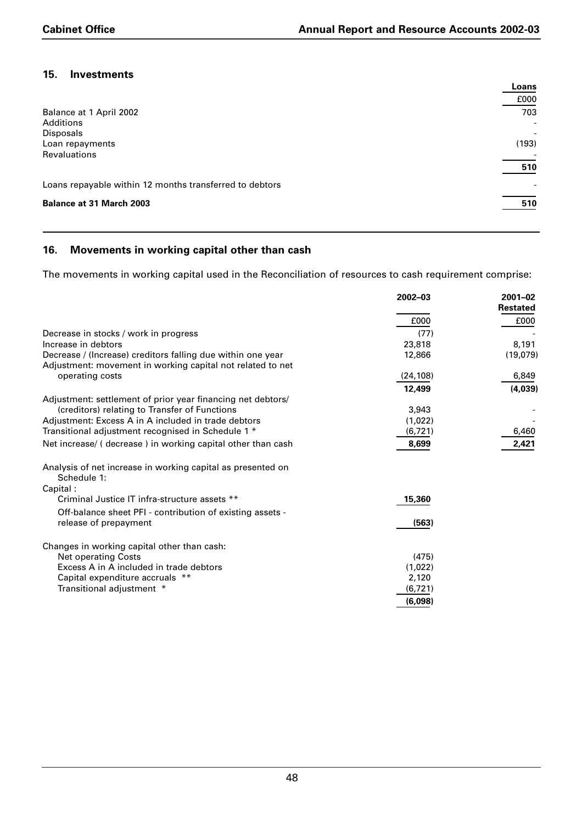## **15. Investments**

|                                                         | Loans                    |
|---------------------------------------------------------|--------------------------|
|                                                         | £000                     |
| Balance at 1 April 2002                                 | 703                      |
| <b>Additions</b>                                        | $\overline{\phantom{a}}$ |
| Disposals                                               | $\overline{\phantom{a}}$ |
| Loan repayments                                         | (193)                    |
| <b>Revaluations</b>                                     |                          |
|                                                         | 510                      |
| Loans repayable within 12 months transferred to debtors |                          |
| <b>Balance at 31 March 2003</b>                         | 510                      |

## **16. Movements in working capital other than cash**

The movements in working capital used in the Reconciliation of resources to cash requirement comprise:

|                                                                            | 2002-03   | $2001 - 02$<br><b>Restated</b> |
|----------------------------------------------------------------------------|-----------|--------------------------------|
|                                                                            | £000      | £000                           |
| Decrease in stocks / work in progress                                      | (77)      |                                |
| Increase in debtors                                                        | 23,818    | 8,191                          |
| Decrease / (Increase) creditors falling due within one year                | 12,866    | (19,079)                       |
| Adjustment: movement in working capital not related to net                 |           |                                |
| operating costs                                                            | (24, 108) | 6,849                          |
|                                                                            | 12,499    | (4,039)                        |
| Adjustment: settlement of prior year financing net debtors/                |           |                                |
| (creditors) relating to Transfer of Functions                              | 3.943     |                                |
| Adjustment: Excess A in A included in trade debtors                        | (1,022)   |                                |
| Transitional adjustment recognised in Schedule 1 *                         | (6,721)   | 6,460                          |
| Net increase/ (decrease) in working capital other than cash                | 8,699     | 2,421                          |
| Analysis of net increase in working capital as presented on<br>Schedule 1: |           |                                |
| Capital:                                                                   |           |                                |
| Criminal Justice IT infra-structure assets **                              | 15,360    |                                |
| Off-balance sheet PFI - contribution of existing assets -                  |           |                                |
| release of prepayment                                                      | (563)     |                                |
| Changes in working capital other than cash:                                |           |                                |
| <b>Net operating Costs</b>                                                 | (475)     |                                |
| Excess A in A included in trade debtors                                    | (1,022)   |                                |
| Capital expenditure accruals **                                            | 2,120     |                                |
| Transitional adjustment *                                                  | (6, 721)  |                                |
|                                                                            | (6,098)   |                                |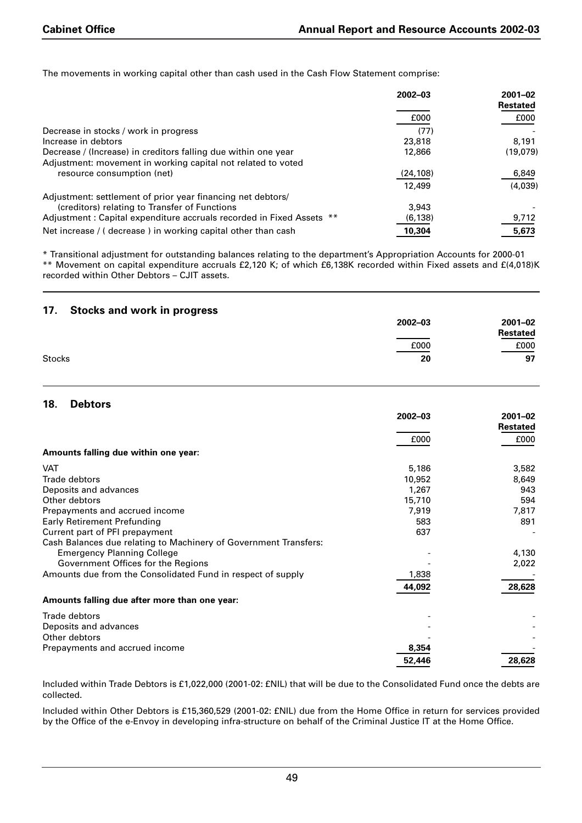The movements in working capital other than cash used in the Cash Flow Statement comprise:

|                                                                      | 2002-03   | $2001 - 02$<br><b>Restated</b> |
|----------------------------------------------------------------------|-----------|--------------------------------|
|                                                                      |           |                                |
|                                                                      | £000      | £000                           |
| Decrease in stocks / work in progress                                | (77)      |                                |
| Increase in debtors                                                  | 23,818    | 8.191                          |
| Decrease / (Increase) in creditors falling due within one year       | 12,866    | (19,079)                       |
| Adjustment: movement in working capital not related to voted         |           |                                |
| resource consumption (net)                                           | (24, 108) | 6,849                          |
|                                                                      | 12,499    | (4,039)                        |
| Adjustment: settlement of prior year financing net debtors/          |           |                                |
| (creditors) relating to Transfer of Functions                        | 3.943     |                                |
| Adjustment: Capital expenditure accruals recorded in Fixed Assets ** | (6, 138)  | 9,712                          |
| Net increase / (decrease) in working capital other than cash         | 10,304    | 5,673                          |

\* Transitional adjustment for outstanding balances relating to the department's Appropriation Accounts for 2000-01 \*\* Movement on capital expenditure accruals £2,120 K; of which £6,138K recorded within Fixed assets and £(4,018)K recorded within Other Debtors – CJIT assets.

| 17.<br><b>Stocks and work in progress</b> |             |          |
|-------------------------------------------|-------------|----------|
|                                           | $2002 - 03$ | 2001-02  |
|                                           |             | Restated |
|                                           | £000        | £000     |
| Stocks                                    | 20          | 97       |

#### **18. Debtors**

|                                                                  | 2002-03 | $2001 - 02$<br>Restated |
|------------------------------------------------------------------|---------|-------------------------|
|                                                                  | £000    | £000                    |
| Amounts falling due within one year:                             |         |                         |
| <b>VAT</b>                                                       | 5,186   | 3,582                   |
| Trade debtors                                                    | 10,952  | 8,649                   |
| Deposits and advances                                            | 1,267   | 943                     |
| Other debtors                                                    | 15,710  | 594                     |
| Prepayments and accrued income                                   | 7,919   | 7,817                   |
| <b>Early Retirement Prefunding</b>                               | 583     | 891                     |
| Current part of PFI prepayment                                   | 637     |                         |
| Cash Balances due relating to Machinery of Government Transfers: |         |                         |
| <b>Emergency Planning College</b>                                |         | 4,130                   |
| Government Offices for the Regions                               |         | 2,022                   |
| Amounts due from the Consolidated Fund in respect of supply      | 1,838   |                         |
|                                                                  | 44,092  | 28,628                  |
| Amounts falling due after more than one year:                    |         |                         |
| Trade debtors                                                    |         |                         |
| Deposits and advances                                            |         |                         |
| Other debtors                                                    |         |                         |
| Prepayments and accrued income                                   | 8,354   |                         |
|                                                                  | 52,446  | 28,628                  |

Included within Trade Debtors is £1,022,000 (2001-02: £NIL) that will be due to the Consolidated Fund once the debts are collected.

Included within Other Debtors is £15,360,529 (2001-02: £NIL) due from the Home Office in return for services provided by the Office of the e-Envoy in developing infra-structure on behalf of the Criminal Justice IT at the Home Office.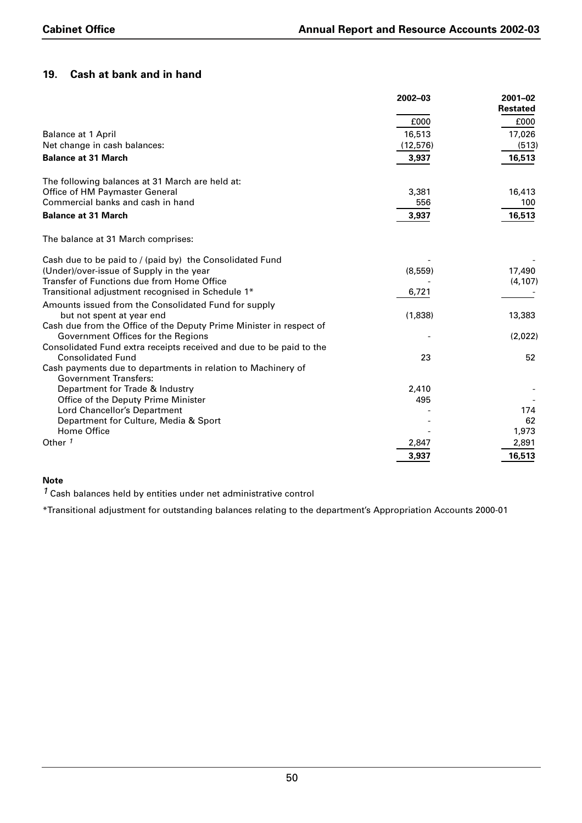## **19. Cash at bank and in hand**

|                                                                                              | 2002-03   | $2001 - 02$     |
|----------------------------------------------------------------------------------------------|-----------|-----------------|
|                                                                                              |           | <b>Restated</b> |
|                                                                                              | £000      | £000            |
| <b>Balance at 1 April</b>                                                                    | 16,513    | 17,026          |
| Net change in cash balances:                                                                 | (12, 576) | (513)           |
| <b>Balance at 31 March</b>                                                                   | 3,937     | 16,513          |
| The following balances at 31 March are held at:                                              |           |                 |
| Office of HM Paymaster General                                                               | 3,381     | 16,413          |
| Commercial banks and cash in hand                                                            | 556       | 100             |
| <b>Balance at 31 March</b>                                                                   | 3,937     | 16,513          |
| The balance at 31 March comprises:                                                           |           |                 |
| Cash due to be paid to / (paid by) the Consolidated Fund                                     |           |                 |
| (Under)/over-issue of Supply in the year                                                     | (8, 559)  | 17,490          |
| Transfer of Functions due from Home Office                                                   |           | (4, 107)        |
| Transitional adjustment recognised in Schedule 1*                                            | 6,721     |                 |
| Amounts issued from the Consolidated Fund for supply                                         |           |                 |
| but not spent at year end                                                                    | (1,838)   | 13,383          |
| Cash due from the Office of the Deputy Prime Minister in respect of                          |           |                 |
| Government Offices for the Regions                                                           |           | (2,022)         |
| Consolidated Fund extra receipts received and due to be paid to the                          |           |                 |
| <b>Consolidated Fund</b>                                                                     | 23        | 52              |
| Cash payments due to departments in relation to Machinery of<br><b>Government Transfers:</b> |           |                 |
| Department for Trade & Industry                                                              | 2,410     |                 |
| Office of the Deputy Prime Minister                                                          | 495       |                 |
| Lord Chancellor's Department                                                                 |           | 174             |
| Department for Culture, Media & Sport                                                        |           | 62              |
| Home Office                                                                                  |           | 1,973           |
| Other <sup>1</sup>                                                                           | 2,847     | 2,891           |
|                                                                                              | 3,937     | 16,513          |

## **Note**

*1* Cash balances held by entities under net administrative control

\*Transitional adjustment for outstanding balances relating to the department's Appropriation Accounts 2000-01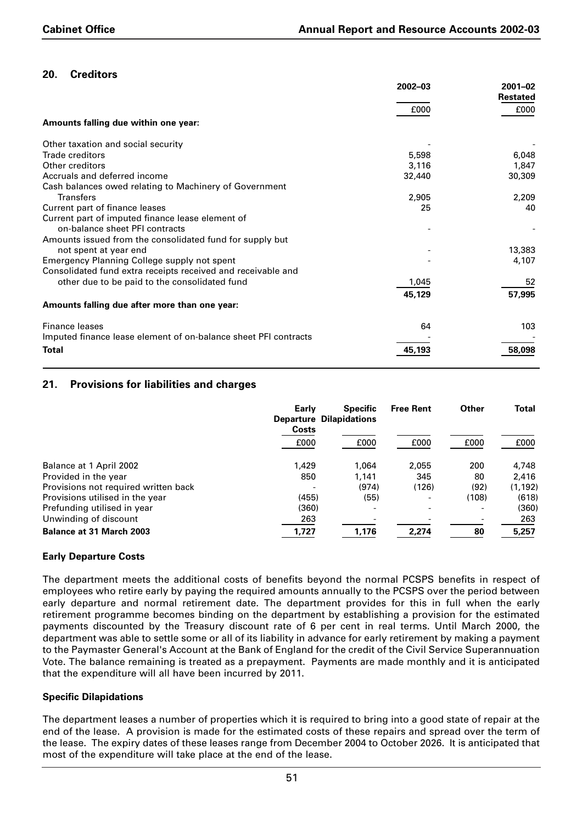## **20. Creditors**

|                                                                 | 2002-03 | 2001-02         |
|-----------------------------------------------------------------|---------|-----------------|
|                                                                 |         | <b>Restated</b> |
|                                                                 | £000    | £000            |
| Amounts falling due within one year:                            |         |                 |
| Other taxation and social security                              |         |                 |
| Trade creditors                                                 | 5,598   | 6,048           |
| Other creditors                                                 | 3,116   | 1,847           |
| Accruals and deferred income                                    | 32,440  | 30,309          |
| Cash balances owed relating to Machinery of Government          |         |                 |
| <b>Transfers</b>                                                | 2,905   | 2,209           |
| Current part of finance leases                                  | 25      | 40              |
| Current part of imputed finance lease element of                |         |                 |
| on-balance sheet PFI contracts                                  |         |                 |
| Amounts issued from the consolidated fund for supply but        |         |                 |
| not spent at year end                                           |         | 13,383          |
| Emergency Planning College supply not spent                     |         | 4,107           |
| Consolidated fund extra receipts received and receivable and    |         |                 |
| other due to be paid to the consolidated fund                   | 1,045   | 52              |
|                                                                 | 45,129  | 57,995          |
| Amounts falling due after more than one year:                   |         |                 |
| <b>Finance leases</b>                                           | 64      | 103             |
| Imputed finance lease element of on-balance sheet PFI contracts |         |                 |
| <b>Total</b>                                                    | 45,193  | 58,098          |

## **21. Provisions for liabilities and charges**

| Early                                    | <b>Specific</b><br><b>Departure Dilapidations</b> | <b>Free Rent</b>         | Other | <b>Total</b> |
|------------------------------------------|---------------------------------------------------|--------------------------|-------|--------------|
| Costs                                    |                                                   |                          |       |              |
| £000                                     | £000                                              | £000                     | £000  | £000         |
| 1,429<br>Balance at 1 April 2002         | 1.064                                             | 2,055                    | 200   | 4,748        |
| Provided in the year<br>850              | 1.141                                             | 345                      | 80    | 2,416        |
| Provisions not required written back     | (974)                                             | (126)                    | (92)  | (1, 192)     |
| Provisions utilised in the year<br>(455) | (55)                                              | $\overline{\phantom{0}}$ | (108) | (618)        |
| Prefunding utilised in year<br>(360)     |                                                   |                          |       | (360)        |
| Unwinding of discount<br>263             |                                                   |                          |       | 263          |
| <b>Balance at 31 March 2003</b><br>1,727 | 1,176                                             | 2,274                    | 80    | 5,257        |

### **Early Departure Costs**

The department meets the additional costs of benefits beyond the normal PCSPS benefits in respect of employees who retire early by paying the required amounts annually to the PCSPS over the period between early departure and normal retirement date. The department provides for this in full when the early retirement programme becomes binding on the department by establishing a provision for the estimated payments discounted by the Treasury discount rate of 6 per cent in real terms. Until March 2000, the department was able to settle some or all of its liability in advance for early retirement by making a payment to the Paymaster General's Account at the Bank of England for the credit of the Civil Service Superannuation Vote. The balance remaining is treated as a prepayment. Payments are made monthly and it is anticipated that the expenditure will all have been incurred by 2011.

#### **Specific Dilapidations**

The department leases a number of properties which it is required to bring into a good state of repair at the end of the lease. A provision is made for the estimated costs of these repairs and spread over the term of the lease. The expiry dates of these leases range from December 2004 to October 2026. It is anticipated that most of the expenditure will take place at the end of the lease.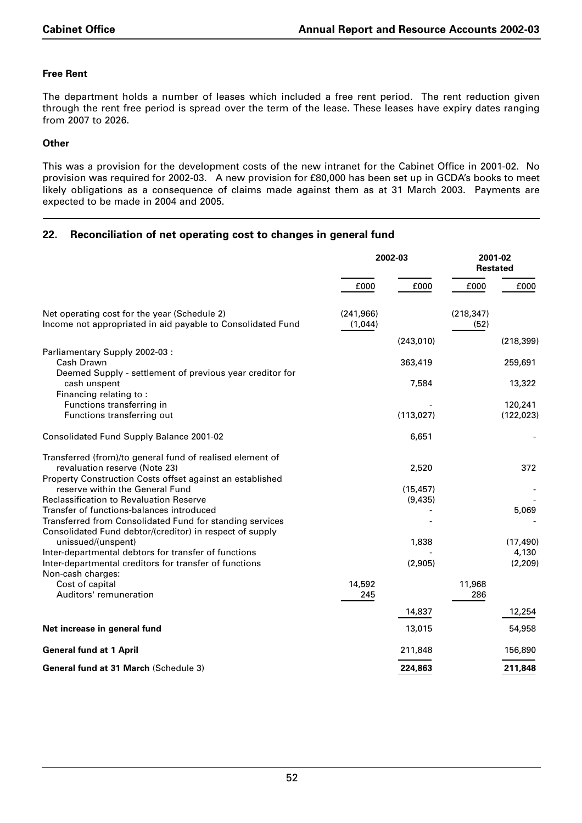## **Free Rent**

The department holds a number of leases which included a free rent period. The rent reduction given through the rent free period is spread over the term of the lease. These leases have expiry dates ranging from 2007 to 2026.

### **Other**

This was a provision for the development costs of the new intranet for the Cabinet Office in 2001-02. No provision was required for 2002-03. A new provision for £80,000 has been set up in GCDA's books to meet likely obligations as a consequence of claims made against them as at 31 March 2003. Payments are expected to be made in 2004 and 2005.

## **22. Reconciliation of net operating cost to changes in general fund**

|                                                                                                                      | 2002-03    |            |            | 2001-02<br><b>Restated</b> |  |
|----------------------------------------------------------------------------------------------------------------------|------------|------------|------------|----------------------------|--|
|                                                                                                                      | £000       | £000       | £000       | £000                       |  |
| Net operating cost for the year (Schedule 2)                                                                         | (241, 966) |            | (218, 347) |                            |  |
| Income not appropriated in aid payable to Consolidated Fund                                                          | (1,044)    |            | (52)       |                            |  |
|                                                                                                                      |            | (243, 010) |            | (218, 399)                 |  |
| Parliamentary Supply 2002-03 :<br>Cash Drawn                                                                         |            |            |            |                            |  |
| Deemed Supply - settlement of previous year creditor for                                                             |            | 363,419    |            | 259,691                    |  |
| cash unspent<br>Financing relating to:                                                                               |            | 7,584      |            | 13,322                     |  |
| Functions transferring in                                                                                            |            |            |            | 120,241                    |  |
| Functions transferring out                                                                                           |            | (113, 027) |            | (122, 023)                 |  |
| Consolidated Fund Supply Balance 2001-02                                                                             |            | 6,651      |            |                            |  |
| Transferred (from)/to general fund of realised element of                                                            |            |            |            |                            |  |
| revaluation reserve (Note 23)                                                                                        |            | 2,520      |            | 372                        |  |
| Property Construction Costs offset against an established                                                            |            |            |            |                            |  |
| reserve within the General Fund                                                                                      |            | (15, 457)  |            |                            |  |
| <b>Reclassification to Revaluation Reserve</b>                                                                       |            | (9,435)    |            |                            |  |
| Transfer of functions-balances introduced                                                                            |            |            |            | 5,069                      |  |
| Transferred from Consolidated Fund for standing services<br>Consolidated Fund debtor/(creditor) in respect of supply |            |            |            |                            |  |
| unissued/(unspent)                                                                                                   |            | 1,838      |            | (17, 490)                  |  |
| Inter-departmental debtors for transfer of functions                                                                 |            |            |            | 4,130                      |  |
| Inter-departmental creditors for transfer of functions                                                               |            | (2,905)    |            | (2, 209)                   |  |
| Non-cash charges:                                                                                                    |            |            |            |                            |  |
| Cost of capital                                                                                                      | 14,592     |            | 11,968     |                            |  |
| Auditors' remuneration                                                                                               | 245        |            | 286        |                            |  |
|                                                                                                                      |            | 14,837     |            | 12,254                     |  |
| Net increase in general fund                                                                                         |            | 13,015     |            | 54,958                     |  |
| <b>General fund at 1 April</b>                                                                                       |            | 211,848    |            | 156,890                    |  |
| <b>General fund at 31 March (Schedule 3)</b>                                                                         |            | 224,863    |            | 211,848                    |  |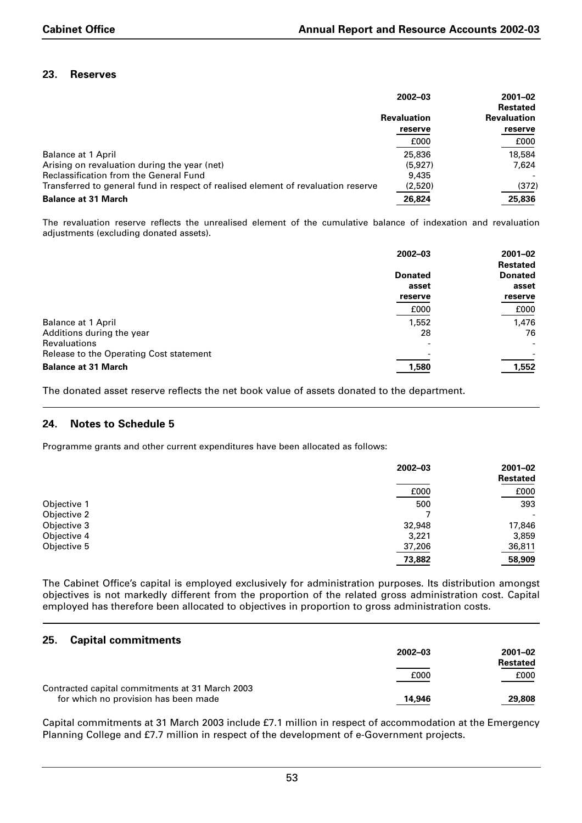## **23. Reserves**

|                                                                                   | 2002-03            |                    |  |
|-----------------------------------------------------------------------------------|--------------------|--------------------|--|
|                                                                                   |                    | <b>Restated</b>    |  |
|                                                                                   | <b>Revaluation</b> | <b>Revaluation</b> |  |
|                                                                                   | reserve            | reserve            |  |
|                                                                                   | £000               | £000               |  |
| <b>Balance at 1 April</b>                                                         | 25,836             | 18,584             |  |
| Arising on revaluation during the year (net)                                      | (5.927)            | 7.624              |  |
| <b>Reclassification from the General Fund</b>                                     | 9,435              |                    |  |
| Transferred to general fund in respect of realised element of revaluation reserve | (2,520)            | (372)              |  |
| <b>Balance at 31 March</b>                                                        | 26,824             | 25,836             |  |

The revaluation reserve reflects the unrealised element of the cumulative balance of indexation and revaluation adiustments (excluding donated assets).

|                                         | 2002-03                  | $2001 - 02$              |  |
|-----------------------------------------|--------------------------|--------------------------|--|
|                                         |                          | <b>Restated</b>          |  |
|                                         | <b>Donated</b><br>asset  | <b>Donated</b><br>asset  |  |
|                                         |                          |                          |  |
|                                         | reserve                  | reserve                  |  |
|                                         | £000                     | £000                     |  |
| <b>Balance at 1 April</b>               | 1,552                    | 1,476                    |  |
| Additions during the year               | 28                       | 76                       |  |
| <b>Revaluations</b>                     | $\overline{\phantom{0}}$ | $\overline{\phantom{a}}$ |  |
| Release to the Operating Cost statement |                          |                          |  |
| <b>Balance at 31 March</b>              | 1,580                    | 1,552                    |  |

The donated asset reserve reflects the net book value of assets donated to the department.

### **24. Notes to Schedule 5**

Programme grants and other current expenditures have been allocated as follows:

|             | $2002 - 03$ | $2001 - 02$<br><b>Restated</b> |
|-------------|-------------|--------------------------------|
|             | £000        | £000                           |
| Objective 1 | 500         | 393                            |
| Objective 2 |             | $\overline{\phantom{a}}$       |
| Objective 3 | 32,948      | 17,846                         |
| Objective 4 | 3,221       | 3,859                          |
| Objective 5 | 37,206      | 36,811                         |
|             | 73,882      | 58,909                         |

The Cabinet Office's capital is employed exclusively for administration purposes. Its distribution amongst objectives is not markedly different from the proportion of the related gross administration cost. Capital employed has therefore been allocated to objectives in proportion to gross administration costs.

### **25. Capital commitments**

|                                                 | $2002 - 03$ | 2001-02         |
|-------------------------------------------------|-------------|-----------------|
|                                                 |             | <b>Restated</b> |
|                                                 | £000        | £000            |
| Contracted capital commitments at 31 March 2003 |             |                 |
| for which no provision has been made            | 14,946      | 29,808          |

Capital commitments at 31 March 2003 include £7.1 million in respect of accommodation at the Emergency Planning College and £7.7 million in respect of the development of e-Government projects.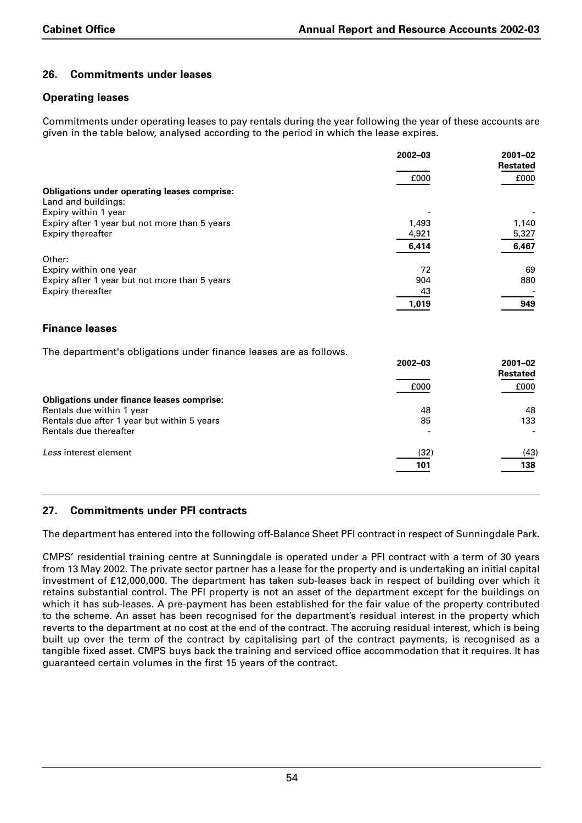## **26. Commitments under leases**

### **Operating leases**

Commitments under operating leases to pay rentals during the year following the year of these accounts are given in the table below, analysed according to the period in which the lease expires.

|                                                                            | 2002-03 | $2001 - 02$<br><b>Restated</b> |
|----------------------------------------------------------------------------|---------|--------------------------------|
|                                                                            | £000    | £000                           |
| <b>Obligations under operating leases comprise:</b><br>Land and buildings: |         |                                |
| Expiry within 1 year                                                       |         |                                |
| Expiry after 1 year but not more than 5 years                              | 1,493   | 1,140                          |
| <b>Expiry thereafter</b>                                                   | 4,921   | 5,327                          |
|                                                                            | 6,414   | 6,467                          |
| Other:                                                                     |         |                                |
| Expiry within one year                                                     | 72      | 69                             |
| Expiry after 1 year but not more than 5 years                              | 904     | 880                            |
| <b>Expiry thereafter</b>                                                   | 43      |                                |
|                                                                            | 1,019   | 949                            |
|                                                                            |         |                                |
| <b>Finance leases</b>                                                      |         |                                |
| The department's obligations under finance leases are as follows.          |         |                                |
|                                                                            | 2002-03 | $2001 - 02$                    |
|                                                                            |         | <b>Restated</b>                |
|                                                                            | £000    | £000                           |
| <b>Obligations under finance leases comprise:</b>                          |         |                                |
| Rentals due within 1 year                                                  | 48      | 48                             |
| Rentals due after 1 year but within 5 years                                | 85      | 133                            |
| Rentals due thereafter                                                     |         |                                |
|                                                                            |         |                                |
| Less interest element                                                      | (32)    | (43)                           |
|                                                                            | 101     | 138                            |
|                                                                            |         |                                |

## **27. Commitments under PFI contracts**

The department has entered into the following off-Balance Sheet PFI contract in respect of Sunningdale Park.

CMPS' residential training centre at Sunningdale is operated under a PFI contract with a term of 30 years from 13 May 2002. The private sector partner has a lease for the property and is undertaking an initial capital investment of £12,000,000. The department has taken sub-leases back in respect of building over which it retains substantial control. The PFI property is not an asset of the department except for the buildings on which it has sub-leases. A pre-payment has been established for the fair value of the property contributed to the scheme. An asset has been recognised for the department's residual interest in the property which reverts to the department at no cost at the end of the contract. The accruing residual interest, which is being built up over the term of the contract by capitalising part of the contract payments, is recognised as a tangible fixed asset. CMPS buys back the training and serviced office accommodation that it requires. It has guaranteed certain volumes in the first 15 years of the contract.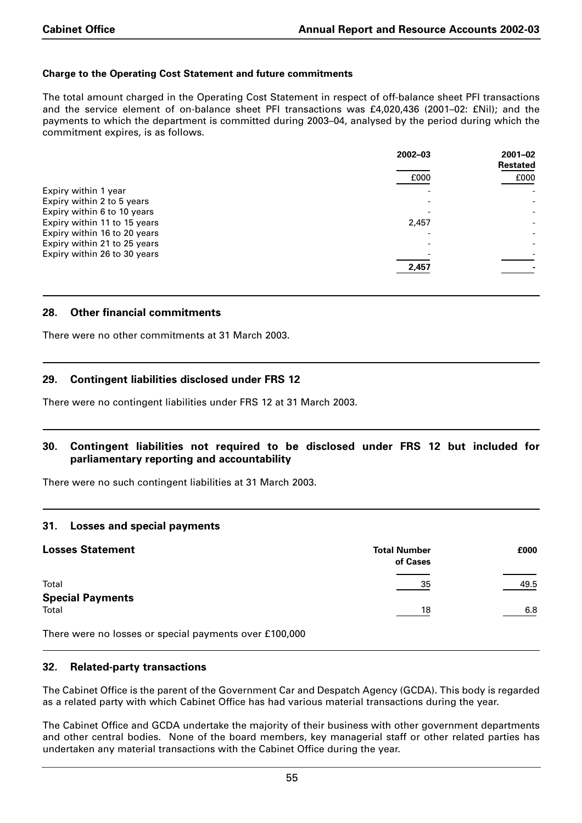#### **Charge to the Operating Cost Statement and future commitments**

The total amount charged in the Operating Cost Statement in respect of off-balance sheet PFI transactions and the service element of on-balance sheet PFI transactions was £4,020,436 (2001–02: £Nil); and the payments to which the department is committed during 2003–04, analysed by the period during which the commitment expires, is as follows.

|                              | 2002-03 | $2001 - 02$<br><b>Restated</b> |
|------------------------------|---------|--------------------------------|
|                              | £000    | £000                           |
| Expiry within 1 year         |         |                                |
| Expiry within 2 to 5 years   |         |                                |
| Expiry within 6 to 10 years  |         |                                |
| Expiry within 11 to 15 years | 2,457   |                                |
| Expiry within 16 to 20 years |         |                                |
| Expiry within 21 to 25 years |         |                                |
| Expiry within 26 to 30 years |         |                                |
|                              | 2,457   |                                |

#### **28. Other financial commitments**

There were no other commitments at 31 March 2003.

### **29. Contingent liabilities disclosed under FRS 12**

There were no contingent liabilities under FRS 12 at 31 March 2003.

#### **30. Contingent liabilities not required to be disclosed under FRS 12 but included for parliamentary reporting and accountability**

There were no such contingent liabilities at 31 March 2003.

#### **31. Losses and special payments**

| <b>Losses Statement</b>                                | <b>Total Number</b><br>of Cases | £000 |
|--------------------------------------------------------|---------------------------------|------|
| Total                                                  | 35                              | 49.5 |
| <b>Special Payments</b>                                |                                 |      |
| Total                                                  | 18                              | 6.8  |
| There were no losses or special payments over £100,000 |                                 |      |

There were no losses or special payments over £100,000

#### **32. Related-party transactions**

The Cabinet Office is the parent of the Government Car and Despatch Agency (GCDA). This body is regarded as a related party with which Cabinet Office has had various material transactions during the year.

The Cabinet Office and GCDA undertake the majority of their business with other government departments and other central bodies. None of the board members, key managerial staff or other related parties has undertaken any material transactions with the Cabinet Office during the year.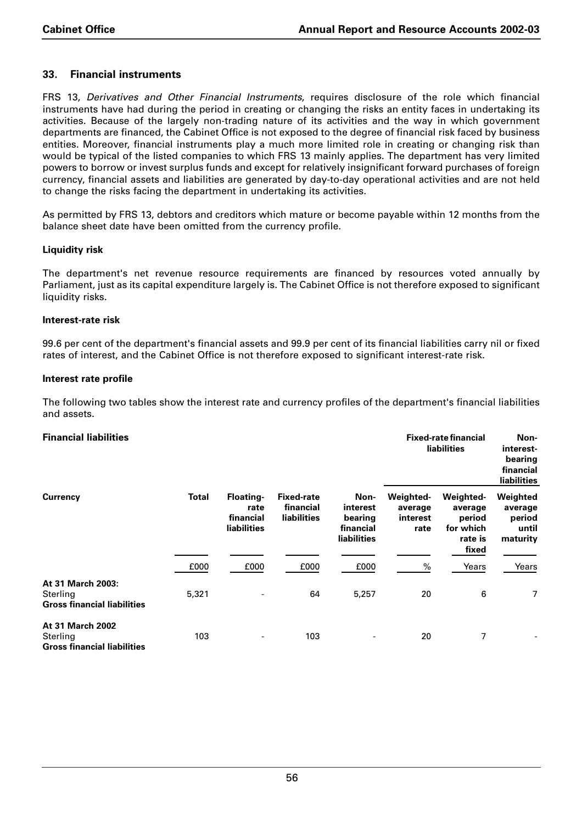## **33. Financial instruments**

FRS 13, *Derivatives and Other Financial Instruments*, requires disclosure of the role which financial instruments have had during the period in creating or changing the risks an entity faces in undertaking its activities. Because of the largely non-trading nature of its activities and the way in which government departments are financed, the Cabinet Office is not exposed to the degree of financial risk faced by business entities. Moreover, financial instruments play a much more limited role in creating or changing risk than would be typical of the listed companies to which FRS 13 mainly applies. The department has very limited powers to borrow or invest surplus funds and except for relatively insignificant forward purchases of foreign currency, financial assets and liabilities are generated by day-to-day operational activities and are not held to change the risks facing the department in undertaking its activities.

As permitted by FRS 13, debtors and creditors which mature or become payable within 12 months from the balance sheet date have been omitted from the currency profile.

#### **Liquidity risk**

The department's net revenue resource requirements are financed by resources voted annually by Parliament, just as its capital expenditure largely is. The Cabinet Office is not therefore exposed to significant liquidity risks.

#### **Interest-rate risk**

99.6 per cent of the department's financial assets and 99.9 per cent of its financial liabilities carry nil or fixed rates of interest, and the Cabinet Office is not therefore exposed to significant interest-rate risk.

#### **Interest rate profile**

The following two tables show the interest rate and currency profiles of the department's financial liabilities and assets.

| <b>Financial liabilities</b>                                        |              |                                                      |                                               |                                                         | <b>Fixed-rate financial</b><br><b>liabilities</b> |                                                                 | Non-<br>interest-<br>bearing<br>financial<br><b>liabilities</b> |  |
|---------------------------------------------------------------------|--------------|------------------------------------------------------|-----------------------------------------------|---------------------------------------------------------|---------------------------------------------------|-----------------------------------------------------------------|-----------------------------------------------------------------|--|
| <b>Currency</b>                                                     | <b>Total</b> | <b>Floating-</b><br>rate<br>financial<br>liabilities | <b>Fixed-rate</b><br>financial<br>liabilities | Non-<br>interest<br>bearing<br>financial<br>liabilities | Weighted-<br>average<br>interest<br>rate          | Weighted-<br>average<br>period<br>for which<br>rate is<br>fixed | Weighted<br>average<br>period<br>until<br>maturity              |  |
|                                                                     | £000         | £000                                                 | £000                                          | £000                                                    | %                                                 | Years                                                           | Years                                                           |  |
| At 31 March 2003:<br>Sterling<br><b>Gross financial liabilities</b> | 5,321        |                                                      | 64                                            | 5,257                                                   | 20                                                | 6                                                               | 7                                                               |  |
| At 31 March 2002<br>Sterling<br><b>Gross financial liabilities</b>  | 103          |                                                      | 103                                           |                                                         | 20                                                | 7                                                               |                                                                 |  |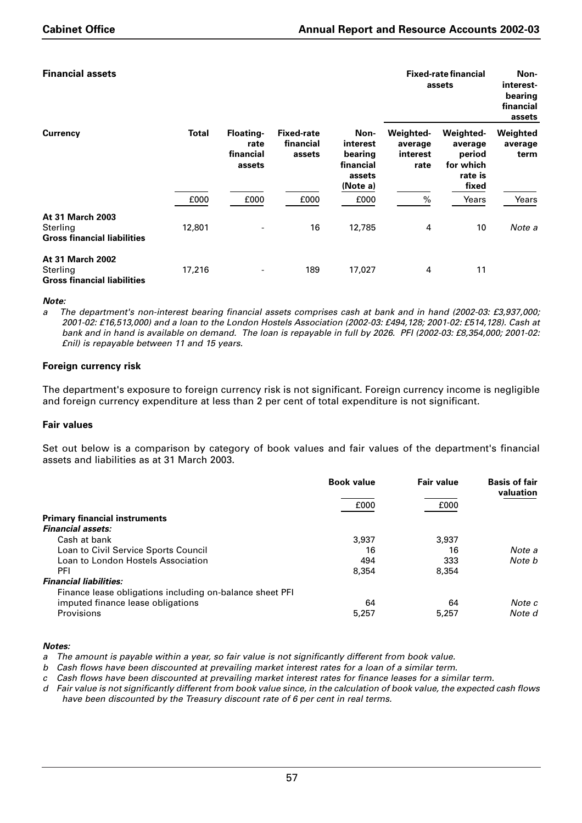**Fixed-rate financial Non-**

|  | <b>Financial assets</b> |
|--|-------------------------|
|  |                         |

| <b>Currency</b>                                                           |              | Floating-<br>rate<br>financial<br>assets | <b>Fixed-rate</b><br>financial<br>assets | Non-<br>interest<br>bearing<br>financial<br>assets<br>(Note a) | assets                                          |                                                                 | interest-<br>bearing<br>financial<br>assets |
|---------------------------------------------------------------------------|--------------|------------------------------------------|------------------------------------------|----------------------------------------------------------------|-------------------------------------------------|-----------------------------------------------------------------|---------------------------------------------|
|                                                                           | <b>Total</b> |                                          |                                          |                                                                | <b>Weighted-</b><br>average<br>interest<br>rate | Weighted-<br>average<br>period<br>for which<br>rate is<br>fixed | Weighted<br>average<br>term                 |
|                                                                           | £000         | £000                                     | £000                                     | £000                                                           | $\%$                                            | Years                                                           | Years                                       |
| <b>At 31 March 2003</b><br>Sterling<br><b>Gross financial liabilities</b> | 12,801       |                                          | 16                                       | 12,785                                                         | 4                                               | 10                                                              | Note a                                      |
| <b>At 31 March 2002</b><br>Sterling<br><b>Gross financial liabilities</b> | 17,216       |                                          | 189                                      | 17,027                                                         | 4                                               | 11                                                              |                                             |

#### *Note:*

*a The department's non-interest bearing financial assets comprises cash at bank and in hand (2002-03: £3,937,000; 2001-02: £16,513,000) and a loan to the London Hostels Association (2002-03: £494,128; 2001-02: £514,128). Cash at bank and in hand is available on demand. The loan is repayable in full by 2026. PFI (2002-03: £8,354,000; 2001-02: £nil) is repayable between 11 and 15 years.*

#### **Foreign currency risk**

The department's exposure to foreign currency risk is not significant. Foreign currency income is negligible and foreign currency expenditure at less than 2 per cent of total expenditure is not significant.

#### **Fair values**

Set out below is a comparison by category of book values and fair values of the department's financial assets and liabilities as at 31 March 2003.

|                                                          | <b>Book value</b> | <b>Fair value</b> | <b>Basis of fair</b><br>valuation |
|----------------------------------------------------------|-------------------|-------------------|-----------------------------------|
|                                                          | £000              | £000              |                                   |
| <b>Primary financial instruments</b>                     |                   |                   |                                   |
| <b>Financial assets:</b>                                 |                   |                   |                                   |
| Cash at bank                                             | 3,937             | 3.937             |                                   |
| Loan to Civil Service Sports Council                     | 16                | 16                | Note a                            |
| Loan to London Hostels Association                       | 494               | 333               | Note b                            |
| PFI                                                      | 8.354             | 8.354             |                                   |
| <b>Financial liabilities:</b>                            |                   |                   |                                   |
| Finance lease obligations including on-balance sheet PFI |                   |                   |                                   |
| imputed finance lease obligations                        | 64                | 64                | Note c                            |
| Provisions                                               | 5,257             | 5,257             | Note d                            |

#### *Notes:*

*a The amount is payable within a year, so fair value is not significantly different from book value.*

*b Cash flows have been discounted at prevailing market interest rates for a loan of a similar term.*

*c Cash flows have been discounted at prevailing market interest rates for finance leases for a similar term.*

*d Fair value is not significantly different from book value since, in the calculation of book value, the expected cash flows have been discounted by the Treasury discount rate of 6 per cent in real terms.*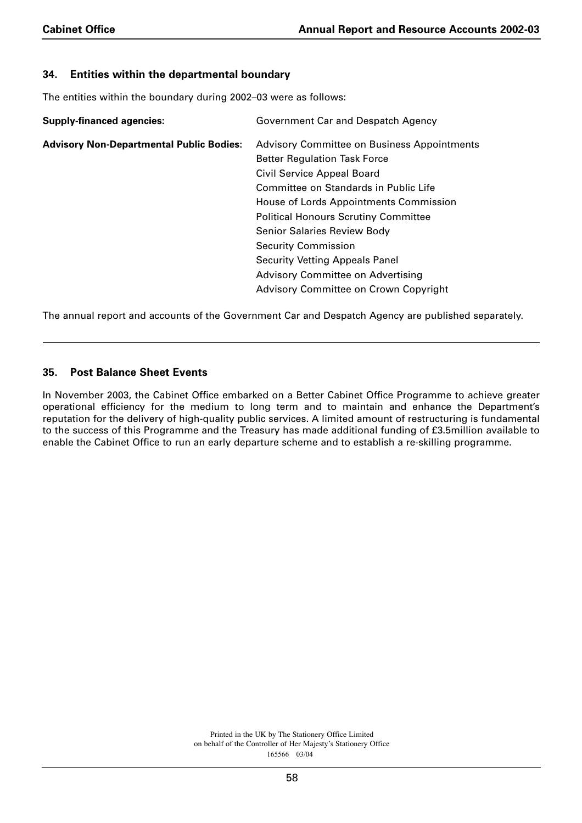## **34. Entities within the departmental boundary**

The entities within the boundary during 2002–03 were as follows:

| <b>Supply-financed agencies:</b>                | Government Car and Despatch Agency                 |
|-------------------------------------------------|----------------------------------------------------|
| <b>Advisory Non-Departmental Public Bodies:</b> | <b>Advisory Committee on Business Appointments</b> |
|                                                 | <b>Better Regulation Task Force</b>                |
|                                                 | Civil Service Appeal Board                         |
|                                                 | Committee on Standards in Public Life              |
|                                                 | House of Lords Appointments Commission             |
|                                                 | <b>Political Honours Scrutiny Committee</b>        |
|                                                 | <b>Senior Salaries Review Body</b>                 |
|                                                 | <b>Security Commission</b>                         |
|                                                 | <b>Security Vetting Appeals Panel</b>              |
|                                                 | Advisory Committee on Advertising                  |
|                                                 | Advisory Committee on Crown Copyright              |

The annual report and accounts of the Government Car and Despatch Agency are published separately.

## **35. Post Balance Sheet Events**

In November 2003, the Cabinet Office embarked on a Better Cabinet Office Programme to achieve greater operational efficiency for the medium to long term and to maintain and enhance the Department's reputation for the delivery of high-quality public services. A limited amount of restructuring is fundamental to the success of this Programme and the Treasury has made additional funding of £3.5million available to enable the Cabinet Office to run an early departure scheme and to establish a re-skilling programme.